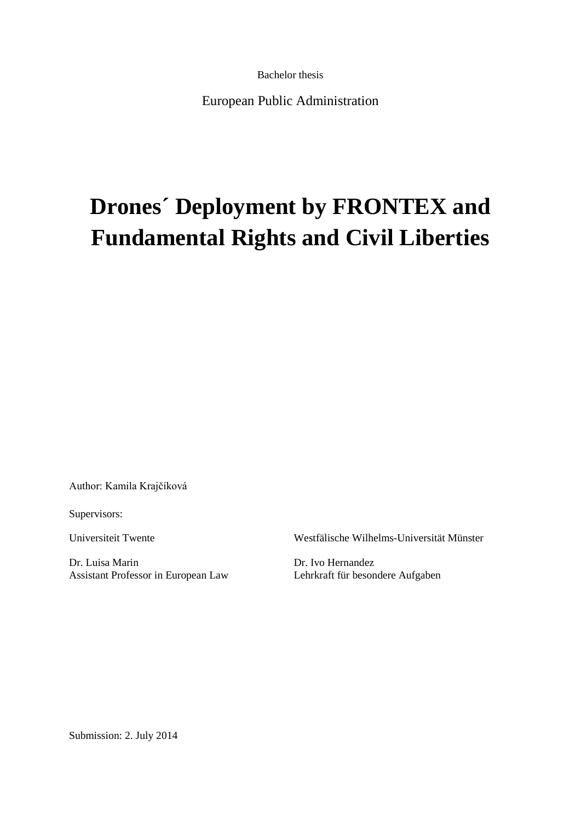Bachelor thesis

European Public Administration

# **Drones´ Deployment by FRONTEX and Fundamental Rights and Civil Liberties**

Author: Kamila Krajčíková

Supervisors:

Dr. Luisa Marin Dr. Ivo Hernandez Assistant Professor in European Law Lehrkraft für besondere Aufgaben

Universiteit Twente Westfälische Wilhelms-Universität Münster

Submission: 2. July 2014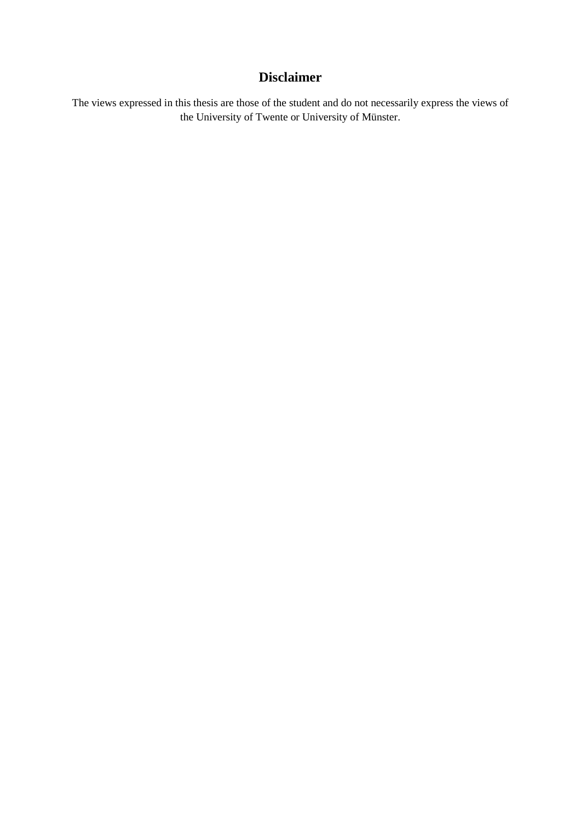# **Disclaimer**

The views expressed in this thesis are those of the student and do not necessarily express the views of the University of Twente or University of Münster.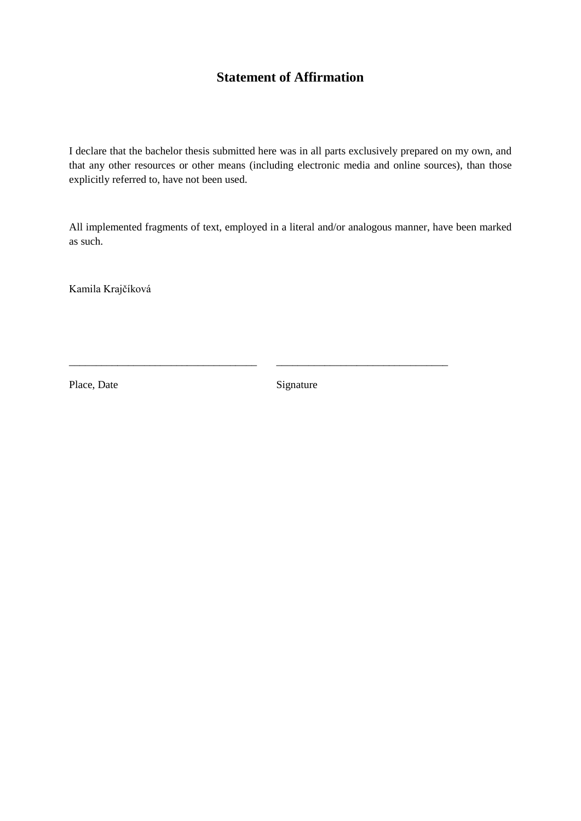# **Statement of Affirmation**

I declare that the bachelor thesis submitted here was in all parts exclusively prepared on my own, and that any other resources or other means (including electronic media and online sources), than those explicitly referred to, have not been used.

All implemented fragments of text, employed in a literal and/or analogous manner, have been marked as such.

Kamila Krajčíková

Place, Date Signature

\_\_\_\_\_\_\_\_\_\_\_\_\_\_\_\_\_\_\_\_\_\_\_\_\_\_\_\_\_\_\_\_\_\_\_ \_\_\_\_\_\_\_\_\_\_\_\_\_\_\_\_\_\_\_\_\_\_\_\_\_\_\_\_\_\_\_\_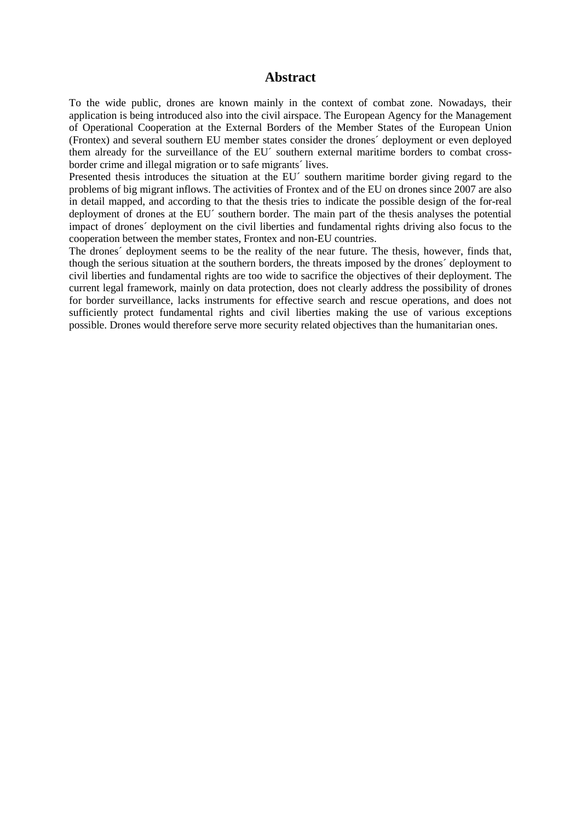### **Abstract**

To the wide public, drones are known mainly in the context of combat zone. Nowadays, their application is being introduced also into the civil airspace. The European Agency for the Management of Operational Cooperation at the External Borders of the Member States of the European Union (Frontex) and several southern EU member states consider the drones´ deployment or even deployed them already for the surveillance of the EU´ southern external maritime borders to combat crossborder crime and illegal migration or to safe migrants´ lives.

Presented thesis introduces the situation at the EU<sup> $\cdot$ </sup> southern maritime border giving regard to the problems of big migrant inflows. The activities of Frontex and of the EU on drones since 2007 are also in detail mapped, and according to that the thesis tries to indicate the possible design of the for-real deployment of drones at the EU´ southern border. The main part of the thesis analyses the potential impact of drones´ deployment on the civil liberties and fundamental rights driving also focus to the cooperation between the member states, Frontex and non-EU countries.

The drones´ deployment seems to be the reality of the near future. The thesis, however, finds that, though the serious situation at the southern borders, the threats imposed by the drones´ deployment to civil liberties and fundamental rights are too wide to sacrifice the objectives of their deployment. The current legal framework, mainly on data protection, does not clearly address the possibility of drones for border surveillance, lacks instruments for effective search and rescue operations, and does not sufficiently protect fundamental rights and civil liberties making the use of various exceptions possible. Drones would therefore serve more security related objectives than the humanitarian ones.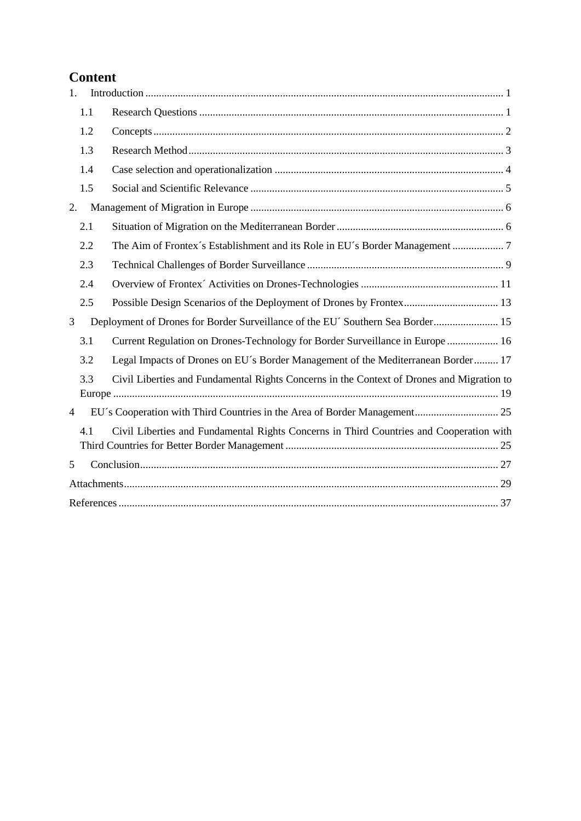# **Content**

| 1.             |     |                                                                                           |
|----------------|-----|-------------------------------------------------------------------------------------------|
|                | 1.1 |                                                                                           |
|                | 1.2 |                                                                                           |
|                | 1.3 |                                                                                           |
|                | 1.4 |                                                                                           |
|                | 1.5 |                                                                                           |
| 2.             |     |                                                                                           |
|                | 2.1 |                                                                                           |
|                | 2.2 |                                                                                           |
|                | 2.3 |                                                                                           |
|                | 2.4 |                                                                                           |
|                | 2.5 |                                                                                           |
| 3              |     | Deployment of Drones for Border Surveillance of the EU´ Southern Sea Border 15            |
|                | 3.1 | Current Regulation on Drones-Technology for Border Surveillance in Europe  16             |
|                | 3.2 | Legal Impacts of Drones on EU's Border Management of the Mediterranean Border 17          |
|                | 3.3 | Civil Liberties and Fundamental Rights Concerns in the Context of Drones and Migration to |
| $\overline{4}$ |     |                                                                                           |
|                | 41  | Civil Liberties and Fundamental Rights Concerns in Third Countries and Cooperation with   |
| 5              |     |                                                                                           |
|                |     |                                                                                           |
|                |     |                                                                                           |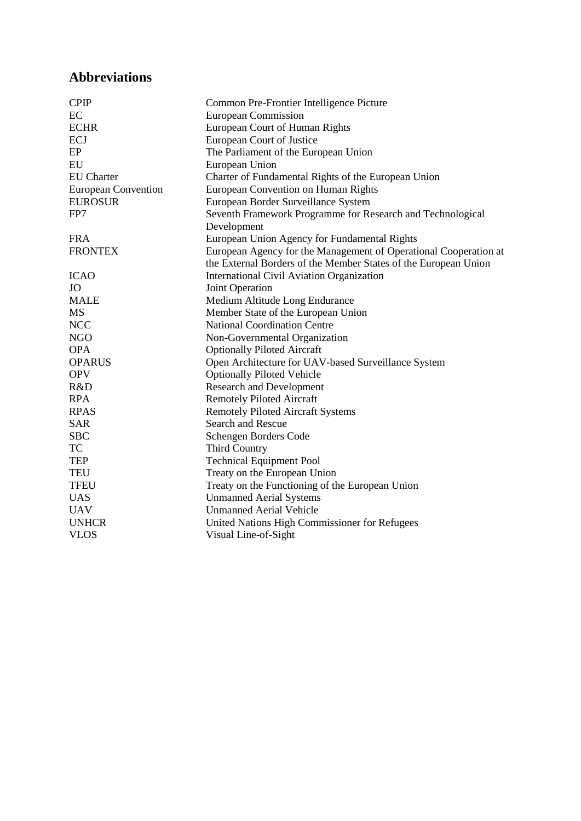# **Abbreviations**

| <b>CPIP</b>                | Common Pre-Frontier Intelligence Picture                         |
|----------------------------|------------------------------------------------------------------|
| EC                         | <b>European Commission</b>                                       |
| <b>ECHR</b>                | European Court of Human Rights                                   |
| ECJ                        | European Court of Justice                                        |
| EP                         | The Parliament of the European Union                             |
| EU                         | European Union                                                   |
| <b>EU</b> Charter          | Charter of Fundamental Rights of the European Union              |
| <b>European Convention</b> | European Convention on Human Rights                              |
| <b>EUROSUR</b>             | European Border Surveillance System                              |
| FP7                        | Seventh Framework Programme for Research and Technological       |
|                            | Development                                                      |
| <b>FRA</b>                 | European Union Agency for Fundamental Rights                     |
| <b>FRONTEX</b>             | European Agency for the Management of Operational Cooperation at |
|                            | the External Borders of the Member States of the European Union  |
| <b>ICAO</b>                | International Civil Aviation Organization                        |
| JO.                        | Joint Operation                                                  |
| <b>MALE</b>                | Medium Altitude Long Endurance                                   |
| MS                         | Member State of the European Union                               |
| <b>NCC</b>                 | <b>National Coordination Centre</b>                              |
| <b>NGO</b>                 | Non-Governmental Organization                                    |
| <b>OPA</b>                 | <b>Optionally Piloted Aircraft</b>                               |
| <b>OPARUS</b>              | Open Architecture for UAV-based Surveillance System              |
| <b>OPV</b>                 | <b>Optionally Piloted Vehicle</b>                                |
| R&D                        | <b>Research and Development</b>                                  |
| <b>RPA</b>                 | <b>Remotely Piloted Aircraft</b>                                 |
| <b>RPAS</b>                | <b>Remotely Piloted Aircraft Systems</b>                         |
| <b>SAR</b>                 | Search and Rescue                                                |
| <b>SBC</b>                 | Schengen Borders Code                                            |
| TC                         | <b>Third Country</b>                                             |
| <b>TEP</b>                 | <b>Technical Equipment Pool</b>                                  |
| <b>TEU</b>                 | Treaty on the European Union                                     |
| <b>TFEU</b>                | Treaty on the Functioning of the European Union                  |
| <b>UAS</b>                 | <b>Unmanned Aerial Systems</b>                                   |
| <b>UAV</b>                 | <b>Unmanned Aerial Vehicle</b>                                   |
| <b>UNHCR</b>               | United Nations High Commissioner for Refugees                    |
| <b>VLOS</b>                | Visual Line-of-Sight                                             |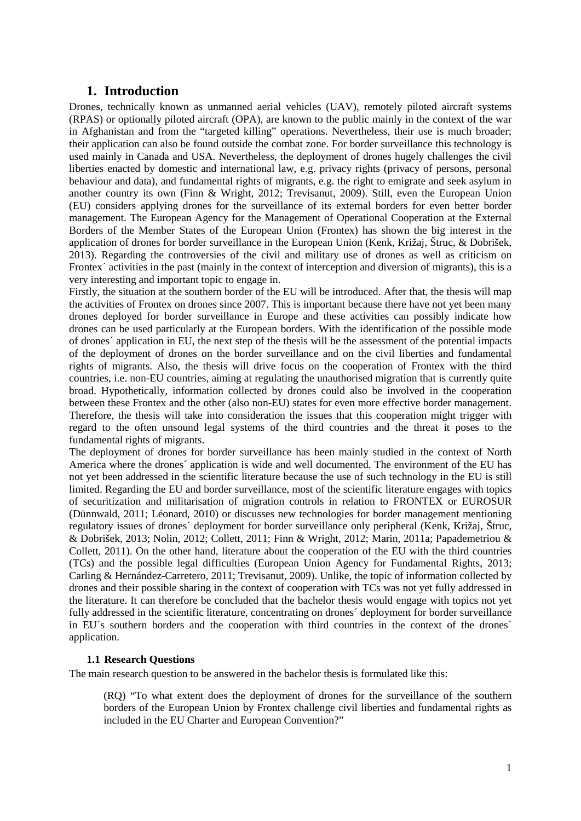### <span id="page-6-0"></span>**1. Introduction**

Drones, technically known as unmanned aerial vehicles (UAV), remotely piloted aircraft systems (RPAS) or optionally piloted aircraft (OPA), are known to the public mainly in the context of the war in Afghanistan and from the "targeted killing" operations. Nevertheless, their use is much broader; their application can also be found outside the combat zone. For border surveillance this technology is used mainly in Canada and USA. Nevertheless, the deployment of drones hugely challenges the civil liberties enacted by domestic and international law, e.g. privacy rights (privacy of persons, personal behaviour and data), and fundamental rights of migrants, e.g. the right to emigrate and seek asylum in another country its own (Finn & Wright, 2012; Trevisanut, 2009). Still, even the European Union (EU) considers applying drones for the surveillance of its external borders for even better border management. The European Agency for the Management of Operational Cooperation at the External Borders of the Member States of the European Union (Frontex) has shown the big interest in the application of drones for border surveillance in the European Union (Kenk, Križaj, Štruc, & Dobrišek, 2013). Regarding the controversies of the civil and military use of drones as well as criticism on Frontex<sup> $\epsilon$ </sup> activities in the past (mainly in the context of interception and diversion of migrants), this is a very interesting and important topic to engage in.

Firstly, the situation at the southern border of the EU will be introduced. After that, the thesis will map the activities of Frontex on drones since 2007. This is important because there have not yet been many drones deployed for border surveillance in Europe and these activities can possibly indicate how drones can be used particularly at the European borders. With the identification of the possible mode of drones´ application in EU, the next step of the thesis will be the assessment of the potential impacts of the deployment of drones on the border surveillance and on the civil liberties and fundamental rights of migrants. Also, the thesis will drive focus on the cooperation of Frontex with the third countries, i.e. non-EU countries, aiming at regulating the unauthorised migration that is currently quite broad. Hypothetically, information collected by drones could also be involved in the cooperation between these Frontex and the other (also non-EU) states for even more effective border management. Therefore, the thesis will take into consideration the issues that this cooperation might trigger with regard to the often unsound legal systems of the third countries and the threat it poses to the fundamental rights of migrants.

The deployment of drones for border surveillance has been mainly studied in the context of North America where the drones´ application is wide and well documented. The environment of the EU has not yet been addressed in the scientific literature because the use of such technology in the EU is still limited. Regarding the EU and border surveillance, most of the scientific literature engages with topics of securitization and militarisation of migration controls in relation to FRONTEX or EUROSUR (Dünnwald, 2011; Léonard, 2010) or discusses new technologies for border management mentioning regulatory issues of drones´ deployment for border surveillance only peripheral (Kenk, Križaj, Štruc, & Dobrišek, 2013; Nolin, 2012; Collett, 2011; Finn & Wright, 2012; Marin, 2011a; Papademetriou & Collett, 2011). On the other hand, literature about the cooperation of the EU with the third countries (TCs) and the possible legal difficulties (European Union Agency for Fundamental Rights, 2013; Carling & Hernández-Carretero, 2011; Trevisanut, 2009). Unlike, the topic of information collected by drones and their possible sharing in the context of cooperation with TCs was not yet fully addressed in the literature. It can therefore be concluded that the bachelor thesis would engage with topics not yet fully addressed in the scientific literature, concentrating on drones´ deployment for border surveillance in EU´s southern borders and the cooperation with third countries in the context of the drones´ application.

### **1.1 Research Questions**

<span id="page-6-1"></span>The main research question to be answered in the bachelor thesis is formulated like this:

(RQ) "To what extent does the deployment of drones for the surveillance of the southern borders of the European Union by Frontex challenge civil liberties and fundamental rights as included in the EU Charter and European Convention?"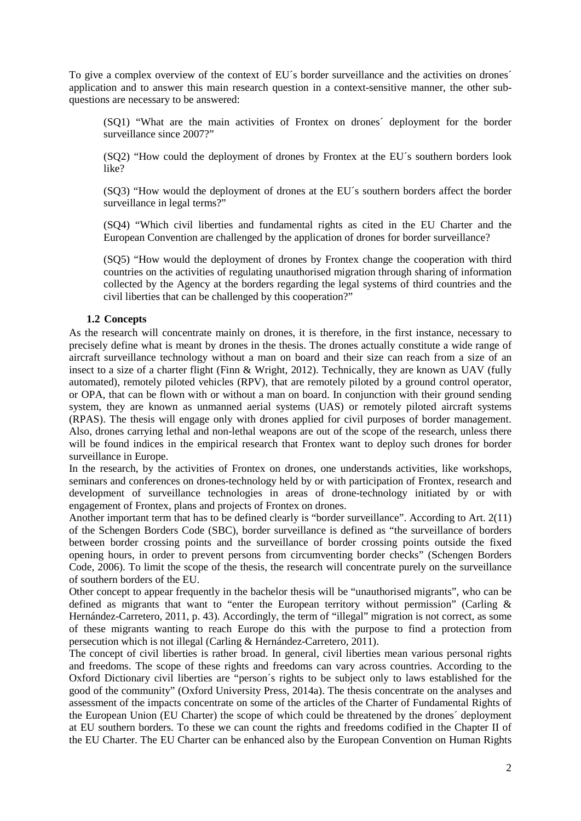To give a complex overview of the context of EU´s border surveillance and the activities on drones´ application and to answer this main research question in a context-sensitive manner, the other subquestions are necessary to be answered:

(SQ1) "What are the main activities of Frontex on drones´ deployment for the border surveillance since 2007?"

(SQ2) "How could the deployment of drones by Frontex at the EU´s southern borders look like?

(SQ3) "How would the deployment of drones at the EU´s southern borders affect the border surveillance in legal terms?"

(SQ4) "Which civil liberties and fundamental rights as cited in the EU Charter and the European Convention are challenged by the application of drones for border surveillance?

(SQ5) "How would the deployment of drones by Frontex change the cooperation with third countries on the activities of regulating unauthorised migration through sharing of information collected by the Agency at the borders regarding the legal systems of third countries and the civil liberties that can be challenged by this cooperation?"

### **1.2 Concepts**

<span id="page-7-0"></span>As the research will concentrate mainly on drones, it is therefore, in the first instance, necessary to precisely define what is meant by drones in the thesis. The drones actually constitute a wide range of aircraft surveillance technology without a man on board and their size can reach from a size of an insect to a size of a charter flight (Finn & Wright, 2012). Technically, they are known as UAV (fully automated), remotely piloted vehicles (RPV), that are remotely piloted by a ground control operator, or OPA, that can be flown with or without a man on board. In conjunction with their ground sending system, they are known as unmanned aerial systems (UAS) or remotely piloted aircraft systems (RPAS). The thesis will engage only with drones applied for civil purposes of border management. Also, drones carrying lethal and non-lethal weapons are out of the scope of the research, unless there will be found indices in the empirical research that Frontex want to deploy such drones for border surveillance in Europe.

In the research, by the activities of Frontex on drones, one understands activities, like workshops, seminars and conferences on drones-technology held by or with participation of Frontex, research and development of surveillance technologies in areas of drone-technology initiated by or with engagement of Frontex, plans and projects of Frontex on drones.

Another important term that has to be defined clearly is "border surveillance". According to Art. 2(11) of the Schengen Borders Code (SBC), border surveillance is defined as "the surveillance of borders between border crossing points and the surveillance of border crossing points outside the fixed opening hours, in order to prevent persons from circumventing border checks" (Schengen Borders Code, 2006). To limit the scope of the thesis, the research will concentrate purely on the surveillance of southern borders of the EU.

Other concept to appear frequently in the bachelor thesis will be "unauthorised migrants", who can be defined as migrants that want to "enter the European territory without permission" (Carling & Hernández-Carretero, 2011, p. 43). Accordingly, the term of "illegal" migration is not correct, as some of these migrants wanting to reach Europe do this with the purpose to find a protection from persecution which is not illegal (Carling & Hernández-Carretero, 2011).

The concept of civil liberties is rather broad. In general, civil liberties mean various personal rights and freedoms. The scope of these rights and freedoms can vary across countries. According to the Oxford Dictionary civil liberties are "person´s rights to be subject only to laws established for the good of the community" (Oxford University Press, 2014a). The thesis concentrate on the analyses and assessment of the impacts concentrate on some of the articles of the Charter of Fundamental Rights of the European Union (EU Charter) the scope of which could be threatened by the drones´ deployment at EU southern borders. To these we can count the rights and freedoms codified in the Chapter II of the EU Charter. The EU Charter can be enhanced also by the European Convention on Human Rights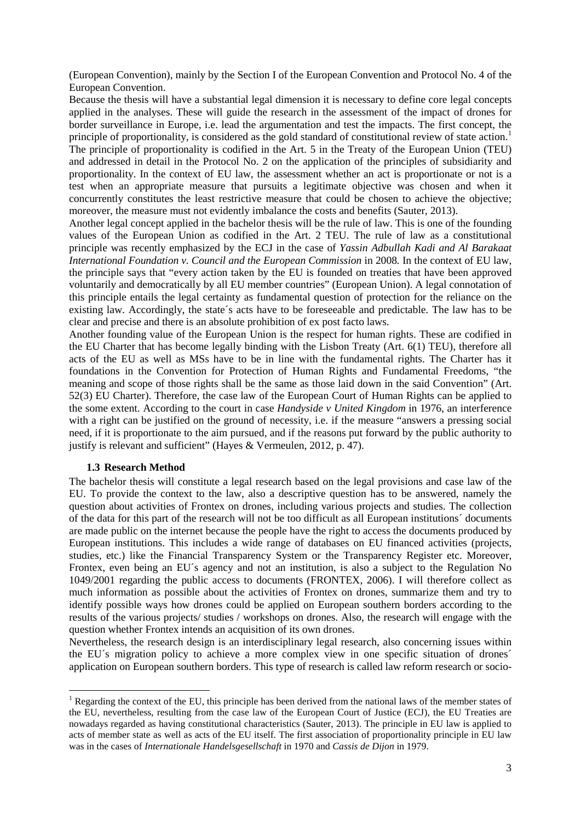(European Convention), mainly by the Section I of the European Convention and Protocol No. 4 of the European Convention.

Because the thesis will have a substantial legal dimension it is necessary to define core legal concepts applied in the analyses. These will guide the research in the assessment of the impact of drones for border surveillance in Europe, i.e. lead the argumentation and test the impacts. The first concept, the principle of proportionality, is considered as the gold standard of constitutional review of state action.<sup>[1](#page-8-1)</sup> The principle of proportionality is codified in the Art. 5 in the Treaty of the European Union (TEU)

and addressed in detail in the Protocol No. 2 on the application of the principles of subsidiarity and proportionality. In the context of EU law, the assessment whether an act is proportionate or not is a test when an appropriate measure that pursuits a legitimate objective was chosen and when it concurrently constitutes the least restrictive measure that could be chosen to achieve the objective; moreover, the measure must not evidently imbalance the costs and benefits (Sauter, 2013).

Another legal concept applied in the bachelor thesis will be the rule of law. This is one of the founding values of the European Union as codified in the Art. 2 TEU. The rule of law as a constitutional principle was recently emphasized by the ECJ in the case of *Yassin Adbullah Kadi and Al Barakaat International Foundation v. Council and the European Commission* in 2008. In the context of EU law, the principle says that "every action taken by the EU is founded on treaties that have been approved voluntarily and democratically by all EU member countries" (European Union). A legal connotation of this principle entails the legal certainty as fundamental question of protection for the reliance on the existing law. Accordingly, the state´s acts have to be foreseeable and predictable. The law has to be clear and precise and there is an absolute prohibition of ex post facto laws.

Another founding value of the European Union is the respect for human rights. These are codified in the EU Charter that has become legally binding with the Lisbon Treaty (Art. 6(1) TEU), therefore all acts of the EU as well as MSs have to be in line with the fundamental rights. The Charter has it foundations in the Convention for Protection of Human Rights and Fundamental Freedoms, "the meaning and scope of those rights shall be the same as those laid down in the said Convention" (Art. 52(3) EU Charter). Therefore, the case law of the European Court of Human Rights can be applied to the some extent. According to the court in case *Handyside v United Kingdom* in 1976, an interference with a right can be justified on the ground of necessity, i.e. if the measure "answers a pressing social need, if it is proportionate to the aim pursued, and if the reasons put forward by the public authority to justify is relevant and sufficient" (Hayes & Vermeulen, 2012, p. 47).

### <span id="page-8-0"></span>**1.3 Research Method**

 $\overline{a}$ 

The bachelor thesis will constitute a legal research based on the legal provisions and case law of the EU. To provide the context to the law, also a descriptive question has to be answered, namely the question about activities of Frontex on drones, including various projects and studies. The collection of the data for this part of the research will not be too difficult as all European institutions´ documents are made public on the internet because the people have the right to access the documents produced by European institutions. This includes a wide range of databases on EU financed activities (projects, studies, etc.) like the Financial Transparency System or the Transparency Register etc. Moreover, Frontex, even being an EU´s agency and not an institution, is also a subject to the Regulation No 1049/2001 regarding the public access to documents (FRONTEX, 2006). I will therefore collect as much information as possible about the activities of Frontex on drones, summarize them and try to identify possible ways how drones could be applied on European southern borders according to the results of the various projects/ studies / workshops on drones. Also, the research will engage with the question whether Frontex intends an acquisition of its own drones.

Nevertheless, the research design is an interdisciplinary legal research, also concerning issues within the EU´s migration policy to achieve a more complex view in one specific situation of drones´ application on European southern borders. This type of research is called law reform research or socio-

<span id="page-8-1"></span><sup>&</sup>lt;sup>1</sup> Regarding the context of the EU, this principle has been derived from the national laws of the member states of the EU, nevertheless, resulting from the case law of the European Court of Justice (ECJ), the EU Treaties are nowadays regarded as having constitutional characteristics (Sauter, 2013). The principle in EU law is applied to acts of member state as well as acts of the EU itself. The first association of proportionality principle in EU law was in the cases of *Internationale Handelsgesellschaft* in 1970 and *Cassis de Dijon* in 1979.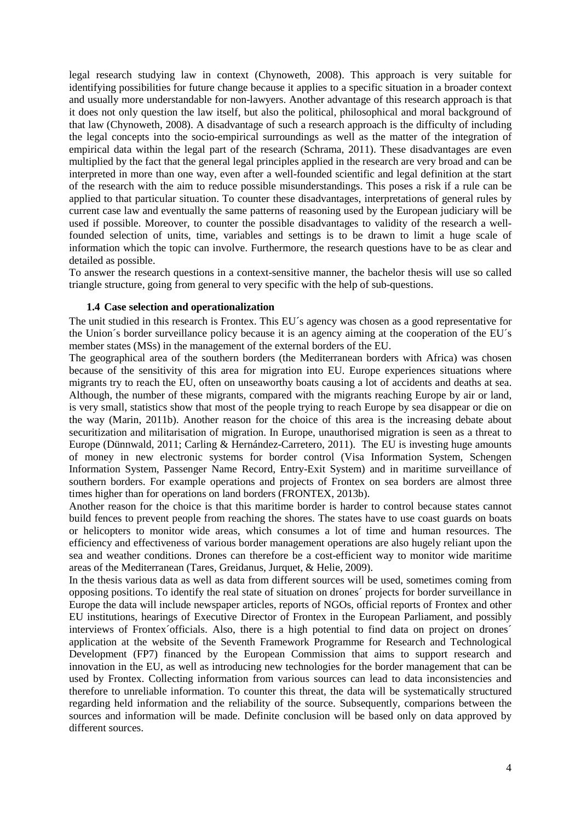legal research studying law in context (Chynoweth, 2008). This approach is very suitable for identifying possibilities for future change because it applies to a specific situation in a broader context and usually more understandable for non-lawyers. Another advantage of this research approach is that it does not only question the law itself, but also the political, philosophical and moral background of that law (Chynoweth, 2008). A disadvantage of such a research approach is the difficulty of including the legal concepts into the socio-empirical surroundings as well as the matter of the integration of empirical data within the legal part of the research (Schrama, 2011). These disadvantages are even multiplied by the fact that the general legal principles applied in the research are very broad and can be interpreted in more than one way, even after a well-founded scientific and legal definition at the start of the research with the aim to reduce possible misunderstandings. This poses a risk if a rule can be applied to that particular situation. To counter these disadvantages, interpretations of general rules by current case law and eventually the same patterns of reasoning used by the European judiciary will be used if possible. Moreover, to counter the possible disadvantages to validity of the research a wellfounded selection of units, time, variables and settings is to be drawn to limit a huge scale of information which the topic can involve. Furthermore, the research questions have to be as clear and detailed as possible.

To answer the research questions in a context-sensitive manner, the bachelor thesis will use so called triangle structure, going from general to very specific with the help of sub-questions.

#### <span id="page-9-0"></span>**1.4 Case selection and operationalization**

The unit studied in this research is Frontex. This EU´s agency was chosen as a good representative for the Union´s border surveillance policy because it is an agency aiming at the cooperation of the EU´s member states (MSs) in the management of the external borders of the EU.

The geographical area of the southern borders (the Mediterranean borders with Africa) was chosen because of the sensitivity of this area for migration into EU. Europe experiences situations where migrants try to reach the EU, often on unseaworthy boats causing a lot of accidents and deaths at sea. Although, the number of these migrants, compared with the migrants reaching Europe by air or land, is very small, statistics show that most of the people trying to reach Europe by sea disappear or die on the way (Marin, 2011b). Another reason for the choice of this area is the increasing debate about securitization and militarisation of migration. In Europe, unauthorised migration is seen as a threat to Europe (Dünnwald, 2011; Carling & Hernández-Carretero, 2011). The EU is investing huge amounts of money in new electronic systems for border control (Visa Information System, Schengen Information System, Passenger Name Record, Entry-Exit System) and in maritime surveillance of southern borders. For example operations and projects of Frontex on sea borders are almost three times higher than for operations on land borders (FRONTEX, 2013b).

Another reason for the choice is that this maritime border is harder to control because states cannot build fences to prevent people from reaching the shores. The states have to use coast guards on boats or helicopters to monitor wide areas, which consumes a lot of time and human resources. The efficiency and effectiveness of various border management operations are also hugely reliant upon the sea and weather conditions. Drones can therefore be a cost-efficient way to monitor wide maritime areas of the Mediterranean (Tares, Greidanus, Jurquet, & Helie, 2009).

In the thesis various data as well as data from different sources will be used, sometimes coming from opposing positions. To identify the real state of situation on drones´ projects for border surveillance in Europe the data will include newspaper articles, reports of NGOs, official reports of Frontex and other EU institutions, hearings of Executive Director of Frontex in the European Parliament, and possibly interviews of Frontex´officials. Also, there is a high potential to find data on project on drones´ application at the website of the Seventh Framework Programme for Research and Technological Development (FP7) financed by the European Commission that aims to support research and innovation in the EU, as well as introducing new technologies for the border management that can be used by Frontex. Collecting information from various sources can lead to data inconsistencies and therefore to unreliable information. To counter this threat, the data will be systematically structured regarding held information and the reliability of the source. Subsequently, comparions between the sources and information will be made. Definite conclusion will be based only on data approved by different sources.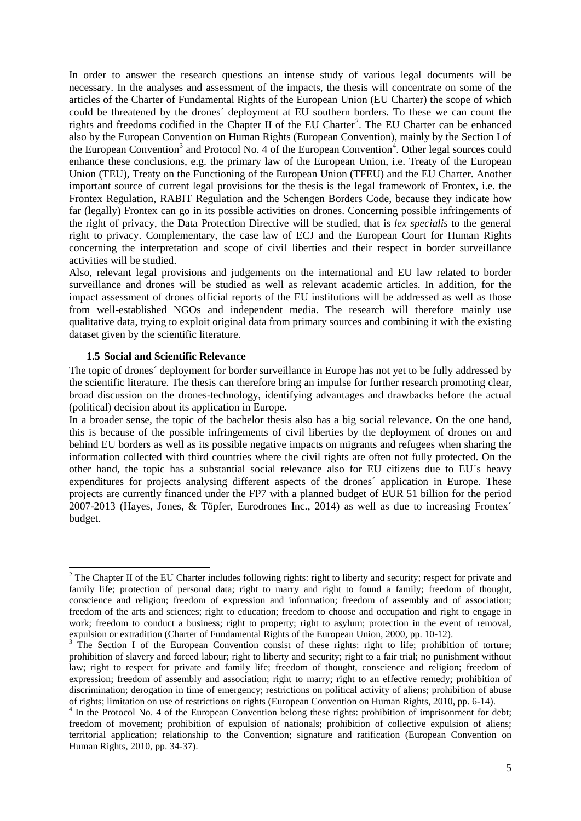In order to answer the research questions an intense study of various legal documents will be necessary. In the analyses and assessment of the impacts, the thesis will concentrate on some of the articles of the Charter of Fundamental Rights of the European Union (EU Charter) the scope of which could be threatened by the drones´ deployment at EU southern borders. To these we can count the rights and freedoms codified in the Chapter II of the EU Charter<sup>[2](#page-10-1)</sup>. The EU Charter can be enhanced also by the European Convention on Human Rights (European Convention), mainly by the Section I of the European Convention<sup>[3](#page-10-2)</sup> and Protocol No. [4](#page-10-3) of the European Convention<sup>4</sup>. Other legal sources could enhance these conclusions, e.g. the primary law of the European Union, i.e. Treaty of the European Union (TEU), Treaty on the Functioning of the European Union (TFEU) and the EU Charter. Another important source of current legal provisions for the thesis is the legal framework of Frontex, i.e. the Frontex Regulation, RABIT Regulation and the Schengen Borders Code, because they indicate how far (legally) Frontex can go in its possible activities on drones. Concerning possible infringements of the right of privacy, the Data Protection Directive will be studied, that is *lex specialis* to the general right to privacy. Complementary, the case law of ECJ and the European Court for Human Rights concerning the interpretation and scope of civil liberties and their respect in border surveillance activities will be studied.

Also, relevant legal provisions and judgements on the international and EU law related to border surveillance and drones will be studied as well as relevant academic articles. In addition, for the impact assessment of drones official reports of the EU institutions will be addressed as well as those from well-established NGOs and independent media. The research will therefore mainly use qualitative data, trying to exploit original data from primary sources and combining it with the existing dataset given by the scientific literature.

#### **1.5 Social and Scientific Relevance**

 $\overline{a}$ 

<span id="page-10-0"></span>The topic of drones´ deployment for border surveillance in Europe has not yet to be fully addressed by the scientific literature. The thesis can therefore bring an impulse for further research promoting clear, broad discussion on the drones-technology, identifying advantages and drawbacks before the actual (political) decision about its application in Europe.

In a broader sense, the topic of the bachelor thesis also has a big social relevance. On the one hand, this is because of the possible infringements of civil liberties by the deployment of drones on and behind EU borders as well as its possible negative impacts on migrants and refugees when sharing the information collected with third countries where the civil rights are often not fully protected. On the other hand, the topic has a substantial social relevance also for EU citizens due to EU´s heavy expenditures for projects analysing different aspects of the drones´ application in Europe. These projects are currently financed under the FP7 with a planned budget of EUR 51 billion for the period 2007-2013 (Hayes, Jones, & Töpfer, Eurodrones Inc., 2014) as well as due to increasing Frontex´ budget.

<span id="page-10-1"></span><sup>&</sup>lt;sup>2</sup> The Chapter II of the EU Charter includes following rights: right to liberty and security; respect for private and family life; protection of personal data; right to marry and right to found a family; freedom of thought, conscience and religion; freedom of expression and information; freedom of assembly and of association; freedom of the arts and sciences; right to education; freedom to choose and occupation and right to engage in work; freedom to conduct a business; right to property; right to asylum; protection in the event of removal, expulsion or extradition (Charter of Fundamental Rights of the European Union, 2000, pp. 10-12).<br><sup>3</sup> The Section I of the European Convention consist of these rights: right to life; prohibition of torture;

<span id="page-10-2"></span>prohibition of slavery and forced labour; right to liberty and security; right to a fair trial; no punishment without law; right to respect for private and family life; freedom of thought, conscience and religion; freedom of expression; freedom of assembly and association; right to marry; right to an effective remedy; prohibition of discrimination; derogation in time of emergency; restrictions on political activity of aliens; prohibition of abuse<br>of rights; limitation on use of restrictions on rights (European Convention on Human Rights, 2010, pp. 6-1

<span id="page-10-3"></span> $<sup>4</sup>$  In the Protocol No. 4 of the European Convention belong these rights: prohibition of imprisonment for debt;</sup> freedom of movement; prohibition of expulsion of nationals; prohibition of collective expulsion of aliens; territorial application; relationship to the Convention; signature and ratification (European Convention on Human Rights, 2010, pp. 34-37).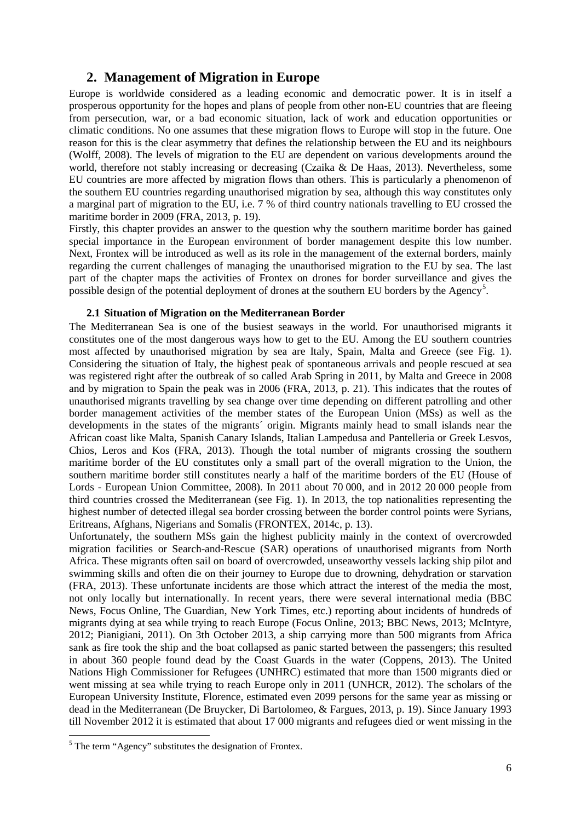# **2. Management of Migration in Europe**

<span id="page-11-0"></span>Europe is worldwide considered as a leading economic and democratic power. It is in itself a prosperous opportunity for the hopes and plans of people from other non-EU countries that are fleeing from persecution, war, or a bad economic situation, lack of work and education opportunities or climatic conditions. No one assumes that these migration flows to Europe will stop in the future. One reason for this is the clear asymmetry that defines the relationship between the EU and its neighbours (Wolff, 2008). The levels of migration to the EU are dependent on various developments around the world, therefore not stably increasing or decreasing (Czaika & De Haas, 2013). Nevertheless, some EU countries are more affected by migration flows than others. This is particularly a phenomenon of the southern EU countries regarding unauthorised migration by sea, although this way constitutes only a marginal part of migration to the EU, i.e. 7 % of third country nationals travelling to EU crossed the maritime border in 2009 (FRA, 2013, p. 19).

Firstly, this chapter provides an answer to the question why the southern maritime border has gained special importance in the European environment of border management despite this low number. Next, Frontex will be introduced as well as its role in the management of the external borders, mainly regarding the current challenges of managing the unauthorised migration to the EU by sea. The last part of the chapter maps the activities of Frontex on drones for border surveillance and gives the possible design of the potential deployment of drones at the southern EU borders by the Agency<sup>[5](#page-11-2)</sup>.

### **2.1 Situation of Migration on the Mediterranean Border**

<span id="page-11-1"></span>The Mediterranean Sea is one of the busiest seaways in the world. For unauthorised migrants it constitutes one of the most dangerous ways how to get to the EU. Among the EU southern countries most affected by unauthorised migration by sea are Italy, Spain, Malta and Greece (see [Fig. 1\)](#page-34-1). Considering the situation of Italy, the highest peak of spontaneous arrivals and people rescued at sea was registered right after the outbreak of so called Arab Spring in 2011, by Malta and Greece in 2008 and by migration to Spain the peak was in 2006 (FRA, 2013, p. 21). This indicates that the routes of unauthorised migrants travelling by sea change over time depending on different patrolling and other border management activities of the member states of the European Union (MSs) as well as the developments in the states of the migrants' origin. Migrants mainly head to small islands near the African coast like Malta, Spanish Canary Islands, Italian Lampedusa and Pantelleria or Greek Lesvos, Chios, Leros and Kos (FRA, 2013). Though the total number of migrants crossing the southern maritime border of the EU constitutes only a small part of the overall migration to the Union, the southern maritime border still constitutes nearly a half of the maritime borders of the EU (House of Lords - European Union Committee, 2008). In 2011 about 70 000, and in 2012 20 000 people from third countries crossed the Mediterranean (see [Fig. 1\)](#page-34-1). In 2013, the top nationalities representing the highest number of detected illegal sea border crossing between the border control points were Syrians, Eritreans, Afghans, Nigerians and Somalis (FRONTEX, 2014c, p. 13).

Unfortunately, the southern MSs gain the highest publicity mainly in the context of overcrowded migration facilities or Search-and-Rescue (SAR) operations of unauthorised migrants from North Africa. These migrants often sail on board of overcrowded, unseaworthy vessels lacking ship pilot and swimming skills and often die on their journey to Europe due to drowning, dehydration or starvation (FRA, 2013). These unfortunate incidents are those which attract the interest of the media the most, not only locally but internationally. In recent years, there were several international media (BBC News, Focus Online, The Guardian, New York Times, etc.) reporting about incidents of hundreds of migrants dying at sea while trying to reach Europe (Focus Online, 2013; BBC News, 2013; McIntyre, 2012; Pianigiani, 2011). On 3th October 2013, a ship carrying more than 500 migrants from Africa sank as fire took the ship and the boat collapsed as panic started between the passengers; this resulted in about 360 people found dead by the Coast Guards in the water (Coppens, 2013). The United Nations High Commissioner for Refugees (UNHRC) estimated that more than 1500 migrants died or went missing at sea while trying to reach Europe only in 2011 (UNHCR, 2012). The scholars of the European University Institute, Florence, estimated even 2099 persons for the same year as missing or dead in the Mediterranean (De Bruycker, Di Bartolomeo, & Fargues, 2013, p. 19). Since January 1993 till November 2012 it is estimated that about 17 000 migrants and refugees died or went missing in the

<span id="page-11-2"></span> $<sup>5</sup>$  The term "Agency" substitutes the designation of Frontex.</sup>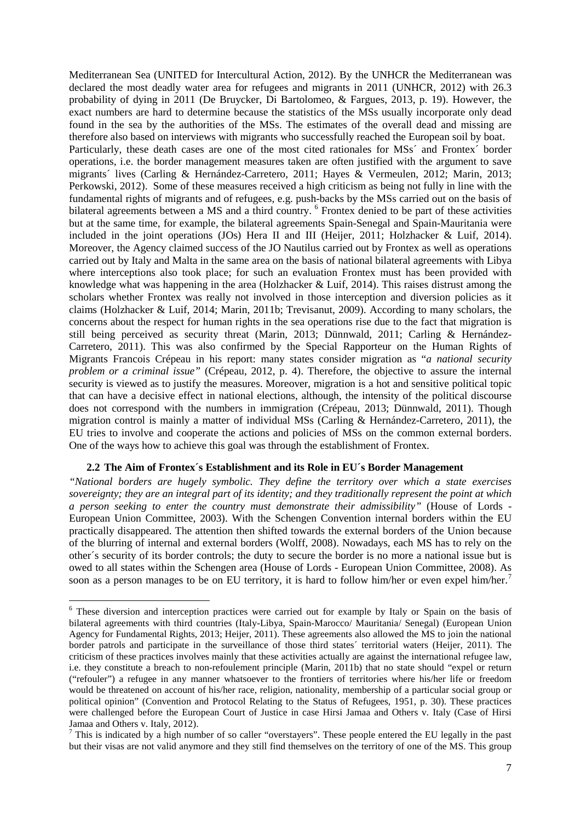Mediterranean Sea (UNITED for Intercultural Action, 2012). By the UNHCR the Mediterranean was declared the most deadly water area for refugees and migrants in 2011 (UNHCR, 2012) with 26.3 probability of dying in 2011 (De Bruycker, Di Bartolomeo, & Fargues, 2013, p. 19). However, the exact numbers are hard to determine because the statistics of the MSs usually incorporate only dead found in the sea by the authorities of the MSs. The estimates of the overall dead and missing are therefore also based on interviews with migrants who successfully reached the European soil by boat. Particularly, these death cases are one of the most cited rationales for MSs<sup> $\degree$ </sup> and Frontex $\degree$  border operations, i.e. the border management measures taken are often justified with the argument to save migrants´ lives (Carling & Hernández-Carretero, 2011; Hayes & Vermeulen, 2012; Marin, 2013; Perkowski, 2012). Some of these measures received a high criticism as being not fully in line with the fundamental rights of migrants and of refugees, e.g. push-backs by the MSs carried out on the basis of bilateral agreements between a MS and a third country. [6](#page-12-1) Frontex denied to be part of these activities but at the same time, for example, the bilateral agreements Spain-Senegal and Spain-Mauritania were included in the joint operations (JOs) Hera II and III (Heijer, 2011; Holzhacker & Luif, 2014). Moreover, the Agency claimed success of the JO Nautilus carried out by Frontex as well as operations carried out by Italy and Malta in the same area on the basis of national bilateral agreements with Libya where interceptions also took place; for such an evaluation Frontex must has been provided with knowledge what was happening in the area (Holzhacker  $\&$  Luif, 2014). This raises distrust among the scholars whether Frontex was really not involved in those interception and diversion policies as it claims (Holzhacker & Luif, 2014; Marin, 2011b; Trevisanut, 2009). According to many scholars, the concerns about the respect for human rights in the sea operations rise due to the fact that migration is still being perceived as security threat (Marin, 2013; Dünnwald, 2011; Carling & Hernández-Carretero, 2011). This was also confirmed by the Special Rapporteur on the Human Rights of Migrants Francois Crépeau in his report: many states consider migration as "*a national security problem or a criminal issue"* (Crépeau, 2012, p. 4). Therefore, the objective to assure the internal security is viewed as to justify the measures. Moreover, migration is a hot and sensitive political topic that can have a decisive effect in national elections, although, the intensity of the political discourse does not correspond with the numbers in immigration (Crépeau, 2013; Dünnwald, 2011). Though migration control is mainly a matter of individual MSs (Carling & Hernández-Carretero, 2011), the EU tries to involve and cooperate the actions and policies of MSs on the common external borders. One of the ways how to achieve this goal was through the establishment of Frontex.

#### <span id="page-12-0"></span>**2.2 The Aim of Frontex´s Establishment and its Role in EU´s Border Management**

 $\overline{a}$ 

*"National borders are hugely symbolic. They define the territory over which a state exercises sovereignty; they are an integral part of its identity; and they traditionally represent the point at which a person seeking to enter the country must demonstrate their admissibility"* (House of Lords - European Union Committee, 2003). With the Schengen Convention internal borders within the EU practically disappeared. The attention then shifted towards the external borders of the Union because of the blurring of internal and external borders (Wolff, 2008). Nowadays, each MS has to rely on the other´s security of its border controls; the duty to secure the border is no more a national issue but is owed to all states within the Schengen area (House of Lords - European Union Committee, 2008). As soon as a person manages to be on EU territory, it is hard to follow him/her or even expel him/her.<sup>[7](#page-12-2)</sup>

<span id="page-12-1"></span><sup>6</sup> These diversion and interception practices were carried out for example by Italy or Spain on the basis of bilateral agreements with third countries (Italy-Libya, Spain-Marocco/ Mauritania/ Senegal) (European Union Agency for Fundamental Rights, 2013; Heijer, 2011). These agreements also allowed the MS to join the national border patrols and participate in the surveillance of those third states´ territorial waters (Heijer, 2011). The criticism of these practices involves mainly that these activities actually are against the international refugee law, i.e. they constitute a breach to non-refoulement principle (Marin, 2011b) that no state should "expel or return ("refouler") a refugee in any manner whatsoever to the frontiers of territories where his/her life or freedom would be threatened on account of his/her race, religion, nationality, membership of a particular social group or political opinion" (Convention and Protocol Relating to the Status of Refugees, 1951, p. 30). These practices were challenged before the European Court of Justice in case Hirsi Jamaa and Others v. Italy (Case of Hirsi Jamaa and Others v. Italy, 2012).

<span id="page-12-2"></span> $<sup>7</sup>$  This is indicated by a high number of so caller "overstayers". These people entered the EU legally in the past</sup> but their visas are not valid anymore and they still find themselves on the territory of one of the MS. This group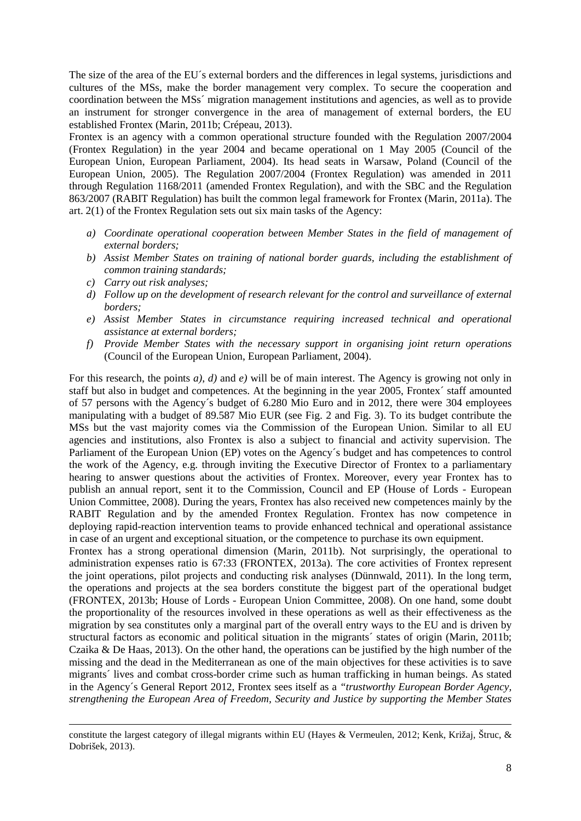The size of the area of the EU´s external borders and the differences in legal systems, jurisdictions and cultures of the MSs, make the border management very complex. To secure the cooperation and coordination between the MSs´ migration management institutions and agencies, as well as to provide an instrument for stronger convergence in the area of management of external borders, the EU established Frontex (Marin, 2011b; Crépeau, 2013).

Frontex is an agency with a common operational structure founded with the Regulation 2007/2004 (Frontex Regulation) in the year 2004 and became operational on 1 May 2005 (Council of the European Union, European Parliament, 2004). Its head seats in Warsaw, Poland (Council of the European Union, 2005). The Regulation 2007/2004 (Frontex Regulation) was amended in 2011 through Regulation 1168/2011 (amended Frontex Regulation), and with the SBC and the Regulation 863/2007 (RABIT Regulation) has built the common legal framework for Frontex (Marin, 2011a). The art. 2(1) of the Frontex Regulation sets out six main tasks of the Agency:

- *a) Coordinate operational cooperation between Member States in the field of management of external borders;*
- *b) Assist Member States on training of national border guards, including the establishment of common training standards;*
- *c) Carry out risk analyses;*

1

- *d) Follow up on the development of research relevant for the control and surveillance of external borders;*
- *e) Assist Member States in circumstance requiring increased technical and operational assistance at external borders;*
- *f) Provide Member States with the necessary support in organising joint return operations* (Council of the European Union, European Parliament, 2004).

For this research, the points *a)*, *d)* and *e)* will be of main interest. The Agency is growing not only in staff but also in budget and competences. At the beginning in the year 2005, Frontex´ staff amounted of 57 persons with the Agency´s budget of 6.280 Mio Euro and in 2012, there were 304 employees manipulating with a budget of 89.587 Mio EUR (see Fig. 2 and Fig. 3). To its budget contribute the MSs but the vast majority comes via the Commission of the European Union. Similar to all EU agencies and institutions, also Frontex is also a subject to financial and activity supervision. The Parliament of the European Union (EP) votes on the Agency´s budget and has competences to control the work of the Agency, e.g. through inviting the Executive Director of Frontex to a parliamentary hearing to answer questions about the activities of Frontex. Moreover, every year Frontex has to publish an annual report, sent it to the Commission, Council and EP (House of Lords - European Union Committee, 2008). During the years, Frontex has also received new competences mainly by the RABIT Regulation and by the amended Frontex Regulation. Frontex has now competence in deploying rapid-reaction intervention teams to provide enhanced technical and operational assistance in case of an urgent and exceptional situation, or the competence to purchase its own equipment.

Frontex has a strong operational dimension (Marin, 2011b). Not surprisingly, the operational to administration expenses ratio is 67:33 (FRONTEX, 2013a). The core activities of Frontex represent the joint operations, pilot projects and conducting risk analyses (Dünnwald, 2011). In the long term, the operations and projects at the sea borders constitute the biggest part of the operational budget (FRONTEX, 2013b; House of Lords - European Union Committee, 2008). On one hand, some doubt the proportionality of the resources involved in these operations as well as their effectiveness as the migration by sea constitutes only a marginal part of the overall entry ways to the EU and is driven by structural factors as economic and political situation in the migrants´ states of origin (Marin, 2011b; Czaika & De Haas, 2013). On the other hand, the operations can be justified by the high number of the missing and the dead in the Mediterranean as one of the main objectives for these activities is to save migrants´ lives and combat cross-border crime such as human trafficking in human beings. As stated in the Agency´s General Report 2012, Frontex sees itself as a *"trustworthy European Border Agency, strengthening the European Area of Freedom, Security and Justice by supporting the Member States* 

constitute the largest category of illegal migrants within EU (Hayes & Vermeulen, 2012; Kenk, Križaj, Štruc, & Dobrišek, 2013).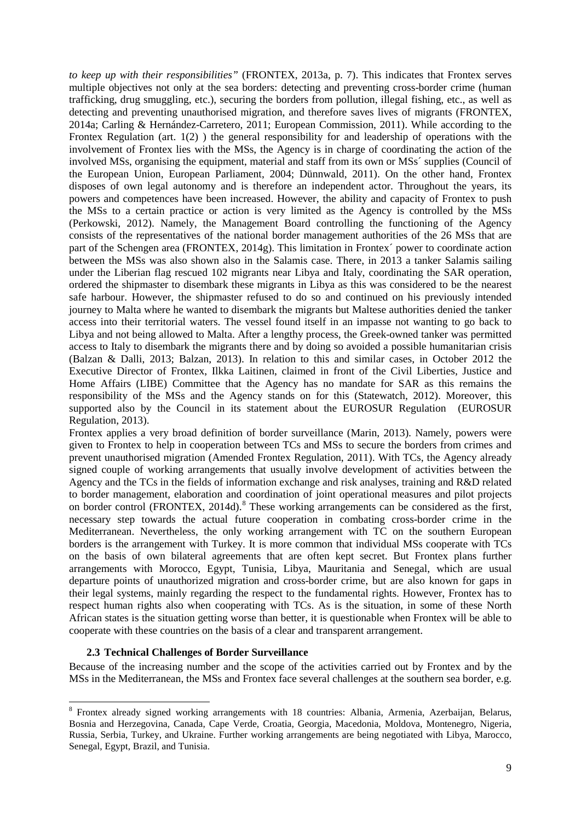*to keep up with their responsibilities"* (FRONTEX, 2013a, p. 7). This indicates that Frontex serves multiple objectives not only at the sea borders: detecting and preventing cross-border crime (human trafficking, drug smuggling, etc.), securing the borders from pollution, illegal fishing, etc., as well as detecting and preventing unauthorised migration, and therefore saves lives of migrants (FRONTEX, 2014a; Carling & Hernández-Carretero, 2011; European Commission, 2011). While according to the Frontex Regulation (art. 1(2) ) the general responsibility for and leadership of operations with the involvement of Frontex lies with the MSs, the Agency is in charge of coordinating the action of the involved MSs, organising the equipment, material and staff from its own or MSs´ supplies (Council of the European Union, European Parliament, 2004; Dünnwald, 2011). On the other hand, Frontex disposes of own legal autonomy and is therefore an independent actor. Throughout the years, its powers and competences have been increased. However, the ability and capacity of Frontex to push the MSs to a certain practice or action is very limited as the Agency is controlled by the MSs (Perkowski, 2012). Namely, the Management Board controlling the functioning of the Agency consists of the representatives of the national border management authorities of the 26 MSs that are part of the Schengen area (FRONTEX, 2014g). This limitation in Frontex´ power to coordinate action between the MSs was also shown also in the Salamis case. There, in 2013 a tanker Salamis sailing under the Liberian flag rescued 102 migrants near Libya and Italy, coordinating the SAR operation, ordered the shipmaster to disembark these migrants in Libya as this was considered to be the nearest safe harbour. However, the shipmaster refused to do so and continued on his previously intended journey to Malta where he wanted to disembark the migrants but Maltese authorities denied the tanker access into their territorial waters. The vessel found itself in an impasse not wanting to go back to Libya and not being allowed to Malta. After a lengthy process, the Greek-owned tanker was permitted access to Italy to disembark the migrants there and by doing so avoided a possible humanitarian crisis (Balzan & Dalli, 2013; Balzan, 2013). In relation to this and similar cases, in October 2012 the Executive Director of Frontex, Ilkka Laitinen, claimed in front of the Civil Liberties, Justice and Home Affairs (LIBE) Committee that the Agency has no mandate for SAR as this remains the responsibility of the MSs and the Agency stands on for this (Statewatch, 2012). Moreover, this supported also by the Council in its statement about the EUROSUR Regulation (EUROSUR Regulation, 2013).

Frontex applies a very broad definition of border surveillance (Marin, 2013). Namely, powers were given to Frontex to help in cooperation between TCs and MSs to secure the borders from crimes and prevent unauthorised migration (Amended Frontex Regulation, 2011). With TCs, the Agency already signed couple of working arrangements that usually involve development of activities between the Agency and the TCs in the fields of information exchange and risk analyses, training and R&D related to border management, elaboration and coordination of joint operational measures and pilot projects on border control (FRONTEX, 2014d).<sup>[8](#page-14-1)</sup> These working arrangements can be considered as the first, necessary step towards the actual future cooperation in combating cross-border crime in the Mediterranean. Nevertheless, the only working arrangement with TC on the southern European borders is the arrangement with Turkey. It is more common that individual MSs cooperate with TCs on the basis of own bilateral agreements that are often kept secret. But Frontex plans further arrangements with Morocco, Egypt, Tunisia, Libya, Mauritania and Senegal, which are usual departure points of unauthorized migration and cross-border crime, but are also known for gaps in their legal systems, mainly regarding the respect to the fundamental rights. However, Frontex has to respect human rights also when cooperating with TCs. As is the situation, in some of these North African states is the situation getting worse than better, it is questionable when Frontex will be able to cooperate with these countries on the basis of a clear and transparent arrangement.

### <span id="page-14-0"></span>**2.3 Technical Challenges of Border Surveillance**

 $\ddot{\phantom{a}}$ 

Because of the increasing number and the scope of the activities carried out by Frontex and by the MSs in the Mediterranean, the MSs and Frontex face several challenges at the southern sea border, e.g.

<span id="page-14-1"></span><sup>&</sup>lt;sup>8</sup> Frontex already signed working arrangements with 18 countries: Albania, Armenia, Azerbaijan, Belarus, Bosnia and Herzegovina, Canada, Cape Verde, Croatia, Georgia, Macedonia, Moldova, Montenegro, Nigeria, Russia, Serbia, Turkey, and Ukraine. Further working arrangements are being negotiated with Libya, Marocco, Senegal, Egypt, Brazil, and Tunisia.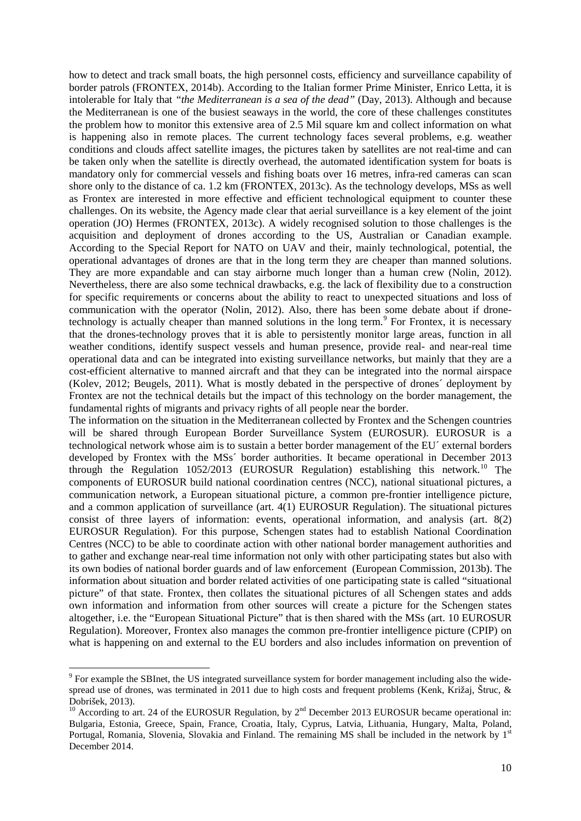how to detect and track small boats, the high personnel costs, efficiency and surveillance capability of border patrols (FRONTEX, 2014b). According to the Italian former Prime Minister, Enrico Letta, it is intolerable for Italy that *"the Mediterranean is a sea of the dead"* (Day, 2013). Although and because the Mediterranean is one of the busiest seaways in the world, the core of these challenges constitutes the problem how to monitor this extensive area of 2.5 Mil square km and collect information on what is happening also in remote places. The current technology faces several problems, e.g. weather conditions and clouds affect satellite images, the pictures taken by satellites are not real-time and can be taken only when the satellite is directly overhead, the automated identification system for boats is mandatory only for commercial vessels and fishing boats over 16 metres, infra-red cameras can scan shore only to the distance of ca. 1.2 km (FRONTEX, 2013c). As the technology develops, MSs as well as Frontex are interested in more effective and efficient technological equipment to counter these challenges. On its website, the Agency made clear that aerial surveillance is a key element of the joint operation (JO) Hermes (FRONTEX, 2013c). A widely recognised solution to those challenges is the acquisition and deployment of drones according to the US, Australian or Canadian example. According to the Special Report for NATO on UAV and their, mainly technological, potential, the operational advantages of drones are that in the long term they are cheaper than manned solutions. They are more expandable and can stay airborne much longer than a human crew (Nolin, 2012). Nevertheless, there are also some technical drawbacks, e.g. the lack of flexibility due to a construction for specific requirements or concerns about the ability to react to unexpected situations and loss of communication with the operator (Nolin, 2012). Also, there has been some debate about if drone-technology is actually cheaper than manned solutions in the long term.<sup>[9](#page-15-0)</sup> For Frontex, it is necessary that the drones-technology proves that it is able to persistently monitor large areas, function in all weather conditions, identify suspect vessels and human presence, provide real- and near-real time operational data and can be integrated into existing surveillance networks, but mainly that they are a cost-efficient alternative to manned aircraft and that they can be integrated into the normal airspace (Kolev, 2012; Beugels, 2011). What is mostly debated in the perspective of drones´ deployment by Frontex are not the technical details but the impact of this technology on the border management, the fundamental rights of migrants and privacy rights of all people near the border.

The information on the situation in the Mediterranean collected by Frontex and the Schengen countries will be shared through European Border Surveillance System (EUROSUR). EUROSUR is a technological network whose aim is to sustain a better border management of the EU´ external borders developed by Frontex with the MSs´ border authorities. It became operational in December 2013 through the Regulation 1052/2013 (EUROSUR Regulation) establishing this network. [10](#page-15-1) The components of EUROSUR build national coordination centres (NCC), national situational pictures, a communication network, a European situational picture, a common pre-frontier intelligence picture, and a common application of surveillance (art. 4(1) EUROSUR Regulation). The situational pictures consist of three layers of information: events, operational information, and analysis (art. 8(2) EUROSUR Regulation). For this purpose, Schengen states had to establish National Coordination Centres (NCC) to be able to coordinate action with other national border management authorities and to gather and exchange near-real time information not only with other participating states but also with its own bodies of national border guards and of law enforcement (European Commission, 2013b). The information about situation and border related activities of one participating state is called "situational picture" of that state. Frontex, then collates the situational pictures of all Schengen states and adds own information and information from other sources will create a picture for the Schengen states altogether, i.e. the "European Situational Picture" that is then shared with the MSs (art. 10 EUROSUR Regulation). Moreover, Frontex also manages the common pre-frontier intelligence picture (CPIP) on what is happening on and external to the EU borders and also includes information on prevention of

<span id="page-15-0"></span><sup>9</sup> For example the SBInet, the US integrated surveillance system for border management including also the widespread use of drones, was terminated in 2011 due to high costs and frequent problems (Kenk, Križaj, Štruc, & Dobrišek, 2013).<br><sup>10</sup> According to art. 24 of the EUROSUR Regulation, by 2<sup>nd</sup> December 2013 EUROSUR became operational in:

<span id="page-15-1"></span>Bulgaria, Estonia, Greece, Spain, France, Croatia, Italy, Cyprus, Latvia, Lithuania, Hungary, Malta, Poland, Portugal, Romania, Slovenia, Slovakia and Finland. The remaining MS shall be included in the network by 1<sup>st</sup> December 2014.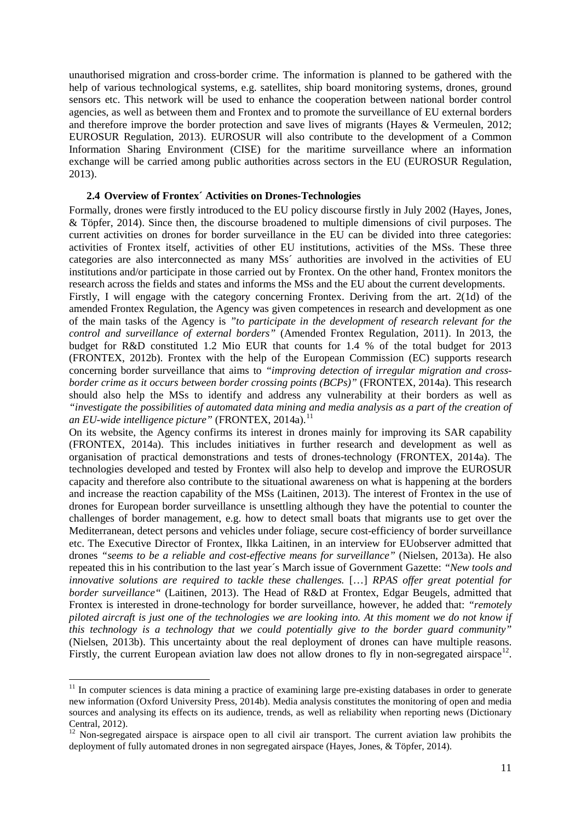unauthorised migration and cross-border crime. The information is planned to be gathered with the help of various technological systems, e.g. satellites, ship board monitoring systems, drones, ground sensors etc. This network will be used to enhance the cooperation between national border control agencies, as well as between them and Frontex and to promote the surveillance of EU external borders and therefore improve the border protection and save lives of migrants (Hayes & Vermeulen, 2012; EUROSUR Regulation, 2013). EUROSUR will also contribute to the development of a Common Information Sharing Environment (CISE) for the maritime surveillance where an information exchange will be carried among public authorities across sectors in the EU (EUROSUR Regulation, 2013).

#### <span id="page-16-0"></span>**2.4 Overview of Frontex´ Activities on Drones-Technologies**

Formally, drones were firstly introduced to the EU policy discourse firstly in July 2002 (Hayes, Jones, & Töpfer, 2014). Since then, the discourse broadened to multiple dimensions of civil purposes. The current activities on drones for border surveillance in the EU can be divided into three categories: activities of Frontex itself, activities of other EU institutions, activities of the MSs. These three categories are also interconnected as many MSs´ authorities are involved in the activities of EU institutions and/or participate in those carried out by Frontex. On the other hand, Frontex monitors the research across the fields and states and informs the MSs and the EU about the current developments.

Firstly, I will engage with the category concerning Frontex. Deriving from the art. 2(1d) of the amended Frontex Regulation, the Agency was given competences in research and development as one of the main tasks of the Agency is *"to participate in the development of research relevant for the control and surveillance of external borders"* (Amended Frontex Regulation, 2011). In 2013, the budget for R&D constituted 1.2 Mio EUR that counts for 1.4 % of the total budget for 2013 (FRONTEX, 2012b). Frontex with the help of the European Commission (EC) supports research concerning border surveillance that aims to *"improving detection of irregular migration and crossborder crime as it occurs between border crossing points (BCPs)"* (FRONTEX, 2014a). This research should also help the MSs to identify and address any vulnerability at their borders as well as *"investigate the possibilities of automated data mining and media analysis as a part of the creation of an EU-wide intelligence picture"* (FRONTEX, 2014a). [11](#page-16-1)

On its website, the Agency confirms its interest in drones mainly for improving its SAR capability (FRONTEX, 2014a). This includes initiatives in further research and development as well as organisation of practical demonstrations and tests of drones-technology (FRONTEX, 2014a). The technologies developed and tested by Frontex will also help to develop and improve the EUROSUR capacity and therefore also contribute to the situational awareness on what is happening at the borders and increase the reaction capability of the MSs (Laitinen, 2013). The interest of Frontex in the use of drones for European border surveillance is unsettling although they have the potential to counter the challenges of border management, e.g. how to detect small boats that migrants use to get over the Mediterranean, detect persons and vehicles under foliage, secure cost-efficiency of border surveillance etc. The Executive Director of Frontex, Ilkka Laitinen, in an interview for EUobserver admitted that drones *"seems to be a reliable and cost-effective means for surveillance"* (Nielsen, 2013a). He also repeated this in his contribution to the last year´s March issue of Government Gazette: *"New tools and innovative solutions are required to tackle these challenges.* […] *RPAS offer great potential for border surveillance"* (Laitinen, 2013). The Head of R&D at Frontex, Edgar Beugels, admitted that Frontex is interested in drone-technology for border surveillance, however, he added that: *"remotely piloted aircraft is just one of the technologies we are looking into. At this moment we do not know if this technology is a technology that we could potentially give to the border guard community"* (Nielsen, 2013b). This uncertainty about the real deployment of drones can have multiple reasons. Firstly, the current European aviation law does not allow drones to fly in non-segregated airspace<sup>12</sup>.

<span id="page-16-1"></span> $11$  In computer sciences is data mining a practice of examining large pre-existing databases in order to generate new information (Oxford University Press, 2014b). Media analysis constitutes the monitoring of open and media sources and analysing its effects on its audience, trends, as well as reliability when reporting news (Dictionary Central, 2012).

<span id="page-16-2"></span> $12$  Non-segregated airspace is airspace open to all civil air transport. The current aviation law prohibits the deployment of fully automated drones in non segregated airspace (Hayes, Jones, & Töpfer, 2014).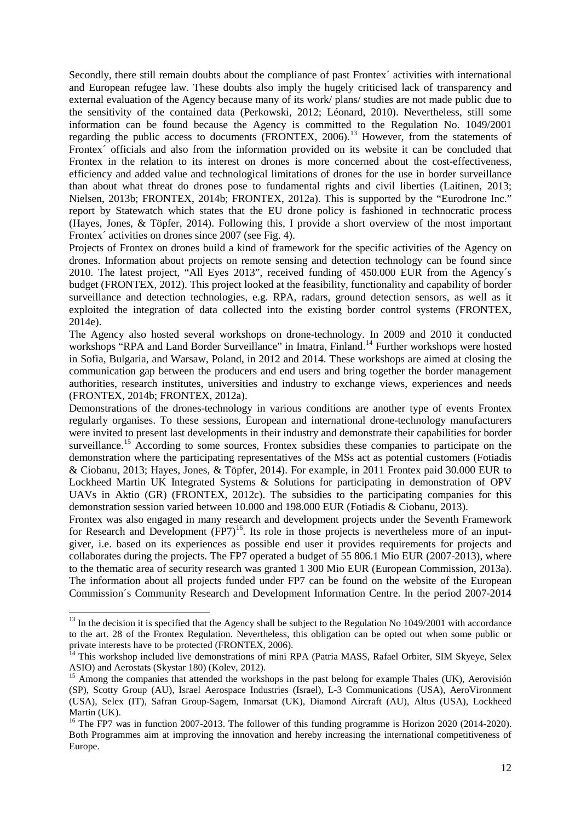Secondly, there still remain doubts about the compliance of past Frontex´ activities with international and European refugee law. These doubts also imply the hugely criticised lack of transparency and external evaluation of the Agency because many of its work/ plans/ studies are not made public due to the sensitivity of the contained data (Perkowski, 2012; Léonard, 2010). Nevertheless, still some information can be found because the Agency is committed to the Regulation No. 1049/2001 regarding the public access to documents (FRONTEX, 2006).<sup>[13](#page-17-0)</sup> However, from the statements of Frontex´ officials and also from the information provided on its website it can be concluded that Frontex in the relation to its interest on drones is more concerned about the cost-effectiveness, efficiency and added value and technological limitations of drones for the use in border surveillance than about what threat do drones pose to fundamental rights and civil liberties (Laitinen, 2013; Nielsen, 2013b; FRONTEX, 2014b; FRONTEX, 2012a). This is supported by the "Eurodrone Inc." report by Statewatch which states that the EU drone policy is fashioned in technocratic process (Hayes, Jones, & Töpfer, 2014). Following this, I provide a short overview of the most important Frontex<sup> $\epsilon$ </sup> activities on drones since 2007 (see [Fig. 4\)](#page-35-0).

Projects of Frontex on drones build a kind of framework for the specific activities of the Agency on drones. Information about projects on remote sensing and detection technology can be found since 2010. The latest project, "All Eyes 2013", received funding of 450.000 EUR from the Agency´s budget (FRONTEX, 2012). This project looked at the feasibility, functionality and capability of border surveillance and detection technologies, e.g. RPA, radars, ground detection sensors, as well as it exploited the integration of data collected into the existing border control systems (FRONTEX, 2014e).

The Agency also hosted several workshops on drone-technology. In 2009 and 2010 it conducted workshops "RPA and Land Border Surveillance" in Imatra, Finland.<sup>[14](#page-17-1)</sup> Further workshops were hosted in Sofia, Bulgaria, and Warsaw, Poland, in 2012 and 2014. These workshops are aimed at closing the communication gap between the producers and end users and bring together the border management authorities, research institutes, universities and industry to exchange views, experiences and needs (FRONTEX, 2014b; FRONTEX, 2012a).

Demonstrations of the drones-technology in various conditions are another type of events Frontex regularly organises. To these sessions, European and international drone-technology manufacturers were invited to present last developments in their industry and demonstrate their capabilities for border surveillance.<sup>[15](#page-17-2)</sup> According to some sources, Frontex subsidies these companies to participate on the demonstration where the participating representatives of the MSs act as potential customers (Fotiadis & Ciobanu, 2013; Hayes, Jones, & Töpfer, 2014). For example, in 2011 Frontex paid 30.000 EUR to Lockheed Martin UK Integrated Systems & Solutions for participating in demonstration of OPV UAVs in Aktio (GR) (FRONTEX, 2012c). The subsidies to the participating companies for this demonstration session varied between 10.000 and 198.000 EUR (Fotiadis & Ciobanu, 2013).

Frontex was also engaged in many research and development projects under the Seventh Framework for Research and Development (FP7)<sup>[16](#page-17-3)</sup>. Its role in those projects is nevertheless more of an inputgiver, i.e. based on its experiences as possible end user it provides requirements for projects and collaborates during the projects. The FP7 operated a budget of 55 806.1 Mio EUR (2007-2013), where to the thematic area of security research was granted 1 300 Mio EUR (European Commission, 2013a). The information about all projects funded under FP7 can be found on the website of the European Commission´s Community Research and Development Information Centre. In the period 2007-2014

<span id="page-17-0"></span> $13$  In the decision it is specified that the Agency shall be subject to the Regulation No  $1049/2001$  with accordance to the art. 28 of the Frontex Regulation. Nevertheless, this obligation can be opted out when some public or private interests have to be protected (FRONTEX, 2006).

<span id="page-17-1"></span><sup>&</sup>lt;sup>14</sup> This workshop included live demonstrations of mini RPA (Patria MASS, Rafael Orbiter, SIM Skyeye, Selex ASIO) and Aerostats (Skystar 180) (Koley, 2012).

<span id="page-17-2"></span> $\frac{15}{15}$  Among the companies that attended the workshops in the past belong for example Thales (UK), Aerovisión (SP), Scotty Group (AU), Israel Aerospace Industries (Israel), L-3 Communications (USA), AeroVironment (USA), Selex (IT), Safran Group-Sagem, Inmarsat (UK), Diamond Aircraft (AU), Altus (USA), Lockheed Martin (UK).

<span id="page-17-3"></span><sup>&</sup>lt;sup>16</sup> The FP7 was in function 2007-2013. The follower of this funding programme is Horizon 2020 (2014-2020). Both Programmes aim at improving the innovation and hereby increasing the international competitiveness of Europe.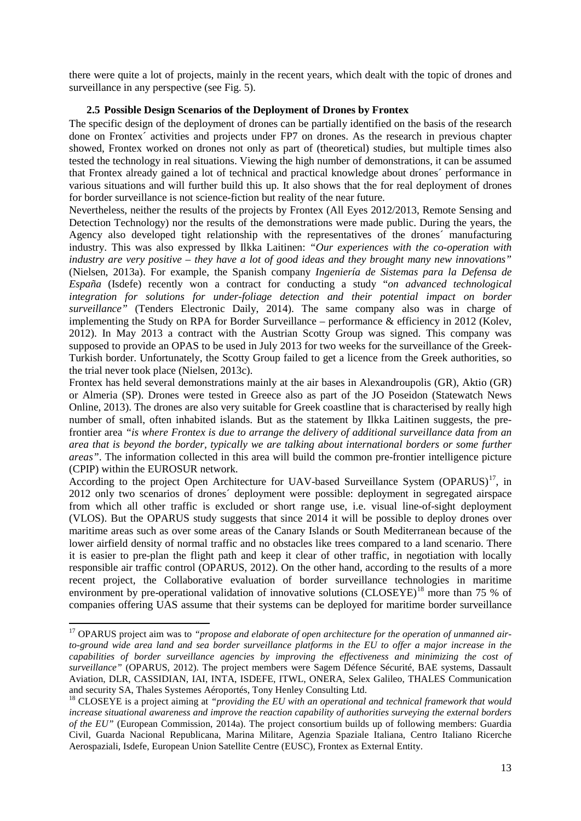there were quite a lot of projects, mainly in the recent years, which dealt with the topic of drones and surveillance in any perspective (see [Fig. 5\)](#page-38-0).

### <span id="page-18-0"></span>**2.5 Possible Design Scenarios of the Deployment of Drones by Frontex**

The specific design of the deployment of drones can be partially identified on the basis of the research done on Frontex´ activities and projects under FP7 on drones. As the research in previous chapter showed, Frontex worked on drones not only as part of (theoretical) studies, but multiple times also tested the technology in real situations. Viewing the high number of demonstrations, it can be assumed that Frontex already gained a lot of technical and practical knowledge about drones´ performance in various situations and will further build this up. It also shows that the for real deployment of drones for border surveillance is not science-fiction but reality of the near future.

Nevertheless, neither the results of the projects by Frontex (All Eyes 2012/2013, Remote Sensing and Detection Technology) nor the results of the demonstrations were made public. During the years, the Agency also developed tight relationship with the representatives of the drones´ manufacturing industry. This was also expressed by Ilkka Laitinen: *"Our experiences with the co-operation with industry are very positive – they have a lot of good ideas and they brought many new innovations"* (Nielsen, 2013a). For example, the Spanish company *Ingeniería de Sistemas para la Defensa de España* (Isdefe) recently won a contract for conducting a study "*on advanced technological*  integration for solutions for under-foliage detection and their potential impact on border *surveillance"* (Tenders Electronic Daily, 2014). The same company also was in charge of implementing the Study on RPA for Border Surveillance – performance & efficiency in 2012 (Kolev, 2012). In May 2013 a contract with the Austrian Scotty Group was signed. This company was supposed to provide an OPAS to be used in July 2013 for two weeks for the surveillance of the Greek-Turkish border. Unfortunately, the Scotty Group failed to get a licence from the Greek authorities, so the trial never took place (Nielsen, 2013c).

Frontex has held several demonstrations mainly at the air bases in Alexandroupolis (GR), Aktio (GR) or Almeria (SP). Drones were tested in Greece also as part of the JO Poseidon (Statewatch News Online, 2013). The drones are also very suitable for Greek coastline that is characterised by really high number of small, often inhabited islands. But as the statement by Ilkka Laitinen suggests, the prefrontier area *"is where Frontex is due to arrange the delivery of additional surveillance data from an area that is beyond the border, typically we are talking about international borders or some further areas"*. The information collected in this area will build the common pre-frontier intelligence picture (CPIP) within the EUROSUR network.

According to the project Open Architecture for UAV-based Surveillance System  $(OPARUS)^{17}$  $(OPARUS)^{17}$  $(OPARUS)^{17}$ , in 2012 only two scenarios of drones´ deployment were possible: deployment in segregated airspace from which all other traffic is excluded or short range use, i.e. visual line-of-sight deployment (VLOS). But the OPARUS study suggests that since 2014 it will be possible to deploy drones over maritime areas such as over some areas of the Canary Islands or South Mediterranean because of the lower airfield density of normal traffic and no obstacles like trees compared to a land scenario. There it is easier to pre-plan the flight path and keep it clear of other traffic, in negotiation with locally responsible air traffic control (OPARUS, 2012). On the other hand, according to the results of a more recent project, the Collaborative evaluation of border surveillance technologies in maritime environment by pre-operational validation of innovative solutions (CLOSEYE)<sup>[18](#page-18-2)</sup> more than 75 % of companies offering UAS assume that their systems can be deployed for maritime border surveillance

 $\ddot{\phantom{a}}$ 

<span id="page-18-1"></span><sup>&</sup>lt;sup>17</sup> OPARUS project aim was to "*propose and elaborate of open architecture for the operation of unmanned airto-ground wide area land and sea border surveillance platforms in the EU to offer a major increase in the capabilities of border surveillance agencies by improving the effectiveness and minimizing the cost of surveillance"* (OPARUS, 2012). The project members were Sagem Défence Sécurité, BAE systems, Dassault Aviation, DLR, CASSIDIAN, IAI, INTA, ISDEFE, ITWL, ONERA, Selex Galileo, THALES Communication and security SA, Thales Systemes Aéroportés, Tony Henley Consulting Ltd.

<span id="page-18-2"></span><sup>&</sup>lt;sup>18</sup> CLOSEYE is a project aiming at *"providing the EU with an operational and technical framework that would increase situational awareness and improve the reaction capability of authorities surveying the external borders of the EU"* (European Commission, 2014a). The project consortium builds up of following members: Guardia Civil, Guarda Nacional Republicana, Marina Militare, Agenzia Spaziale Italiana, Centro Italiano Ricerche Aerospaziali, Isdefe, European Union Satellite Centre (EUSC), Frontex as External Entity.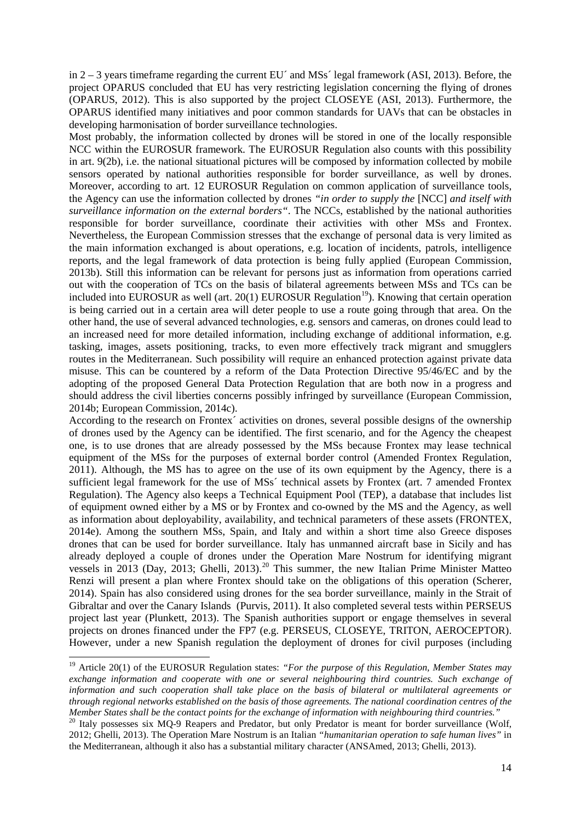in 2 – 3 years timeframe regarding the current EU´ and MSs´ legal framework (ASI, 2013). Before, the project OPARUS concluded that EU has very restricting legislation concerning the flying of drones (OPARUS, 2012). This is also supported by the project CLOSEYE (ASI, 2013). Furthermore, the OPARUS identified many initiatives and poor common standards for UAVs that can be obstacles in developing harmonisation of border surveillance technologies.

Most probably, the information collected by drones will be stored in one of the locally responsible NCC within the EUROSUR framework. The EUROSUR Regulation also counts with this possibility in art. 9(2b), i.e. the national situational pictures will be composed by information collected by mobile sensors operated by national authorities responsible for border surveillance, as well by drones. Moreover, according to art. 12 EUROSUR Regulation on common application of surveillance tools, the Agency can use the information collected by drones *"in order to supply the* [NCC] *and itself with surveillance information on the external borders"*. The NCCs, established by the national authorities responsible for border surveillance, coordinate their activities with other MSs and Frontex. Nevertheless, the European Commission stresses that the exchange of personal data is very limited as the main information exchanged is about operations, e.g. location of incidents, patrols, intelligence reports, and the legal framework of data protection is being fully applied (European Commission, 2013b). Still this information can be relevant for persons just as information from operations carried out with the cooperation of TCs on the basis of bilateral agreements between MSs and TCs can be included into EUROSUR as well (art. 20(1) EUROSUR Regulation<sup>19</sup>). Knowing that certain operation is being carried out in a certain area will deter people to use a route going through that area. On the other hand, the use of several advanced technologies, e.g. sensors and cameras, on drones could lead to an increased need for more detailed information, including exchange of additional information, e.g. tasking, images, assets positioning, tracks, to even more effectively track migrant and smugglers routes in the Mediterranean. Such possibility will require an enhanced protection against private data misuse. This can be countered by a reform of the Data Protection Directive 95/46/EC and by the adopting of the proposed General Data Protection Regulation that are both now in a progress and should address the civil liberties concerns possibly infringed by surveillance (European Commission, 2014b; European Commission, 2014c).

According to the research on Frontex´ activities on drones, several possible designs of the ownership of drones used by the Agency can be identified. The first scenario, and for the Agency the cheapest one, is to use drones that are already possessed by the MSs because Frontex may lease technical equipment of the MSs for the purposes of external border control (Amended Frontex Regulation, 2011). Although, the MS has to agree on the use of its own equipment by the Agency, there is a sufficient legal framework for the use of MSs´ technical assets by Frontex (art. 7 amended Frontex Regulation). The Agency also keeps a Technical Equipment Pool (TEP), a database that includes list of equipment owned either by a MS or by Frontex and co-owned by the MS and the Agency, as well as information about deployability, availability, and technical parameters of these assets (FRONTEX, 2014e). Among the southern MSs, Spain, and Italy and within a short time also Greece disposes drones that can be used for border surveillance. Italy has unmanned aircraft base in Sicily and has already deployed a couple of drones under the Operation Mare Nostrum for identifying migrant vessels in [20](#page-19-1)13 (Day, 2013; Ghelli, 2013).<sup>20</sup> This summer, the new Italian Prime Minister Matteo Renzi will present a plan where Frontex should take on the obligations of this operation (Scherer, 2014). Spain has also considered using drones for the sea border surveillance, mainly in the Strait of Gibraltar and over the Canary Islands (Purvis, 2011). It also completed several tests within PERSEUS project last year (Plunkett, 2013). The Spanish authorities support or engage themselves in several projects on drones financed under the FP7 (e.g. PERSEUS, CLOSEYE, TRITON, AEROCEPTOR). However, under a new Spanish regulation the deployment of drones for civil purposes (including

 $\ddot{\phantom{a}}$ 

<span id="page-19-0"></span><sup>&</sup>lt;sup>19</sup> Article 20(1) of the EUROSUR Regulation states: "For the purpose of this Regulation, Member States may *exchange information and cooperate with one or several neighbouring third countries. Such exchange of information and such cooperation shall take place on the basis of bilateral or multilateral agreements or through regional networks established on the basis of those agreements. The national coordination centres of the Member States shall be the contact points for the exchange of information with neighbouring third countries."*

<span id="page-19-1"></span><sup>&</sup>lt;sup>20</sup> Italy possesses six MQ-9 Reapers and Predator, but only Predator is meant for border surveillance (Wolf, 2012; Ghelli, 2013). The Operation Mare Nostrum is an Italian *"humanitarian operation to safe human lives"* in the Mediterranean, although it also has a substantial military character (ANSAmed, 2013; Ghelli, 2013).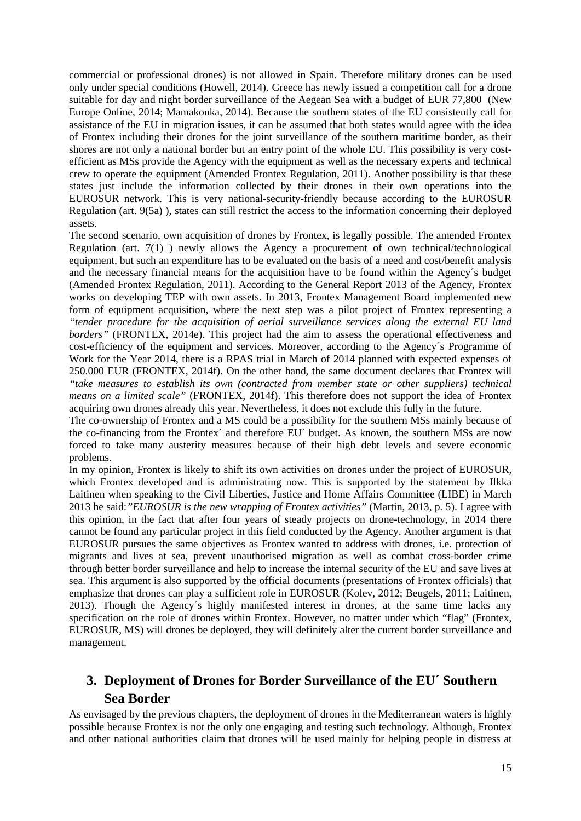commercial or professional drones) is not allowed in Spain. Therefore military drones can be used only under special conditions (Howell, 2014). Greece has newly issued a competition call for a drone suitable for day and night border surveillance of the Aegean Sea with a budget of EUR 77,800 (New Europe Online, 2014; Mamakouka, 2014). Because the southern states of the EU consistently call for assistance of the EU in migration issues, it can be assumed that both states would agree with the idea of Frontex including their drones for the joint surveillance of the southern maritime border, as their shores are not only a national border but an entry point of the whole EU. This possibility is very costefficient as MSs provide the Agency with the equipment as well as the necessary experts and technical crew to operate the equipment (Amended Frontex Regulation, 2011). Another possibility is that these states just include the information collected by their drones in their own operations into the EUROSUR network. This is very national-security-friendly because according to the EUROSUR Regulation (art. 9(5a) ), states can still restrict the access to the information concerning their deployed assets.

The second scenario, own acquisition of drones by Frontex, is legally possible. The amended Frontex Regulation (art. 7(1) ) newly allows the Agency a procurement of own technical/technological equipment, but such an expenditure has to be evaluated on the basis of a need and cost/benefit analysis and the necessary financial means for the acquisition have to be found within the Agency´s budget (Amended Frontex Regulation, 2011). According to the General Report 2013 of the Agency, Frontex works on developing TEP with own assets. In 2013, Frontex Management Board implemented new form of equipment acquisition, where the next step was a pilot project of Frontex representing a *"tender procedure for the acquisition of aerial surveillance services along the external EU land*  borders" (FRONTEX, 2014e). This project had the aim to assess the operational effectiveness and cost-efficiency of the equipment and services. Moreover, according to the Agency´s Programme of Work for the Year 2014, there is a RPAS trial in March of 2014 planned with expected expenses of 250.000 EUR (FRONTEX, 2014f). On the other hand, the same document declares that Frontex will *"take measures to establish its own (contracted from member state or other suppliers) technical means on a limited scale"* (FRONTEX, 2014f). This therefore does not support the idea of Frontex acquiring own drones already this year. Nevertheless, it does not exclude this fully in the future.

The co-ownership of Frontex and a MS could be a possibility for the southern MSs mainly because of the co-financing from the Frontex´ and therefore EU´ budget. As known, the southern MSs are now forced to take many austerity measures because of their high debt levels and severe economic problems.

In my opinion, Frontex is likely to shift its own activities on drones under the project of EUROSUR, which Frontex developed and is administrating now. This is supported by the statement by Ilkka Laitinen when speaking to the Civil Liberties, Justice and Home Affairs Committee (LIBE) in March 2013 he said:*"EUROSUR is the new wrapping of Frontex activities"* (Martin, 2013, p. 5). I agree with this opinion, in the fact that after four years of steady projects on drone-technology, in 2014 there cannot be found any particular project in this field conducted by the Agency. Another argument is that EUROSUR pursues the same objectives as Frontex wanted to address with drones, i.e. protection of migrants and lives at sea, prevent unauthorised migration as well as combat cross-border crime through better border surveillance and help to increase the internal security of the EU and save lives at sea. This argument is also supported by the official documents (presentations of Frontex officials) that emphasize that drones can play a sufficient role in EUROSUR (Kolev, 2012; Beugels, 2011; Laitinen, 2013). Though the Agency´s highly manifested interest in drones, at the same time lacks any specification on the role of drones within Frontex. However, no matter under which "flag" (Frontex, EUROSUR, MS) will drones be deployed, they will definitely alter the current border surveillance and management.

# <span id="page-20-0"></span>**3. Deployment of Drones for Border Surveillance of the EU´ Southern Sea Border**

As envisaged by the previous chapters, the deployment of drones in the Mediterranean waters is highly possible because Frontex is not the only one engaging and testing such technology. Although, Frontex and other national authorities claim that drones will be used mainly for helping people in distress at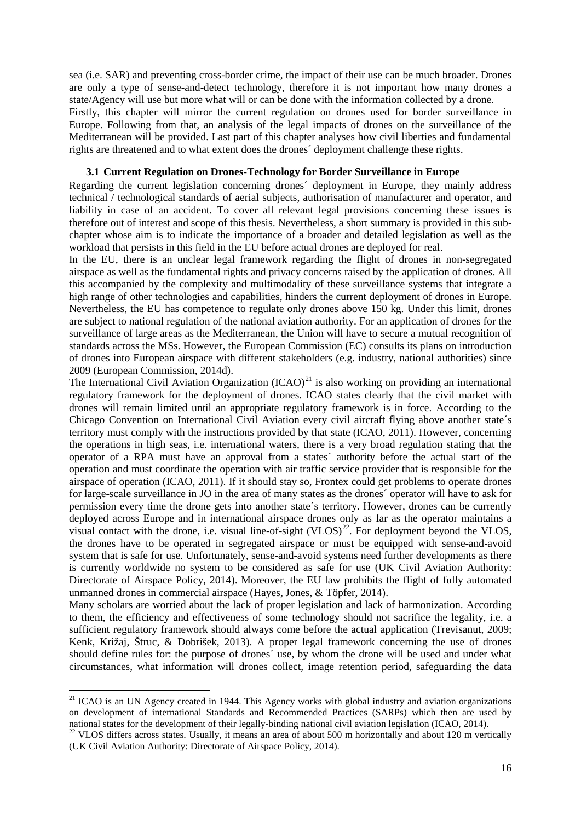sea (i.e. SAR) and preventing cross-border crime, the impact of their use can be much broader. Drones are only a type of sense-and-detect technology, therefore it is not important how many drones a state/Agency will use but more what will or can be done with the information collected by a drone. Firstly, this chapter will mirror the current regulation on drones used for border surveillance in Europe. Following from that, an analysis of the legal impacts of drones on the surveillance of the Mediterranean will be provided. Last part of this chapter analyses how civil liberties and fundamental rights are threatened and to what extent does the drones´ deployment challenge these rights.

#### <span id="page-21-0"></span>**3.1 Current Regulation on Drones-Technology for Border Surveillance in Europe**

Regarding the current legislation concerning drones´ deployment in Europe, they mainly address technical / technological standards of aerial subjects, authorisation of manufacturer and operator, and liability in case of an accident. To cover all relevant legal provisions concerning these issues is therefore out of interest and scope of this thesis. Nevertheless, a short summary is provided in this subchapter whose aim is to indicate the importance of a broader and detailed legislation as well as the workload that persists in this field in the EU before actual drones are deployed for real.

In the EU, there is an unclear legal framework regarding the flight of drones in non-segregated airspace as well as the fundamental rights and privacy concerns raised by the application of drones. All this accompanied by the complexity and multimodality of these surveillance systems that integrate a high range of other technologies and capabilities, hinders the current deployment of drones in Europe. Nevertheless, the EU has competence to regulate only drones above 150 kg. Under this limit, drones are subject to national regulation of the national aviation authority. For an application of drones for the surveillance of large areas as the Mediterranean, the Union will have to secure a mutual recognition of standards across the MSs. However, the European Commission (EC) consults its plans on introduction of drones into European airspace with different stakeholders (e.g. industry, national authorities) since 2009 (European Commission, 2014d).

The International Civil Aviation Organization  $(ICAO)^{21}$  $(ICAO)^{21}$  $(ICAO)^{21}$  is also working on providing an international regulatory framework for the deployment of drones. ICAO states clearly that the civil market with drones will remain limited until an appropriate regulatory framework is in force. According to the Chicago Convention on International Civil Aviation every civil aircraft flying above another state´s territory must comply with the instructions provided by that state (ICAO, 2011). However, concerning the operations in high seas, i.e. international waters, there is a very broad regulation stating that the operator of a RPA must have an approval from a states´ authority before the actual start of the operation and must coordinate the operation with air traffic service provider that is responsible for the airspace of operation (ICAO, 2011). If it should stay so, Frontex could get problems to operate drones for large-scale surveillance in JO in the area of many states as the drones´ operator will have to ask for permission every time the drone gets into another state´s territory. However, drones can be currently deployed across Europe and in international airspace drones only as far as the operator maintains a visual contact with the drone, i.e. visual line-of-sight  $(VLOS)^{22}$ . For deployment beyond the VLOS, the drones have to be operated in segregated airspace or must be equipped with sense-and-avoid system that is safe for use. Unfortunately, sense-and-avoid systems need further developments as there is currently worldwide no system to be considered as safe for use (UK Civil Aviation Authority: Directorate of Airspace Policy, 2014). Moreover, the EU law prohibits the flight of fully automated unmanned drones in commercial airspace (Hayes, Jones, & Töpfer, 2014).

Many scholars are worried about the lack of proper legislation and lack of harmonization. According to them, the efficiency and effectiveness of some technology should not sacrifice the legality, i.e. a sufficient regulatory framework should always come before the actual application (Trevisanut, 2009; Kenk, Križaj, Štruc, & Dobrišek, 2013). A proper legal framework concerning the use of drones should define rules for: the purpose of drones´ use, by whom the drone will be used and under what circumstances, what information will drones collect, image retention period, safeguarding the data

<span id="page-21-1"></span><sup>&</sup>lt;sup>21</sup> ICAO is an UN Agency created in 1944. This Agency works with global industry and aviation organizations on development of international Standards and Recommended Practices (SARPs) which then are used by national states for the development of their legally-binding national civil aviation legislation (ICAO, 2014).

<span id="page-21-2"></span> $22$  VLOS differs across states. Usually, it means an area of about 500 m horizontally and about 120 m vertically (UK Civil Aviation Authority: Directorate of Airspace Policy, 2014).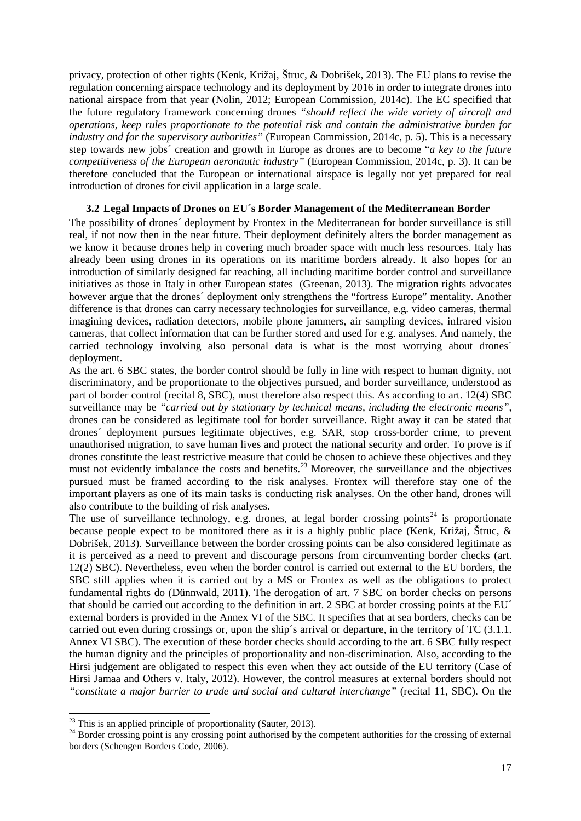privacy, protection of other rights (Kenk, Križaj, Štruc, & Dobrišek, 2013). The EU plans to revise the regulation concerning airspace technology and its deployment by 2016 in order to integrate drones into national airspace from that year (Nolin, 2012; European Commission, 2014c). The EC specified that the future regulatory framework concerning drones *"should reflect the wide variety of aircraft and operations, keep rules proportionate to the potential risk and contain the administrative burden for industry and for the supervisory authorities"* (European Commission, 2014c, p. 5). This is a necessary step towards new jobs´ creation and growth in Europe as drones are to become "*a key to the future competitiveness of the European aeronautic industry"* (European Commission, 2014c, p. 3). It can be therefore concluded that the European or international airspace is legally not yet prepared for real introduction of drones for civil application in a large scale.

#### <span id="page-22-0"></span>**3.2 Legal Impacts of Drones on EU´s Border Management of the Mediterranean Border**

The possibility of drones´ deployment by Frontex in the Mediterranean for border surveillance is still real, if not now then in the near future. Their deployment definitely alters the border management as we know it because drones help in covering much broader space with much less resources. Italy has already been using drones in its operations on its maritime borders already. It also hopes for an introduction of similarly designed far reaching, all including maritime border control and surveillance initiatives as those in Italy in other European states (Greenan, 2013). The migration rights advocates however argue that the drones´ deployment only strengthens the "fortress Europe" mentality. Another difference is that drones can carry necessary technologies for surveillance, e.g. video cameras, thermal imagining devices, radiation detectors, mobile phone jammers, air sampling devices, infrared vision cameras, that collect information that can be further stored and used for e.g. analyses. And namely, the carried technology involving also personal data is what is the most worrying about drones´ deployment.

As the art. 6 SBC states, the border control should be fully in line with respect to human dignity, not discriminatory, and be proportionate to the objectives pursued, and border surveillance, understood as part of border control (recital 8, SBC), must therefore also respect this. As according to art. 12(4) SBC surveillance may be *"carried out by stationary by technical means, including the electronic means"*, drones can be considered as legitimate tool for border surveillance. Right away it can be stated that drones´ deployment pursues legitimate objectives, e.g. SAR, stop cross-border crime, to prevent unauthorised migration, to save human lives and protect the national security and order. To prove is if drones constitute the least restrictive measure that could be chosen to achieve these objectives and they must not evidently imbalance the costs and benefits.<sup>[23](#page-22-1)</sup> Moreover, the surveillance and the objectives pursued must be framed according to the risk analyses. Frontex will therefore stay one of the important players as one of its main tasks is conducting risk analyses. On the other hand, drones will also contribute to the building of risk analyses.

The use of surveillance technology, e.g. drones, at legal border crossing points<sup>[24](#page-22-2)</sup> is proportionate because people expect to be monitored there as it is a highly public place (Kenk, Križaj, Štruc, & Dobrišek, 2013). Surveillance between the border crossing points can be also considered legitimate as it is perceived as a need to prevent and discourage persons from circumventing border checks (art. 12(2) SBC). Nevertheless, even when the border control is carried out external to the EU borders, the SBC still applies when it is carried out by a MS or Frontex as well as the obligations to protect fundamental rights do (Dünnwald, 2011). The derogation of art. 7 SBC on border checks on persons that should be carried out according to the definition in art. 2 SBC at border crossing points at the EU´ external borders is provided in the Annex VI of the SBC. It specifies that at sea borders, checks can be carried out even during crossings or, upon the ship's arrival or departure, in the territory of TC (3.1.1. Annex VI SBC). The execution of these border checks should according to the art. 6 SBC fully respect the human dignity and the principles of proportionality and non-discrimination. Also, according to the Hirsi judgement are obligated to respect this even when they act outside of the EU territory (Case of Hirsi Jamaa and Others v. Italy, 2012). However, the control measures at external borders should not *"constitute a major barrier to trade and social and cultural interchange"* (recital 11, SBC). On the

<span id="page-22-1"></span> $^{23}$  This is an applied principle of proportionality (Sauter, 2013).

<span id="page-22-2"></span> $24$  Border crossing point is any crossing point authorised by the competent authorities for the crossing of external borders (Schengen Borders Code, 2006).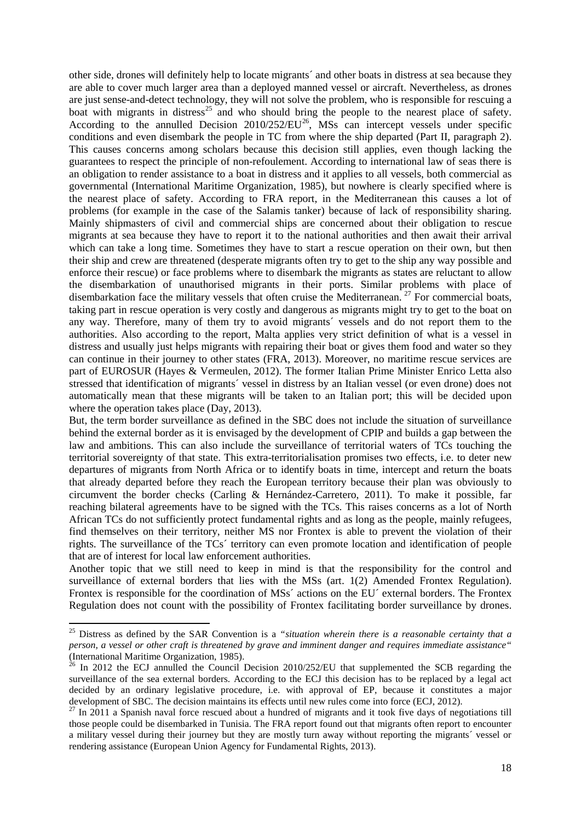other side, drones will definitely help to locate migrants´ and other boats in distress at sea because they are able to cover much larger area than a deployed manned vessel or aircraft. Nevertheless, as drones are just sense-and-detect technology, they will not solve the problem, who is responsible for rescuing a boat with migrants in distress<sup>[25](#page-23-0)</sup> and who should bring the people to the nearest place of safety. According to the annulled Decision  $2010/252/EU^{26}$ , MSs can intercept vessels under specific conditions and even disembark the people in TC from where the ship departed (Part II, paragraph 2). This causes concerns among scholars because this decision still applies, even though lacking the guarantees to respect the principle of non-refoulement. According to international law of seas there is an obligation to render assistance to a boat in distress and it applies to all vessels, both commercial as governmental (International Maritime Organization, 1985), but nowhere is clearly specified where is the nearest place of safety. According to FRA report, in the Mediterranean this causes a lot of problems (for example in the case of the Salamis tanker) because of lack of responsibility sharing. Mainly shipmasters of civil and commercial ships are concerned about their obligation to rescue migrants at sea because they have to report it to the national authorities and then await their arrival which can take a long time. Sometimes they have to start a rescue operation on their own, but then their ship and crew are threatened (desperate migrants often try to get to the ship any way possible and enforce their rescue) or face problems where to disembark the migrants as states are reluctant to allow the disembarkation of unauthorised migrants in their ports. Similar problems with place of disembarkation face the military vessels that often cruise the Mediterranean.<sup>[27](#page-23-2)</sup> For commercial boats, taking part in rescue operation is very costly and dangerous as migrants might try to get to the boat on any way. Therefore, many of them try to avoid migrants´ vessels and do not report them to the authorities. Also according to the report, Malta applies very strict definition of what is a vessel in distress and usually just helps migrants with repairing their boat or gives them food and water so they can continue in their journey to other states (FRA, 2013). Moreover, no maritime rescue services are part of EUROSUR (Hayes & Vermeulen, 2012). The former Italian Prime Minister Enrico Letta also stressed that identification of migrants´ vessel in distress by an Italian vessel (or even drone) does not automatically mean that these migrants will be taken to an Italian port; this will be decided upon where the operation takes place (Day, 2013).

But, the term border surveillance as defined in the SBC does not include the situation of surveillance behind the external border as it is envisaged by the development of CPIP and builds a gap between the law and ambitions. This can also include the surveillance of territorial waters of TCs touching the territorial sovereignty of that state. This extra-territorialisation promises two effects, i.e. to deter new departures of migrants from North Africa or to identify boats in time, intercept and return the boats that already departed before they reach the European territory because their plan was obviously to circumvent the border checks (Carling & Hernández-Carretero, 2011). To make it possible, far reaching bilateral agreements have to be signed with the TCs. This raises concerns as a lot of North African TCs do not sufficiently protect fundamental rights and as long as the people, mainly refugees, find themselves on their territory, neither MS nor Frontex is able to prevent the violation of their rights. The surveillance of the TCs´ territory can even promote location and identification of people that are of interest for local law enforcement authorities.

Another topic that we still need to keep in mind is that the responsibility for the control and surveillance of external borders that lies with the MSs (art. 1(2) Amended Frontex Regulation). Frontex is responsible for the coordination of MSs´ actions on the EU´ external borders. The Frontex Regulation does not count with the possibility of Frontex facilitating border surveillance by drones.

 $\ddot{\phantom{a}}$ 

<span id="page-23-0"></span><sup>&</sup>lt;sup>25</sup> Distress as defined by the SAR Convention is a "situation wherein there is a reasonable certainty that a *person, a vessel or other craft is threatened by grave and imminent danger and requires immediate assistance"*

<span id="page-23-1"></span> $\frac{26}{10}$  In 2012 the ECJ annulled the Council Decision 2010/252/EU that supplemented the SCB regarding the surveillance of the sea external borders. According to the ECJ this decision has to be replaced by a legal act decided by an ordinary legislative procedure, i.e. with approval of EP, because it constitutes a major development of SBC. The decision maintains its effects until new rules come into force (ECJ, 2012).

<span id="page-23-2"></span> $^{27}$  In 2011 a Spanish naval force rescued about a hundred of migrants and it took five days of negotiations till those people could be disembarked in Tunisia. The FRA report found out that migrants often report to encounter a military vessel during their journey but they are mostly turn away without reporting the migrants´ vessel or rendering assistance (European Union Agency for Fundamental Rights, 2013).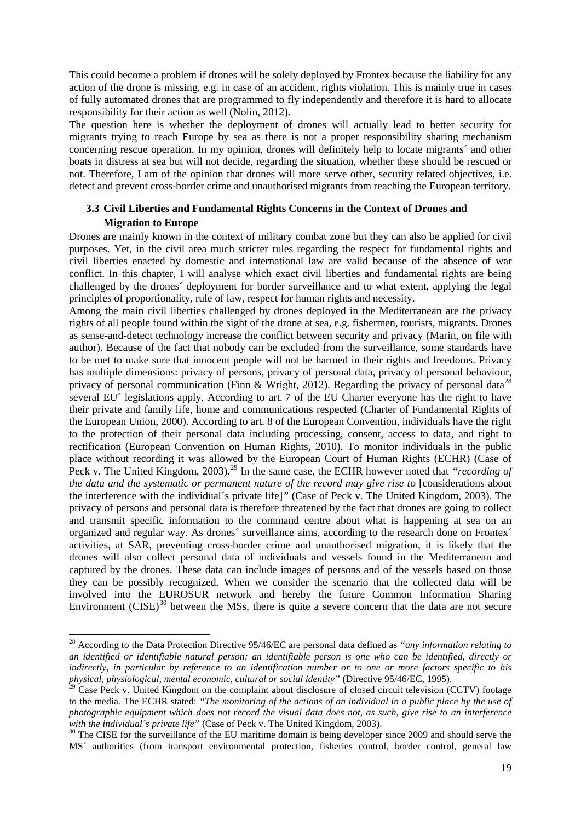This could become a problem if drones will be solely deployed by Frontex because the liability for any action of the drone is missing, e.g. in case of an accident, rights violation. This is mainly true in cases of fully automated drones that are programmed to fly independently and therefore it is hard to allocate responsibility for their action as well (Nolin, 2012).

The question here is whether the deployment of drones will actually lead to better security for migrants trying to reach Europe by sea as there is not a proper responsibility sharing mechanism concerning rescue operation. In my opinion, drones will definitely help to locate migrants´ and other boats in distress at sea but will not decide, regarding the situation, whether these should be rescued or not. Therefore, I am of the opinion that drones will more serve other, security related objectives, i.e. detect and prevent cross-border crime and unauthorised migrants from reaching the European territory.

### <span id="page-24-0"></span>**3.3 Civil Liberties and Fundamental Rights Concerns in the Context of Drones and Migration to Europe**

Drones are mainly known in the context of military combat zone but they can also be applied for civil purposes. Yet, in the civil area much stricter rules regarding the respect for fundamental rights and civil liberties enacted by domestic and international law are valid because of the absence of war conflict. In this chapter, I will analyse which exact civil liberties and fundamental rights are being challenged by the drones´ deployment for border surveillance and to what extent, applying the legal principles of proportionality, rule of law, respect for human rights and necessity.

Among the main civil liberties challenged by drones deployed in the Mediterranean are the privacy rights of all people found within the sight of the drone at sea, e.g. fishermen, tourists, migrants. Drones as sense-and-detect technology increase the conflict between security and privacy (Marin, on file with author). Because of the fact that nobody can be excluded from the surveillance, some standards have to be met to make sure that innocent people will not be harmed in their rights and freedoms. Privacy has multiple dimensions: privacy of persons, privacy of personal data, privacy of personal behaviour, privacy of personal communication (Finn & Wright, 2012). Regarding the privacy of personal data<sup>[28](#page-24-1)</sup> several EU<sup> $\prime$ </sup> legislations apply. According to art. 7 of the EU Charter everyone has the right to have their private and family life, home and communications respected (Charter of Fundamental Rights of the European Union, 2000). According to art. 8 of the European Convention, individuals have the right to the protection of their personal data including processing, consent, access to data, and right to rectification (European Convention on Human Rights, 2010). To monitor individuals in the public place without recording it was allowed by the European Court of Human Rights (ECHR) (Case of Peck v. The United Kingdom, 2003).<sup>[29](#page-24-2)</sup> In the same case, the ECHR however noted that *"recording of* the data and the systematic or permanent nature of the record may give rise to [considerations about the interference with the individual´s private life]*"* (Case of Peck v. The United Kingdom, 2003). The privacy of persons and personal data is therefore threatened by the fact that drones are going to collect and transmit specific information to the command centre about what is happening at sea on an organized and regular way. As drones´ surveillance aims, according to the research done on Frontex´ activities, at SAR, preventing cross-border crime and unauthorised migration, it is likely that the drones will also collect personal data of individuals and vessels found in the Mediterranean and captured by the drones. These data can include images of persons and of the vessels based on those they can be possibly recognized. When we consider the scenario that the collected data will be involved into the EUROSUR network and hereby the future Common Information Sharing Environment  $(CISE)^{30}$  $(CISE)^{30}$  $(CISE)^{30}$  between the MSs, there is quite a severe concern that the data are not secure

 $\ddot{\phantom{a}}$ 

<span id="page-24-1"></span><sup>28</sup> According to the Data Protection Directive 95/46/EC are personal data defined as *"any information relating to an identified or identifiable natural person; an identifiable person is one who can be identified, directly or indirectly, in particular by reference to an identification number or to one or more factors specific to his physical, physiological, mental economic, cultural or social identity"* (Directive 95/46/EC, 1995).<br><sup>29</sup> Case Peck v. United Kingdom on the complaint about disclosure of closed circuit television (CCTV) footage

<span id="page-24-2"></span>to the media. The ECHR stated: *"The monitoring of the actions of an individual in a public place by the use of photographic equipment which does not record the visual data does not, as such, give rise to an interference* with the individual's private life" (Case of Peck v. The United Kingdom, 2003).

<span id="page-24-3"></span><sup>&</sup>lt;sup>30</sup> The CISE for the surveillance of the EU maritime domain is being developer since 2009 and should serve the MS´ authorities (from transport environmental protection, fisheries control, border control, general law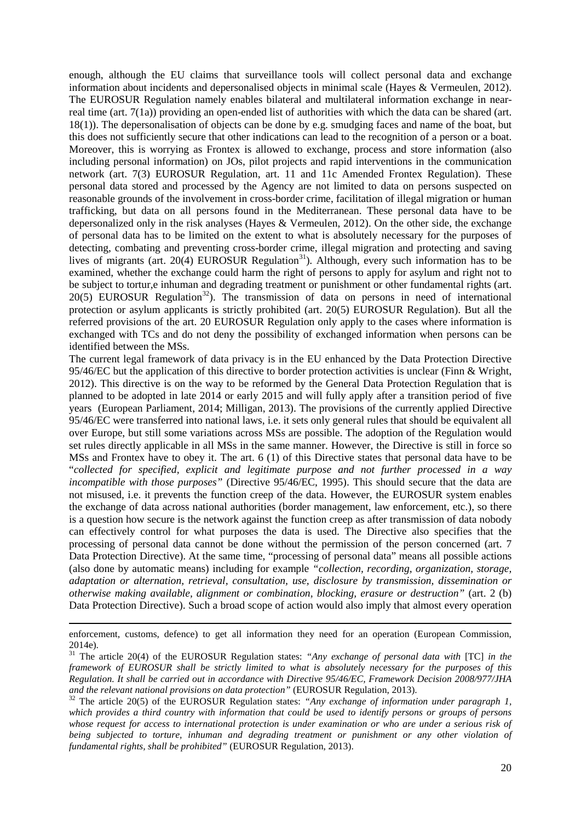enough, although the EU claims that surveillance tools will collect personal data and exchange information about incidents and depersonalised objects in minimal scale (Hayes & Vermeulen, 2012). The EUROSUR Regulation namely enables bilateral and multilateral information exchange in nearreal time (art. 7(1a)) providing an open-ended list of authorities with which the data can be shared (art. 18(1)). The depersonalisation of objects can be done by e.g. smudging faces and name of the boat, but this does not sufficiently secure that other indications can lead to the recognition of a person or a boat. Moreover, this is worrying as Frontex is allowed to exchange, process and store information (also including personal information) on JOs, pilot projects and rapid interventions in the communication network (art. 7(3) EUROSUR Regulation, art. 11 and 11c Amended Frontex Regulation). These personal data stored and processed by the Agency are not limited to data on persons suspected on reasonable grounds of the involvement in cross-border crime, facilitation of illegal migration or human trafficking, but data on all persons found in the Mediterranean. These personal data have to be depersonalized only in the risk analyses (Hayes & Vermeulen, 2012). On the other side, the exchange of personal data has to be limited on the extent to what is absolutely necessary for the purposes of detecting, combating and preventing cross-border crime, illegal migration and protecting and saving lives of migrants (art.  $20(4)$  EUROSUR Regulation<sup>31</sup>). Although, every such information has to be examined, whether the exchange could harm the right of persons to apply for asylum and right not to be subject to tortur,e inhuman and degrading treatment or punishment or other fundamental rights (art.  $20(5)$  EUROSUR Regulation<sup>32</sup>). The transmission of data on persons in need of international protection or asylum applicants is strictly prohibited (art. 20(5) EUROSUR Regulation). But all the referred provisions of the art. 20 EUROSUR Regulation only apply to the cases where information is exchanged with TCs and do not deny the possibility of exchanged information when persons can be identified between the MSs.

The current legal framework of data privacy is in the EU enhanced by the Data Protection Directive 95/46/EC but the application of this directive to border protection activities is unclear (Finn & Wright, 2012). This directive is on the way to be reformed by the General Data Protection Regulation that is planned to be adopted in late 2014 or early 2015 and will fully apply after a transition period of five years (European Parliament, 2014; Milligan, 2013). The provisions of the currently applied Directive 95/46/EC were transferred into national laws, i.e. it sets only general rules that should be equivalent all over Europe, but still some variations across MSs are possible. The adoption of the Regulation would set rules directly applicable in all MSs in the same manner. However, the Directive is still in force so MSs and Frontex have to obey it. The art. 6 (1) of this Directive states that personal data have to be "*collected for specified, explicit and legitimate purpose and not further processed in a way incompatible with those purposes"* (Directive 95/46/EC, 1995). This should secure that the data are not misused, i.e. it prevents the function creep of the data. However, the EUROSUR system enables the exchange of data across national authorities (border management, law enforcement, etc.), so there is a question how secure is the network against the function creep as after transmission of data nobody can effectively control for what purposes the data is used. The Directive also specifies that the processing of personal data cannot be done without the permission of the person concerned (art. 7 Data Protection Directive). At the same time, "processing of personal data" means all possible actions (also done by automatic means) including for example *"collection, recording, organization, storage, adaptation or alternation, retrieval, consultation, use, disclosure by transmission, dissemination or otherwise making available, alignment or combination, blocking, erasure or destruction"* (art. 2 (b) Data Protection Directive). Such a broad scope of action would also imply that almost every operation

1

enforcement, customs, defence) to get all information they need for an operation (European Commission,

<span id="page-25-0"></span><sup>2014</sup>e). 31 The article 20(4) of the EUROSUR Regulation states: *"Any exchange of personal data with* [TC] *in the framework of EUROSUR shall be strictly limited to what is absolutely necessary for the purposes of this Regulation. It shall be carried out in accordance with Directive 95/46/EC, Framework Decision 2008/977/JHA* 

<span id="page-25-1"></span><sup>&</sup>lt;sup>32</sup> The article 20(5) of the EUROSUR Regulation states: "Any exchange of information under paragraph 1, *which provides a third country with information that could be used to identify persons or groups of persons whose request for access to international protection is under examination or who are under a serious risk of being subjected to torture, inhuman and degrading treatment or punishment or any other violation of fundamental rights, shall be prohibited"* (EUROSUR Regulation, 2013).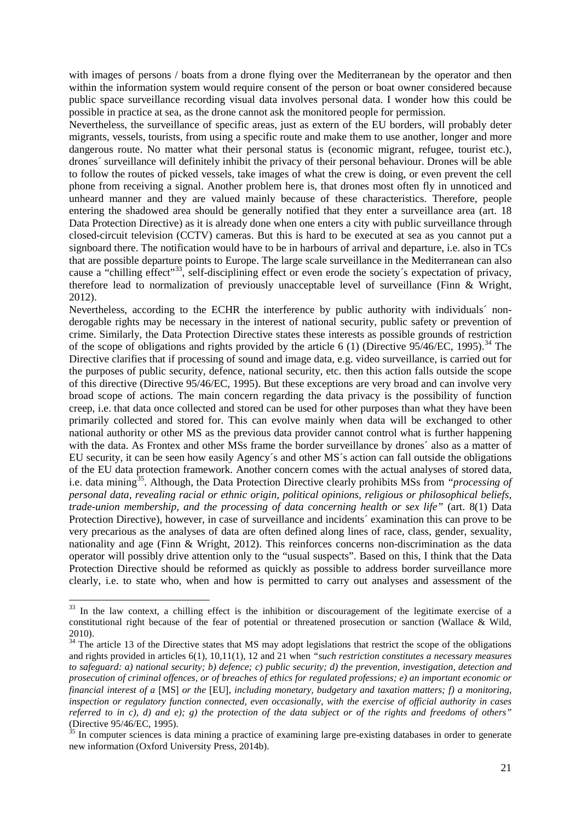with images of persons / boats from a drone flying over the Mediterranean by the operator and then within the information system would require consent of the person or boat owner considered because public space surveillance recording visual data involves personal data. I wonder how this could be possible in practice at sea, as the drone cannot ask the monitored people for permission.

Nevertheless, the surveillance of specific areas, just as extern of the EU borders, will probably deter migrants, vessels, tourists, from using a specific route and make them to use another, longer and more dangerous route. No matter what their personal status is (economic migrant, refugee, tourist etc.), drones´ surveillance will definitely inhibit the privacy of their personal behaviour. Drones will be able to follow the routes of picked vessels, take images of what the crew is doing, or even prevent the cell phone from receiving a signal. Another problem here is, that drones most often fly in unnoticed and unheard manner and they are valued mainly because of these characteristics. Therefore, people entering the shadowed area should be generally notified that they enter a surveillance area (art. 18 Data Protection Directive) as it is already done when one enters a city with public surveillance through closed-circuit television (CCTV) cameras. But this is hard to be executed at sea as you cannot put a signboard there. The notification would have to be in harbours of arrival and departure, i.e. also in TCs that are possible departure points to Europe. The large scale surveillance in the Mediterranean can also cause a "chilling effect"<sup>33</sup>, self-disciplining effect or even erode the society's expectation of privacy, therefore lead to normalization of previously unacceptable level of surveillance (Finn & Wright, 2012).

Nevertheless, according to the ECHR the interference by public authority with individuals´ nonderogable rights may be necessary in the interest of national security, public safety or prevention of crime. Similarly, the Data Protection Directive states these interests as possible grounds of restriction of the scope of obligations and rights provided by the article 6 (1) (Directive  $95/46$ /EC, 1995).<sup>[34](#page-26-1)</sup> The Directive clarifies that if processing of sound and image data, e.g. video surveillance, is carried out for the purposes of public security, defence, national security, etc. then this action falls outside the scope of this directive (Directive 95/46/EC, 1995). But these exceptions are very broad and can involve very broad scope of actions. The main concern regarding the data privacy is the possibility of function creep, i.e. that data once collected and stored can be used for other purposes than what they have been primarily collected and stored for. This can evolve mainly when data will be exchanged to other national authority or other MS as the previous data provider cannot control what is further happening with the data. As Frontex and other MSs frame the border surveillance by drones' also as a matter of EU security, it can be seen how easily Agency´s and other MS´s action can fall outside the obligations of the EU data protection framework. Another concern comes with the actual analyses of stored data, i.e. data mining<sup>35</sup>. Although, the Data Protection Directive clearly prohibits MSs from "*processing of personal data, revealing racial or ethnic origin, political opinions, religious or philosophical beliefs, trade-union membership, and the processing of data concerning health or sex life*" (art. 8(1) Data Protection Directive), however, in case of surveillance and incidents´ examination this can prove to be very precarious as the analyses of data are often defined along lines of race, class, gender, sexuality, nationality and age (Finn & Wright, 2012). This reinforces concerns non-discrimination as the data operator will possibly drive attention only to the "usual suspects". Based on this, I think that the Data Protection Directive should be reformed as quickly as possible to address border surveillance more clearly, i.e. to state who, when and how is permitted to carry out analyses and assessment of the

<span id="page-26-0"></span><sup>&</sup>lt;sup>33</sup> In the law context, a chilling effect is the inhibition or discouragement of the legitimate exercise of a constitutional right because of the fear of potential or threatened prosecution or sanction (Wallace & Wild,

<span id="page-26-1"></span><sup>2010).</sup> <sup>34</sup> The article 13 of the Directive states that MS may adopt legislations that restrict the scope of the obligations and rights provided in articles 6(1), 10,11(1), 12 and 21 when *"such restriction constitutes a necessary measures to safeguard: a) national security; b) defence; c) public security; d) the prevention, investigation, detection and prosecution of criminal offences, or of breaches of ethics for regulated professions; e) an important economic or financial interest of a* [MS] *or the* [EU]*, including monetary, budgetary and taxation matters; f) a monitoring, inspection or regulatory function connected, even occasionally, with the exercise of official authority in cases referred to in c), d) and e); g) the protection of the data subject or of the rights and freedoms of others"* (Directive 95/46/EC, 1995). <sup>35</sup> In computer sciences is data mining a practice of examining large pre-existing databases in order to generate

<span id="page-26-2"></span>new information (Oxford University Press, 2014b).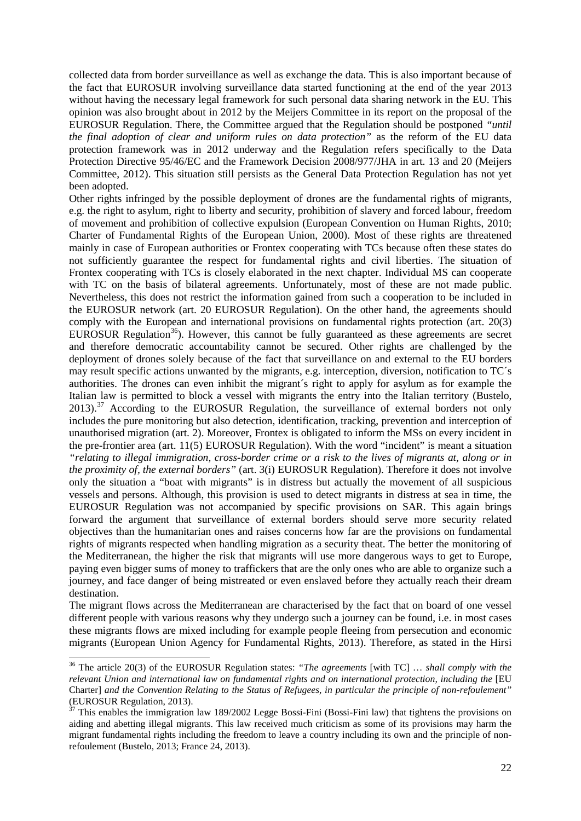collected data from border surveillance as well as exchange the data. This is also important because of the fact that EUROSUR involving surveillance data started functioning at the end of the year 2013 without having the necessary legal framework for such personal data sharing network in the EU. This opinion was also brought about in 2012 by the Meijers Committee in its report on the proposal of the EUROSUR Regulation. There, the Committee argued that the Regulation should be postponed *"until the final adoption of clear and uniform rules on data protection"* as the reform of the EU data protection framework was in 2012 underway and the Regulation refers specifically to the Data Protection Directive 95/46/EC and the Framework Decision 2008/977/JHA in art. 13 and 20 (Meijers Committee, 2012). This situation still persists as the General Data Protection Regulation has not yet been adopted.

Other rights infringed by the possible deployment of drones are the fundamental rights of migrants, e.g. the right to asylum, right to liberty and security, prohibition of slavery and forced labour, freedom of movement and prohibition of collective expulsion (European Convention on Human Rights, 2010; Charter of Fundamental Rights of the European Union, 2000). Most of these rights are threatened mainly in case of European authorities or Frontex cooperating with TCs because often these states do not sufficiently guarantee the respect for fundamental rights and civil liberties. The situation of Frontex cooperating with TCs is closely elaborated in the next chapter. Individual MS can cooperate with TC on the basis of bilateral agreements. Unfortunately, most of these are not made public. Nevertheless, this does not restrict the information gained from such a cooperation to be included in the EUROSUR network (art. 20 EUROSUR Regulation). On the other hand, the agreements should comply with the European and international provisions on fundamental rights protection (art. 20(3) EUROSUR Regulation<sup>[36](#page-27-0)</sup>). However, this cannot be fully guaranteed as these agreements are secret and therefore democratic accountability cannot be secured. Other rights are challenged by the deployment of drones solely because of the fact that surveillance on and external to the EU borders may result specific actions unwanted by the migrants, e.g. interception, diversion, notification to TC´s authorities. The drones can even inhibit the migrant´s right to apply for asylum as for example the Italian law is permitted to block a vessel with migrants the entry into the Italian territory (Bustelo,  $2013$ .<sup>[37](#page-27-1)</sup> According to the EUROSUR Regulation, the surveillance of external borders not only includes the pure monitoring but also detection, identification, tracking, prevention and interception of unauthorised migration (art. 2). Moreover, Frontex is obligated to inform the MSs on every incident in the pre-frontier area (art. 11(5) EUROSUR Regulation). With the word "incident" is meant a situation *"relating to illegal immigration, cross-border crime or a risk to the lives of migrants at, along or in the proximity of, the external borders"* (art. 3(i) EUROSUR Regulation). Therefore it does not involve only the situation a "boat with migrants" is in distress but actually the movement of all suspicious vessels and persons. Although, this provision is used to detect migrants in distress at sea in time, the EUROSUR Regulation was not accompanied by specific provisions on SAR. This again brings forward the argument that surveillance of external borders should serve more security related objectives than the humanitarian ones and raises concerns how far are the provisions on fundamental rights of migrants respected when handling migration as a security theat. The better the monitoring of the Mediterranean, the higher the risk that migrants will use more dangerous ways to get to Europe, paying even bigger sums of money to traffickers that are the only ones who are able to organize such a journey, and face danger of being mistreated or even enslaved before they actually reach their dream destination.

The migrant flows across the Mediterranean are characterised by the fact that on board of one vessel different people with various reasons why they undergo such a journey can be found, i.e. in most cases these migrants flows are mixed including for example people fleeing from persecution and economic migrants (European Union Agency for Fundamental Rights, 2013). Therefore, as stated in the Hirsi

 $\ddot{\phantom{a}}$ 

<span id="page-27-0"></span><sup>36</sup> The article 20(3) of the EUROSUR Regulation states: *"The agreements* [with TC] … *shall comply with the relevant Union and international law on fundamental rights and on international protection, including the* [EU Charter] *and the Convention Relating to the Status of Refugees, in particular the principle of non-refoulement"*  (EUROSUR Regulation, 2013).<br><sup>37</sup> This enables the immigration law 189/2002 Legge Bossi-Fini (Bossi-Fini law) that tightens the provisions on

<span id="page-27-1"></span>aiding and abetting illegal migrants. This law received much criticism as some of its provisions may harm the migrant fundamental rights including the freedom to leave a country including its own and the principle of nonrefoulement (Bustelo, 2013; France 24, 2013).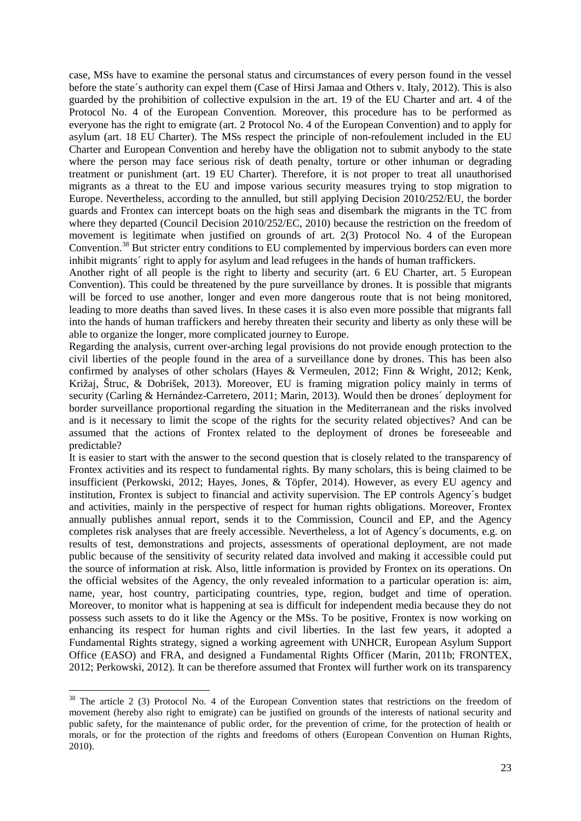case, MSs have to examine the personal status and circumstances of every person found in the vessel before the state´s authority can expel them (Case of Hirsi Jamaa and Others v. Italy, 2012). This is also guarded by the prohibition of collective expulsion in the art. 19 of the EU Charter and art. 4 of the Protocol No. 4 of the European Convention. Moreover, this procedure has to be performed as everyone has the right to emigrate (art. 2 Protocol No. 4 of the European Convention) and to apply for asylum (art. 18 EU Charter). The MSs respect the principle of non-refoulement included in the EU Charter and European Convention and hereby have the obligation not to submit anybody to the state where the person may face serious risk of death penalty, torture or other inhuman or degrading treatment or punishment (art. 19 EU Charter). Therefore, it is not proper to treat all unauthorised migrants as a threat to the EU and impose various security measures trying to stop migration to Europe. Nevertheless, according to the annulled, but still applying Decision 2010/252/EU, the border guards and Frontex can intercept boats on the high seas and disembark the migrants in the TC from where they departed (Council Decision 2010/252/EC, 2010) because the restriction on the freedom of movement is legitimate when justified on grounds of art. 2(3) Protocol No. 4 of the European Convention.<sup>[38](#page-28-0)</sup> But stricter entry conditions to EU complemented by impervious borders can even more inhibit migrants´ right to apply for asylum and lead refugees in the hands of human traffickers.

Another right of all people is the right to liberty and security (art. 6 EU Charter, art. 5 European Convention). This could be threatened by the pure surveillance by drones. It is possible that migrants will be forced to use another, longer and even more dangerous route that is not being monitored, leading to more deaths than saved lives. In these cases it is also even more possible that migrants fall into the hands of human traffickers and hereby threaten their security and liberty as only these will be able to organize the longer, more complicated journey to Europe.

Regarding the analysis, current over-arching legal provisions do not provide enough protection to the civil liberties of the people found in the area of a surveillance done by drones. This has been also confirmed by analyses of other scholars (Hayes & Vermeulen, 2012; Finn & Wright, 2012; Kenk, Križaj, Štruc, & Dobrišek, 2013). Moreover, EU is framing migration policy mainly in terms of security (Carling & Hernández-Carretero, 2011; Marin, 2013). Would then be drones´ deployment for border surveillance proportional regarding the situation in the Mediterranean and the risks involved and is it necessary to limit the scope of the rights for the security related objectives? And can be assumed that the actions of Frontex related to the deployment of drones be foreseeable and predictable?

It is easier to start with the answer to the second question that is closely related to the transparency of Frontex activities and its respect to fundamental rights. By many scholars, this is being claimed to be insufficient (Perkowski, 2012; Hayes, Jones, & Töpfer, 2014). However, as every EU agency and institution, Frontex is subject to financial and activity supervision. The EP controls Agency´s budget and activities, mainly in the perspective of respect for human rights obligations. Moreover, Frontex annually publishes annual report, sends it to the Commission, Council and EP, and the Agency completes risk analyses that are freely accessible. Nevertheless, a lot of Agency´s documents, e.g. on results of test, demonstrations and projects, assessments of operational deployment, are not made public because of the sensitivity of security related data involved and making it accessible could put the source of information at risk. Also, little information is provided by Frontex on its operations. On the official websites of the Agency, the only revealed information to a particular operation is: aim, name, year, host country, participating countries, type, region, budget and time of operation. Moreover, to monitor what is happening at sea is difficult for independent media because they do not possess such assets to do it like the Agency or the MSs. To be positive, Frontex is now working on enhancing its respect for human rights and civil liberties. In the last few years, it adopted a Fundamental Rights strategy, signed a working agreement with UNHCR, European Asylum Support Office (EASO) and FRA, and designed a Fundamental Rights Officer (Marin, 2011b; FRONTEX, 2012; Perkowski, 2012). It can be therefore assumed that Frontex will further work on its transparency

<span id="page-28-0"></span> $38$  The article 2 (3) Protocol No. 4 of the European Convention states that restrictions on the freedom of movement (hereby also right to emigrate) can be justified on grounds of the interests of national security and public safety, for the maintenance of public order, for the prevention of crime, for the protection of health or morals, or for the protection of the rights and freedoms of others (European Convention on Human Rights, 2010).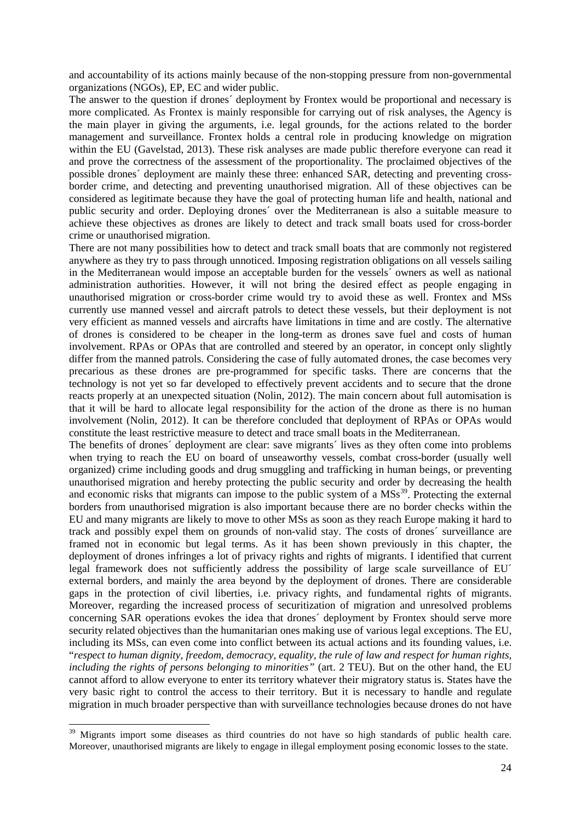and accountability of its actions mainly because of the non-stopping pressure from non-governmental organizations (NGOs), EP, EC and wider public.

The answer to the question if drones´ deployment by Frontex would be proportional and necessary is more complicated. As Frontex is mainly responsible for carrying out of risk analyses, the Agency is the main player in giving the arguments, i.e. legal grounds, for the actions related to the border management and surveillance. Frontex holds a central role in producing knowledge on migration within the EU (Gavelstad, 2013). These risk analyses are made public therefore everyone can read it and prove the correctness of the assessment of the proportionality. The proclaimed objectives of the possible drones´ deployment are mainly these three: enhanced SAR, detecting and preventing crossborder crime, and detecting and preventing unauthorised migration. All of these objectives can be considered as legitimate because they have the goal of protecting human life and health, national and public security and order. Deploying drones´ over the Mediterranean is also a suitable measure to achieve these objectives as drones are likely to detect and track small boats used for cross-border crime or unauthorised migration.

There are not many possibilities how to detect and track small boats that are commonly not registered anywhere as they try to pass through unnoticed. Imposing registration obligations on all vessels sailing in the Mediterranean would impose an acceptable burden for the vessels´ owners as well as national administration authorities. However, it will not bring the desired effect as people engaging in unauthorised migration or cross-border crime would try to avoid these as well. Frontex and MSs currently use manned vessel and aircraft patrols to detect these vessels, but their deployment is not very efficient as manned vessels and aircrafts have limitations in time and are costly. The alternative of drones is considered to be cheaper in the long-term as drones save fuel and costs of human involvement. RPAs or OPAs that are controlled and steered by an operator, in concept only slightly differ from the manned patrols. Considering the case of fully automated drones, the case becomes very precarious as these drones are pre-programmed for specific tasks. There are concerns that the technology is not yet so far developed to effectively prevent accidents and to secure that the drone reacts properly at an unexpected situation (Nolin, 2012). The main concern about full automisation is that it will be hard to allocate legal responsibility for the action of the drone as there is no human involvement (Nolin, 2012). It can be therefore concluded that deployment of RPAs or OPAs would constitute the least restrictive measure to detect and trace small boats in the Mediterranean.

The benefits of drones´ deployment are clear: save migrants´ lives as they often come into problems when trying to reach the EU on board of unseaworthy vessels, combat cross-border (usually well organized) crime including goods and drug smuggling and trafficking in human beings, or preventing unauthorised migration and hereby protecting the public security and order by decreasing the health and economic risks that migrants can impose to the public system of a  $\text{MSS}^{39}$ . Protecting the external borders from unauthorised migration is also important because there are no border checks within the EU and many migrants are likely to move to other MSs as soon as they reach Europe making it hard to track and possibly expel them on grounds of non-valid stay. The costs of drones´ surveillance are framed not in economic but legal terms. As it has been shown previously in this chapter, the deployment of drones infringes a lot of privacy rights and rights of migrants. I identified that current legal framework does not sufficiently address the possibility of large scale surveillance of EU´ external borders, and mainly the area beyond by the deployment of drones. There are considerable gaps in the protection of civil liberties, i.e. privacy rights, and fundamental rights of migrants. Moreover, regarding the increased process of securitization of migration and unresolved problems concerning SAR operations evokes the idea that drones´ deployment by Frontex should serve more security related objectives than the humanitarian ones making use of various legal exceptions. The EU, including its MSs, can even come into conflict between its actual actions and its founding values, i.e. "*respect to human dignity, freedom, democracy, equality, the rule of law and respect for human rights, including the rights of persons belonging to minorities"* (art. 2 TEU). But on the other hand, the EU cannot afford to allow everyone to enter its territory whatever their migratory status is. States have the very basic right to control the access to their territory. But it is necessary to handle and regulate migration in much broader perspective than with surveillance technologies because drones do not have

 $\ddot{\phantom{a}}$ 

<span id="page-29-0"></span><sup>&</sup>lt;sup>39</sup> Migrants import some diseases as third countries do not have so high standards of public health care. Moreover, unauthorised migrants are likely to engage in illegal employment posing economic losses to the state.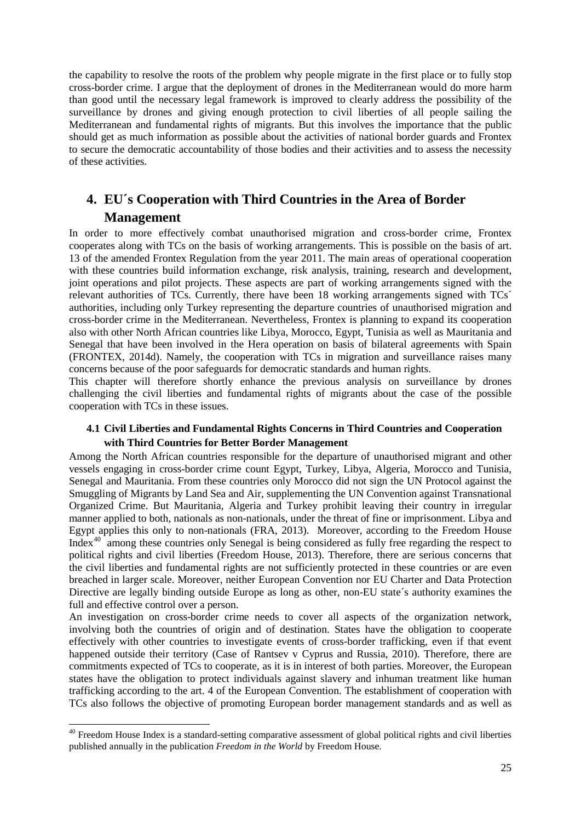the capability to resolve the roots of the problem why people migrate in the first place or to fully stop cross-border crime. I argue that the deployment of drones in the Mediterranean would do more harm than good until the necessary legal framework is improved to clearly address the possibility of the surveillance by drones and giving enough protection to civil liberties of all people sailing the Mediterranean and fundamental rights of migrants. But this involves the importance that the public should get as much information as possible about the activities of national border guards and Frontex to secure the democratic accountability of those bodies and their activities and to assess the necessity of these activities.

# <span id="page-30-0"></span>**4. EU´s Cooperation with Third Countries in the Area of Border Management**

In order to more effectively combat unauthorised migration and cross-border crime, Frontex cooperates along with TCs on the basis of working arrangements. This is possible on the basis of art. 13 of the amended Frontex Regulation from the year 2011. The main areas of operational cooperation with these countries build information exchange, risk analysis, training, research and development, joint operations and pilot projects. These aspects are part of working arrangements signed with the relevant authorities of TCs. Currently, there have been 18 working arrangements signed with TCs´ authorities, including only Turkey representing the departure countries of unauthorised migration and cross-border crime in the Mediterranean. Nevertheless, Frontex is planning to expand its cooperation also with other North African countries like Libya, Morocco, Egypt, Tunisia as well as Mauritania and Senegal that have been involved in the Hera operation on basis of bilateral agreements with Spain (FRONTEX, 2014d). Namely, the cooperation with TCs in migration and surveillance raises many concerns because of the poor safeguards for democratic standards and human rights.

This chapter will therefore shortly enhance the previous analysis on surveillance by drones challenging the civil liberties and fundamental rights of migrants about the case of the possible cooperation with TCs in these issues.

### <span id="page-30-1"></span>**4.1 Civil Liberties and Fundamental Rights Concerns in Third Countries and Cooperation with Third Countries for Better Border Management**

Among the North African countries responsible for the departure of unauthorised migrant and other vessels engaging in cross-border crime count Egypt, Turkey, Libya, Algeria, Morocco and Tunisia, Senegal and Mauritania. From these countries only Morocco did not sign the UN Protocol against the Smuggling of Migrants by Land Sea and Air, supplementing the UN Convention against Transnational Organized Crime. But Mauritania, Algeria and Turkey prohibit leaving their country in irregular manner applied to both, nationals as non-nationals, under the threat of fine or imprisonment. Libya and Egypt applies this only to non-nationals (FRA, 2013). Moreover, according to the Freedom House Index<sup>[40](#page-30-2)</sup> among these countries only Senegal is being considered as fully free regarding the respect to political rights and civil liberties (Freedom House, 2013). Therefore, there are serious concerns that the civil liberties and fundamental rights are not sufficiently protected in these countries or are even breached in larger scale. Moreover, neither European Convention nor EU Charter and Data Protection Directive are legally binding outside Europe as long as other, non-EU state´s authority examines the full and effective control over a person.

An investigation on cross-border crime needs to cover all aspects of the organization network, involving both the countries of origin and of destination. States have the obligation to cooperate effectively with other countries to investigate events of cross-border trafficking, even if that event happened outside their territory (Case of Rantsev v Cyprus and Russia, 2010). Therefore, there are commitments expected of TCs to cooperate, as it is in interest of both parties. Moreover, the European states have the obligation to protect individuals against slavery and inhuman treatment like human trafficking according to the art. 4 of the European Convention. The establishment of cooperation with TCs also follows the objective of promoting European border management standards and as well as

 $\ddot{\phantom{a}}$ 

<span id="page-30-2"></span> $40$  Freedom House Index is a standard-setting comparative assessment of global political rights and civil liberties published annually in the publication *Freedom in the World* by Freedom House.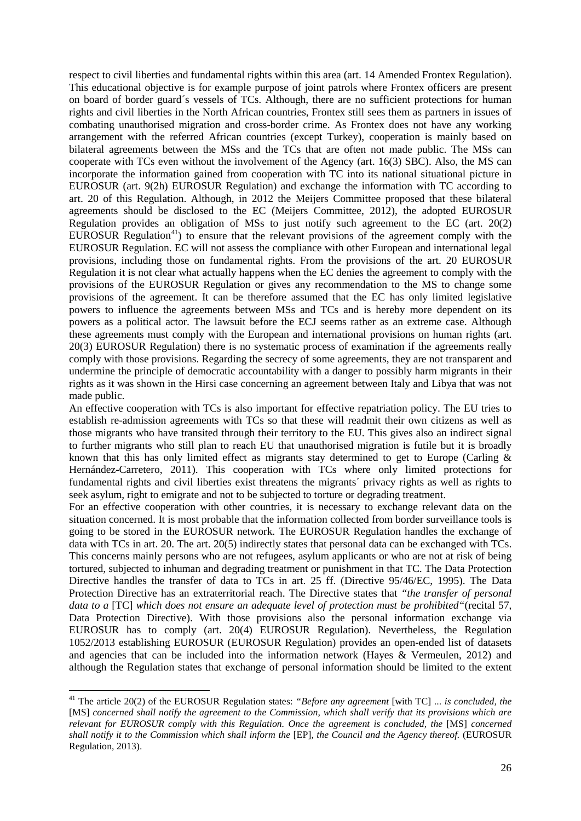respect to civil liberties and fundamental rights within this area (art. 14 Amended Frontex Regulation). This educational objective is for example purpose of joint patrols where Frontex officers are present on board of border guard´s vessels of TCs. Although, there are no sufficient protections for human rights and civil liberties in the North African countries, Frontex still sees them as partners in issues of combating unauthorised migration and cross-border crime. As Frontex does not have any working arrangement with the referred African countries (except Turkey), cooperation is mainly based on bilateral agreements between the MSs and the TCs that are often not made public. The MSs can cooperate with TCs even without the involvement of the Agency (art. 16(3) SBC). Also, the MS can incorporate the information gained from cooperation with TC into its national situational picture in EUROSUR (art. 9(2h) EUROSUR Regulation) and exchange the information with TC according to art. 20 of this Regulation. Although, in 2012 the Meijers Committee proposed that these bilateral agreements should be disclosed to the EC (Meijers Committee, 2012), the adopted EUROSUR Regulation provides an obligation of MSs to just notify such agreement to the EC (art. 20(2) EUROSUR Regulation<sup>41</sup>) to ensure that the relevant provisions of the agreement comply with the EUROSUR Regulation. EC will not assess the compliance with other European and international legal provisions, including those on fundamental rights. From the provisions of the art. 20 EUROSUR Regulation it is not clear what actually happens when the EC denies the agreement to comply with the provisions of the EUROSUR Regulation or gives any recommendation to the MS to change some provisions of the agreement. It can be therefore assumed that the EC has only limited legislative powers to influence the agreements between MSs and TCs and is hereby more dependent on its powers as a political actor. The lawsuit before the ECJ seems rather as an extreme case. Although these agreements must comply with the European and international provisions on human rights (art. 20(3) EUROSUR Regulation) there is no systematic process of examination if the agreements really comply with those provisions. Regarding the secrecy of some agreements, they are not transparent and undermine the principle of democratic accountability with a danger to possibly harm migrants in their rights as it was shown in the Hirsi case concerning an agreement between Italy and Libya that was not made public.

An effective cooperation with TCs is also important for effective repatriation policy. The EU tries to establish re-admission agreements with TCs so that these will readmit their own citizens as well as those migrants who have transited through their territory to the EU. This gives also an indirect signal to further migrants who still plan to reach EU that unauthorised migration is futile but it is broadly known that this has only limited effect as migrants stay determined to get to Europe (Carling  $\&$ Hernández-Carretero, 2011). This cooperation with TCs where only limited protections for fundamental rights and civil liberties exist threatens the migrants´ privacy rights as well as rights to seek asylum, right to emigrate and not to be subjected to torture or degrading treatment.

For an effective cooperation with other countries, it is necessary to exchange relevant data on the situation concerned. It is most probable that the information collected from border surveillance tools is going to be stored in the EUROSUR network. The EUROSUR Regulation handles the exchange of data with TCs in art. 20. The art. 20(5) indirectly states that personal data can be exchanged with TCs. This concerns mainly persons who are not refugees, asylum applicants or who are not at risk of being tortured, subjected to inhuman and degrading treatment or punishment in that TC. The Data Protection Directive handles the transfer of data to TCs in art. 25 ff. (Directive 95/46/EC, 1995). The Data Protection Directive has an extraterritorial reach. The Directive states that *"the transfer of personal data to a* [TC] *which does not ensure an adequate level of protection must be prohibited"*(recital 57, Data Protection Directive). With those provisions also the personal information exchange via EUROSUR has to comply (art. 20(4) EUROSUR Regulation). Nevertheless, the Regulation 1052/2013 establishing EUROSUR (EUROSUR Regulation) provides an open-ended list of datasets and agencies that can be included into the information network (Hayes & Vermeulen, 2012) and although the Regulation states that exchange of personal information should be limited to the extent

<span id="page-31-0"></span><sup>41</sup> The article 20(2) of the EUROSUR Regulation states: *"Before any agreement* [with TC] ... *is concluded, the*  [MS] *concerned shall notify the agreement to the Commission, which shall verify that its provisions which are relevant for EUROSUR comply with this Regulation. Once the agreement is concluded, the* [MS] *concerned shall notify it to the Commission which shall inform the* [EP]*, the Council and the Agency thereof.* (EUROSUR Regulation, 2013).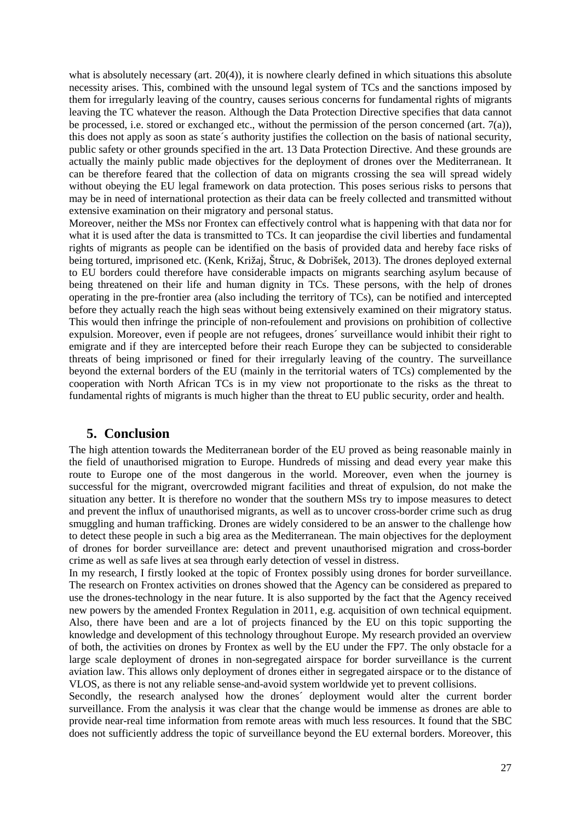what is absolutely necessary (art. 20(4)), it is nowhere clearly defined in which situations this absolute necessity arises. This, combined with the unsound legal system of TCs and the sanctions imposed by them for irregularly leaving of the country, causes serious concerns for fundamental rights of migrants leaving the TC whatever the reason. Although the Data Protection Directive specifies that data cannot be processed, i.e. stored or exchanged etc., without the permission of the person concerned (art. 7(a)), this does not apply as soon as state´s authority justifies the collection on the basis of national security, public safety or other grounds specified in the art. 13 Data Protection Directive. And these grounds are actually the mainly public made objectives for the deployment of drones over the Mediterranean. It can be therefore feared that the collection of data on migrants crossing the sea will spread widely without obeying the EU legal framework on data protection. This poses serious risks to persons that may be in need of international protection as their data can be freely collected and transmitted without extensive examination on their migratory and personal status.

Moreover, neither the MSs nor Frontex can effectively control what is happening with that data nor for what it is used after the data is transmitted to TCs. It can jeopardise the civil liberties and fundamental rights of migrants as people can be identified on the basis of provided data and hereby face risks of being tortured, imprisoned etc. (Kenk, Križaj, Štruc, & Dobrišek, 2013). The drones deployed external to EU borders could therefore have considerable impacts on migrants searching asylum because of being threatened on their life and human dignity in TCs. These persons, with the help of drones operating in the pre-frontier area (also including the territory of TCs), can be notified and intercepted before they actually reach the high seas without being extensively examined on their migratory status. This would then infringe the principle of non-refoulement and provisions on prohibition of collective expulsion. Moreover, even if people are not refugees, drones´ surveillance would inhibit their right to emigrate and if they are intercepted before their reach Europe they can be subjected to considerable threats of being imprisoned or fined for their irregularly leaving of the country. The surveillance beyond the external borders of the EU (mainly in the territorial waters of TCs) complemented by the cooperation with North African TCs is in my view not proportionate to the risks as the threat to fundamental rights of migrants is much higher than the threat to EU public security, order and health.

### <span id="page-32-0"></span>**5. Conclusion**

The high attention towards the Mediterranean border of the EU proved as being reasonable mainly in the field of unauthorised migration to Europe. Hundreds of missing and dead every year make this route to Europe one of the most dangerous in the world. Moreover, even when the journey is successful for the migrant, overcrowded migrant facilities and threat of expulsion, do not make the situation any better. It is therefore no wonder that the southern MSs try to impose measures to detect and prevent the influx of unauthorised migrants, as well as to uncover cross-border crime such as drug smuggling and human trafficking. Drones are widely considered to be an answer to the challenge how to detect these people in such a big area as the Mediterranean. The main objectives for the deployment of drones for border surveillance are: detect and prevent unauthorised migration and cross-border crime as well as safe lives at sea through early detection of vessel in distress.

In my research, I firstly looked at the topic of Frontex possibly using drones for border surveillance. The research on Frontex activities on drones showed that the Agency can be considered as prepared to use the drones-technology in the near future. It is also supported by the fact that the Agency received new powers by the amended Frontex Regulation in 2011, e.g. acquisition of own technical equipment. Also, there have been and are a lot of projects financed by the EU on this topic supporting the knowledge and development of this technology throughout Europe. My research provided an overview of both, the activities on drones by Frontex as well by the EU under the FP7. The only obstacle for a large scale deployment of drones in non-segregated airspace for border surveillance is the current aviation law. This allows only deployment of drones either in segregated airspace or to the distance of VLOS, as there is not any reliable sense-and-avoid system worldwide yet to prevent collisions.

Secondly, the research analysed how the drones´ deployment would alter the current border surveillance. From the analysis it was clear that the change would be immense as drones are able to provide near-real time information from remote areas with much less resources. It found that the SBC does not sufficiently address the topic of surveillance beyond the EU external borders. Moreover, this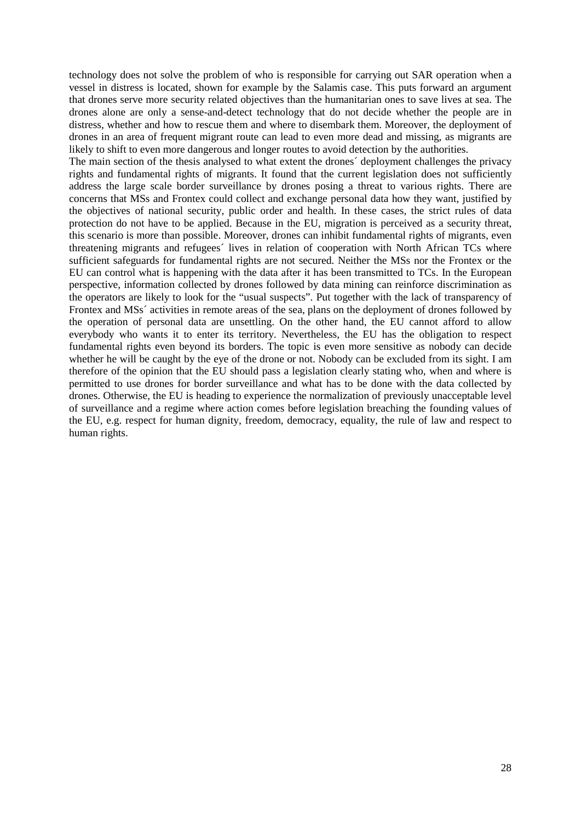technology does not solve the problem of who is responsible for carrying out SAR operation when a vessel in distress is located, shown for example by the Salamis case. This puts forward an argument that drones serve more security related objectives than the humanitarian ones to save lives at sea. The drones alone are only a sense-and-detect technology that do not decide whether the people are in distress, whether and how to rescue them and where to disembark them. Moreover, the deployment of drones in an area of frequent migrant route can lead to even more dead and missing, as migrants are likely to shift to even more dangerous and longer routes to avoid detection by the authorities.

The main section of the thesis analysed to what extent the drones´ deployment challenges the privacy rights and fundamental rights of migrants. It found that the current legislation does not sufficiently address the large scale border surveillance by drones posing a threat to various rights. There are concerns that MSs and Frontex could collect and exchange personal data how they want, justified by the objectives of national security, public order and health. In these cases, the strict rules of data protection do not have to be applied. Because in the EU, migration is perceived as a security threat, this scenario is more than possible. Moreover, drones can inhibit fundamental rights of migrants, even threatening migrants and refugees´ lives in relation of cooperation with North African TCs where sufficient safeguards for fundamental rights are not secured. Neither the MSs nor the Frontex or the EU can control what is happening with the data after it has been transmitted to TCs. In the European perspective, information collected by drones followed by data mining can reinforce discrimination as the operators are likely to look for the "usual suspects". Put together with the lack of transparency of Frontex and MSs´ activities in remote areas of the sea, plans on the deployment of drones followed by the operation of personal data are unsettling. On the other hand, the EU cannot afford to allow everybody who wants it to enter its territory. Nevertheless, the EU has the obligation to respect fundamental rights even beyond its borders. The topic is even more sensitive as nobody can decide whether he will be caught by the eye of the drone or not. Nobody can be excluded from its sight. I am therefore of the opinion that the EU should pass a legislation clearly stating who, when and where is permitted to use drones for border surveillance and what has to be done with the data collected by drones. Otherwise, the EU is heading to experience the normalization of previously unacceptable level of surveillance and a regime where action comes before legislation breaching the founding values of the EU, e.g. respect for human dignity, freedom, democracy, equality, the rule of law and respect to human rights.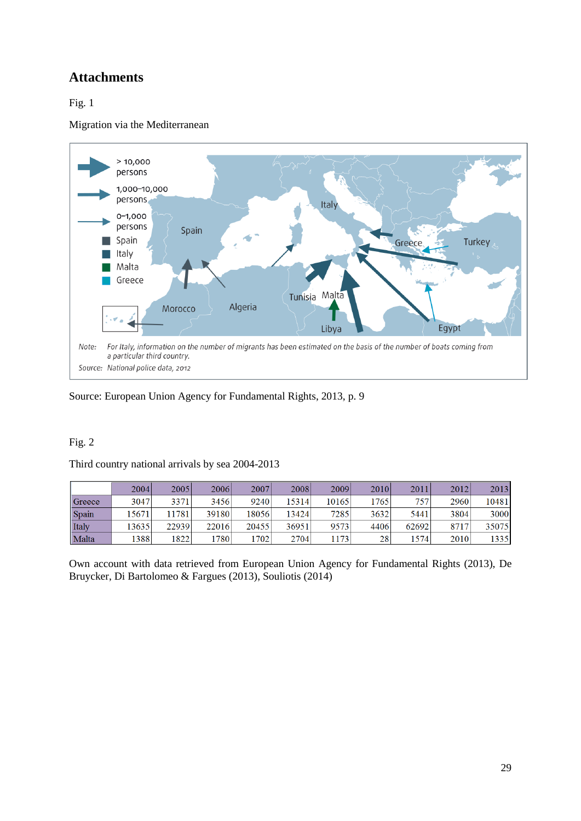# <span id="page-34-0"></span>**Attachments**

# <span id="page-34-1"></span>Fig. 1

Migration via the Mediterranean



Source: European Union Agency for Fundamental Rights, 2013, p. 9

### Fig. 2

|  |  |  | Third country national arrivals by sea 2004-2013 |
|--|--|--|--------------------------------------------------|
|  |  |  |                                                  |

|        | 2004  | 2005  | 2006  | 2007  | 2008  | 2009  | 2010 | 2011  | 2012 | 2013  |
|--------|-------|-------|-------|-------|-------|-------|------|-------|------|-------|
| Greece | 3047  | 3371  | 3456  | 9240  | 15314 | 10165 | 1765 | 757   | 2960 | 10481 |
| Spain  | 15671 | 1781  | 39180 | 18056 | 13424 | 7285  | 3632 | 5441  | 3804 | 3000  |
| Italy  | 13635 | 22939 | 22016 | 20455 | 36951 | 9573  | 4406 | 62692 | 8717 | 35075 |
| Malta  | 1388  | 1822  | 780   | 1702  | 2704  | 1173  | 28   | 1574  | 2010 | 1335  |

Own account with data retrieved from European Union Agency for Fundamental Rights (2013), De Bruycker, Di Bartolomeo & Fargues (2013), Souliotis (2014)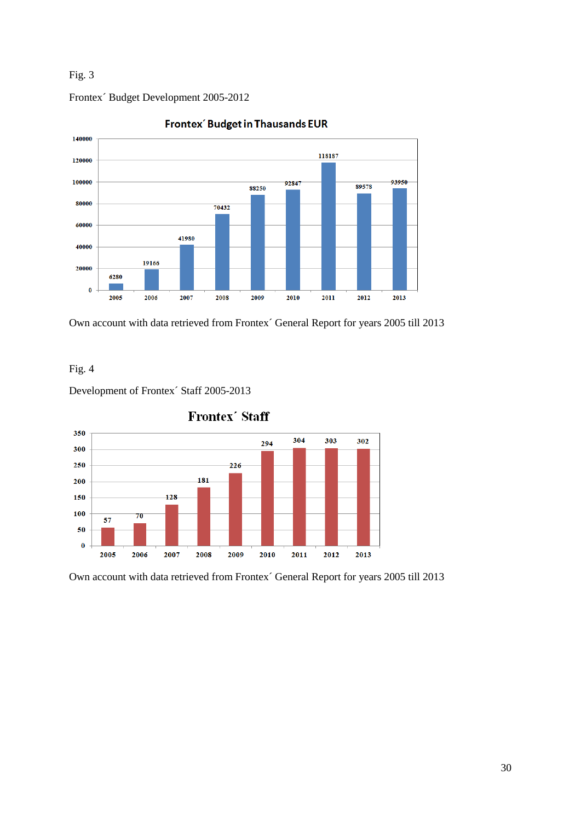### Fig. 3



**Frontex** Budget in Thausands EUR

Own account with data retrieved from Frontex´ General Report for years 2005 till 2013

### Fig. 4

Development of Frontex´ Staff 2005-2013

Frontex´ Budget Development 2005-2012



**Frontex' Staff** 

<span id="page-35-0"></span>Own account with data retrieved from Frontex´ General Report for years 2005 till 2013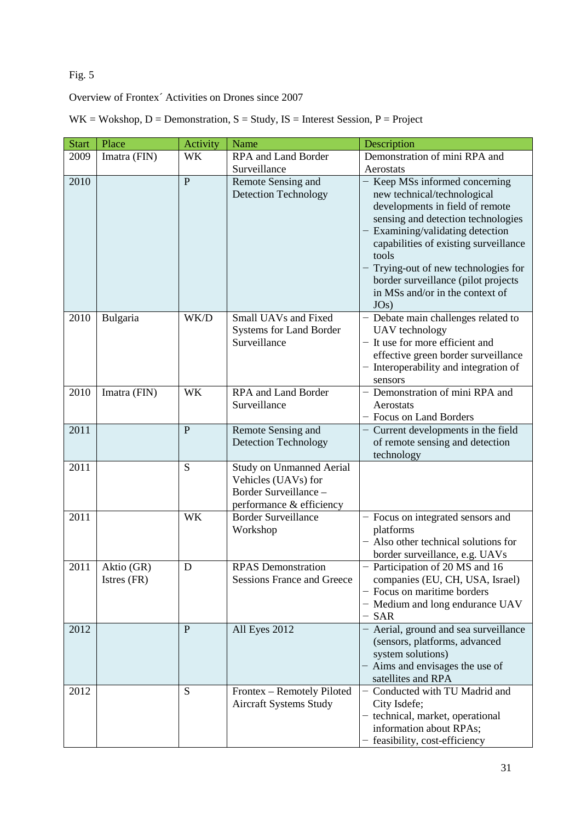# Fig. 5

Overview of Frontex´ Activities on Drones since 2007

|  |  | $WK = Wokshop, D = Demonstration, S = Study, IS = Interest Session, P = Project$ |  |
|--|--|----------------------------------------------------------------------------------|--|
|--|--|----------------------------------------------------------------------------------|--|

| <b>Start</b> | Place                     | Activity     | Name                                                                                                        | Description                                                                                                                                                                                                                                                                                                                                          |
|--------------|---------------------------|--------------|-------------------------------------------------------------------------------------------------------------|------------------------------------------------------------------------------------------------------------------------------------------------------------------------------------------------------------------------------------------------------------------------------------------------------------------------------------------------------|
| 2009         | Imatra (FIN)              | <b>WK</b>    | RPA and Land Border                                                                                         | Demonstration of mini RPA and                                                                                                                                                                                                                                                                                                                        |
|              |                           |              | Surveillance                                                                                                | Aerostats                                                                                                                                                                                                                                                                                                                                            |
| 2010         |                           | $\mathbf{P}$ | Remote Sensing and<br><b>Detection Technology</b>                                                           | - Keep MSs informed concerning<br>new technical/technological<br>developments in field of remote<br>sensing and detection technologies<br>- Examining/validating detection<br>capabilities of existing surveillance<br>tools<br>Trying-out of new technologies for<br>border surveillance (pilot projects<br>in MSs and/or in the context of<br>JOs) |
| 2010         | Bulgaria                  | WK/D         | Small UAVs and Fixed<br>Systems for Land Border<br>Surveillance                                             | - Debate main challenges related to<br>UAV technology<br>- It use for more efficient and<br>effective green border surveillance<br>- Interoperability and integration of<br>sensors                                                                                                                                                                  |
| 2010         | Imatra (FIN)              | <b>WK</b>    | RPA and Land Border<br>Surveillance                                                                         | - Demonstration of mini RPA and<br>Aerostats<br>- Focus on Land Borders                                                                                                                                                                                                                                                                              |
| 2011         |                           | $\mathbf{P}$ | Remote Sensing and<br><b>Detection Technology</b>                                                           | - Current developments in the field<br>of remote sensing and detection<br>technology                                                                                                                                                                                                                                                                 |
| 2011         |                           | S            | <b>Study on Unmanned Aerial</b><br>Vehicles (UAVs) for<br>Border Surveillance -<br>performance & efficiency |                                                                                                                                                                                                                                                                                                                                                      |
| 2011         |                           | <b>WK</b>    | <b>Border Surveillance</b><br>Workshop                                                                      | - Focus on integrated sensors and<br>platforms<br>- Also other technical solutions for<br>border surveillance, e.g. UAVs                                                                                                                                                                                                                             |
| 2011         | Aktio (GR)<br>Istres (FR) | D            | <b>RPAS</b> Demonstration<br><b>Sessions France and Greece</b>                                              | - Participation of 20 MS and 16<br>companies (EU, CH, USA, Israel)<br>- Focus on maritime borders<br>- Medium and long endurance UAV<br>$-$ SAR                                                                                                                                                                                                      |
| 2012         |                           | $\mathbf{P}$ | All Eyes 2012                                                                                               | - Aerial, ground and sea surveillance<br>(sensors, platforms, advanced<br>system solutions)<br>- Aims and envisages the use of<br>satellites and RPA                                                                                                                                                                                                 |
| 2012         |                           | ${\bf S}$    | Frontex - Remotely Piloted<br><b>Aircraft Systems Study</b>                                                 | - Conducted with TU Madrid and<br>City Isdefe;<br>- technical, market, operational<br>information about RPAs;<br>- feasibility, cost-efficiency                                                                                                                                                                                                      |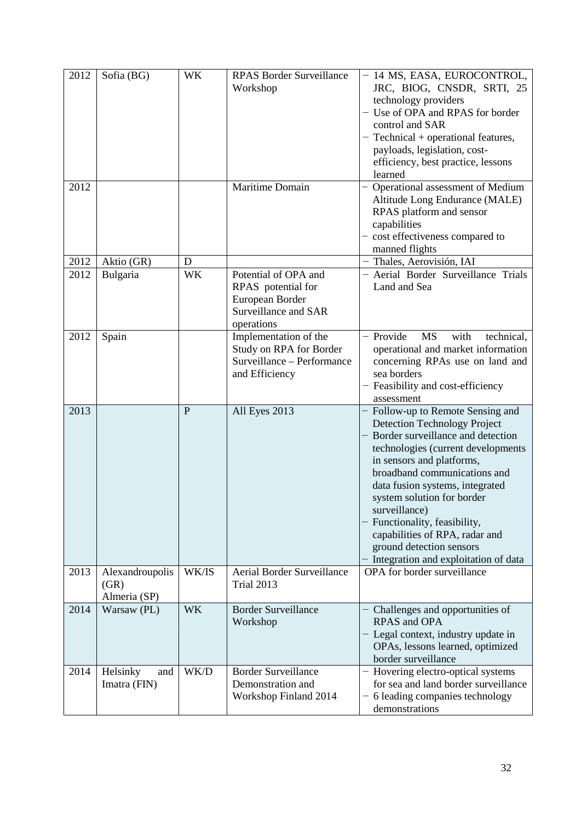| 2012 | Sofia (BG)                              | <b>WK</b> | <b>RPAS Border Surveillance</b><br>Workshop                                                         | - 14 MS, EASA, EUROCONTROL,<br>JRC, BIOG, CNSDR, SRTI, 25<br>technology providers<br>- Use of OPA and RPAS for border<br>control and SAR<br>$-$ Technical + operational features,<br>payloads, legislation, cost-<br>efficiency, best practice, lessons<br>learned                                                                                                                                                                      |
|------|-----------------------------------------|-----------|-----------------------------------------------------------------------------------------------------|-----------------------------------------------------------------------------------------------------------------------------------------------------------------------------------------------------------------------------------------------------------------------------------------------------------------------------------------------------------------------------------------------------------------------------------------|
| 2012 |                                         |           | Maritime Domain                                                                                     | - Operational assessment of Medium<br>Altitude Long Endurance (MALE)<br>RPAS platform and sensor<br>capabilities<br>- cost effectiveness compared to<br>manned flights                                                                                                                                                                                                                                                                  |
| 2012 | Aktio (GR)                              | D         |                                                                                                     | - Thales, Aerovisión, IAI                                                                                                                                                                                                                                                                                                                                                                                                               |
| 2012 | Bulgaria                                | <b>WK</b> | Potential of OPA and<br>RPAS potential for<br>European Border<br>Surveillance and SAR<br>operations | - Aerial Border Surveillance Trials<br>Land and Sea                                                                                                                                                                                                                                                                                                                                                                                     |
| 2012 | Spain                                   |           | Implementation of the<br>Study on RPA for Border<br>Surveillance - Performance<br>and Efficiency    | - Provide<br>with<br><b>MS</b><br>technical,<br>operational and market information<br>concerning RPAs use on land and<br>sea borders<br>- Feasibility and cost-efficiency<br>assessment                                                                                                                                                                                                                                                 |
| 2013 |                                         | P         | All Eyes 2013                                                                                       | Follow-up to Remote Sensing and<br><b>Detection Technology Project</b><br>- Border surveillance and detection<br>technologies (current developments<br>in sensors and platforms,<br>broadband communications and<br>data fusion systems, integrated<br>system solution for border<br>surveillance)<br>Functionality, feasibility,<br>capabilities of RPA, radar and<br>ground detection sensors<br>Integration and exploitation of data |
| 2013 | Alexandroupolis<br>(GR)<br>Almeria (SP) | WK/IS     | Aerial Border Surveillance<br><b>Trial 2013</b>                                                     | OPA for border surveillance                                                                                                                                                                                                                                                                                                                                                                                                             |
| 2014 | Warsaw (PL)                             | <b>WK</b> | <b>Border Surveillance</b><br>Workshop                                                              | - Challenges and opportunities of<br>RPAS and OPA<br>- Legal context, industry update in<br>OPAs, lessons learned, optimized<br>border surveillance                                                                                                                                                                                                                                                                                     |
| 2014 | Helsinky<br>and<br>Imatra (FIN)         | WK/D      | <b>Border Surveillance</b><br>Demonstration and<br>Workshop Finland 2014                            | - Hovering electro-optical systems<br>for sea and land border surveillance<br>- 6 leading companies technology<br>demonstrations                                                                                                                                                                                                                                                                                                        |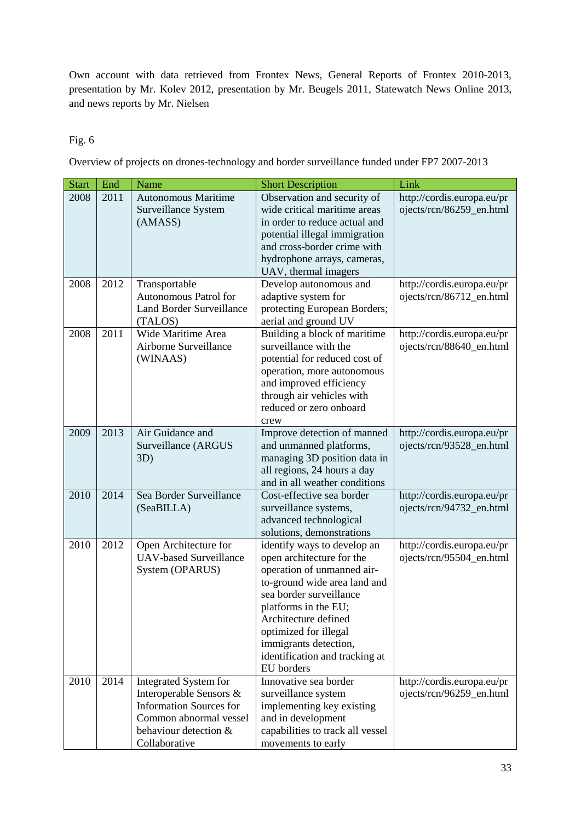Own account with data retrieved from Frontex News, General Reports of Frontex 2010-2013, presentation by Mr. Kolev 2012, presentation by Mr. Beugels 2011, Statewatch News Online 2013, and news reports by Mr. Nielsen

### <span id="page-38-0"></span>Fig. 6

Overview of projects on drones-technology and border surveillance funded under FP7 2007-2013

| <b>Start</b> | End  | Name                                                                                                                                                          | <b>Short Description</b>                                                                                                                                                                                                                                                                            | Link                                                   |
|--------------|------|---------------------------------------------------------------------------------------------------------------------------------------------------------------|-----------------------------------------------------------------------------------------------------------------------------------------------------------------------------------------------------------------------------------------------------------------------------------------------------|--------------------------------------------------------|
| 2008         | 2011 | <b>Autonomous Maritime</b><br>Surveillance System<br>(AMASS)                                                                                                  | Observation and security of<br>wide critical maritime areas<br>in order to reduce actual and<br>potential illegal immigration<br>and cross-border crime with<br>hydrophone arrays, cameras,<br>UAV, thermal imagers                                                                                 | http://cordis.europa.eu/pr<br>ojects/rcn/86259_en.html |
| 2008         | 2012 | Transportable<br>Autonomous Patrol for<br><b>Land Border Surveillance</b><br>(TALOS)                                                                          | Develop autonomous and<br>adaptive system for<br>protecting European Borders;<br>aerial and ground UV                                                                                                                                                                                               | http://cordis.europa.eu/pr<br>ojects/rcn/86712_en.html |
| 2008         | 2011 | Wide Maritime Area<br>Airborne Surveillance<br>(WINAAS)                                                                                                       | Building a block of maritime<br>surveillance with the<br>potential for reduced cost of<br>operation, more autonomous<br>and improved efficiency<br>through air vehicles with<br>reduced or zero onboard<br>crew                                                                                     | http://cordis.europa.eu/pr<br>ojects/rcn/88640_en.html |
| 2009         | 2013 | Air Guidance and<br>Surveillance (ARGUS<br>3D)                                                                                                                | Improve detection of manned<br>and unmanned platforms,<br>managing 3D position data in<br>all regions, 24 hours a day<br>and in all weather conditions                                                                                                                                              | http://cordis.europa.eu/pr<br>ojects/rcn/93528_en.html |
| 2010         | 2014 | Sea Border Surveillance<br>(SeaBILLA)                                                                                                                         | Cost-effective sea border<br>surveillance systems,<br>advanced technological<br>solutions, demonstrations                                                                                                                                                                                           | http://cordis.europa.eu/pr<br>ojects/rcn/94732_en.html |
| 2010         | 2012 | Open Architecture for<br><b>UAV-based Surveillance</b><br>System (OPARUS)                                                                                     | identify ways to develop an<br>open architecture for the<br>operation of unmanned air-<br>to-ground wide area land and<br>sea border surveillance<br>platforms in the EU;<br>Architecture defined<br>optimized for illegal<br>immigrants detection,<br>identification and tracking at<br>EU borders | http://cordis.europa.eu/pr<br>ojects/rcn/95504_en.html |
| 2010         | 2014 | <b>Integrated System for</b><br>Interoperable Sensors &<br><b>Information Sources for</b><br>Common abnormal vessel<br>behaviour detection &<br>Collaborative | Innovative sea border<br>surveillance system<br>implementing key existing<br>and in development<br>capabilities to track all vessel<br>movements to early                                                                                                                                           | http://cordis.europa.eu/pr<br>ojects/rcn/96259_en.html |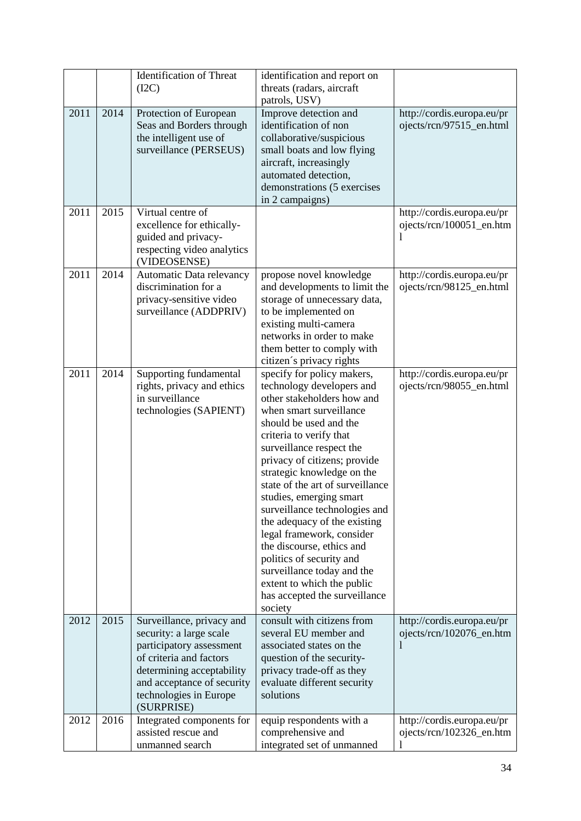|      |      | <b>Identification of Threat</b><br>(I2C)                                                                                                                                                                       | identification and report on<br>threats (radars, aircraft                                                                                                                                                                                                                                                                                                                                                                                                                                                                                                                                     |                                                        |
|------|------|----------------------------------------------------------------------------------------------------------------------------------------------------------------------------------------------------------------|-----------------------------------------------------------------------------------------------------------------------------------------------------------------------------------------------------------------------------------------------------------------------------------------------------------------------------------------------------------------------------------------------------------------------------------------------------------------------------------------------------------------------------------------------------------------------------------------------|--------------------------------------------------------|
|      |      |                                                                                                                                                                                                                | patrols, USV)                                                                                                                                                                                                                                                                                                                                                                                                                                                                                                                                                                                 |                                                        |
| 2011 | 2014 | Protection of European<br>Seas and Borders through<br>the intelligent use of<br>surveillance (PERSEUS)                                                                                                         | Improve detection and<br>identification of non<br>collaborative/suspicious<br>small boats and low flying<br>aircraft, increasingly<br>automated detection,<br>demonstrations (5 exercises<br>in 2 campaigns)                                                                                                                                                                                                                                                                                                                                                                                  | http://cordis.europa.eu/pr<br>ojects/rcn/97515_en.html |
| 2011 | 2015 | Virtual centre of<br>excellence for ethically-<br>guided and privacy-<br>respecting video analytics<br>(VIDEOSENSE)                                                                                            |                                                                                                                                                                                                                                                                                                                                                                                                                                                                                                                                                                                               | http://cordis.europa.eu/pr<br>ojects/rcn/100051_en.htm |
| 2011 | 2014 | Automatic Data relevancy<br>discrimination for a<br>privacy-sensitive video<br>surveillance (ADDPRIV)                                                                                                          | propose novel knowledge<br>and developments to limit the<br>storage of unnecessary data,<br>to be implemented on<br>existing multi-camera<br>networks in order to make<br>them better to comply with<br>citizen's privacy rights                                                                                                                                                                                                                                                                                                                                                              | http://cordis.europa.eu/pr<br>ojects/rcn/98125_en.html |
| 2011 | 2014 | Supporting fundamental<br>rights, privacy and ethics<br>in surveillance<br>technologies (SAPIENT)                                                                                                              | specify for policy makers,<br>technology developers and<br>other stakeholders how and<br>when smart surveillance<br>should be used and the<br>criteria to verify that<br>surveillance respect the<br>privacy of citizens; provide<br>strategic knowledge on the<br>state of the art of surveillance<br>studies, emerging smart<br>surveillance technologies and<br>the adequacy of the existing<br>legal framework, consider<br>the discourse, ethics and<br>politics of security and<br>surveillance today and the<br>extent to which the public<br>has accepted the surveillance<br>society | http://cordis.europa.eu/pr<br>ojects/rcn/98055_en.html |
| 2012 | 2015 | Surveillance, privacy and<br>security: a large scale<br>participatory assessment<br>of criteria and factors<br>determining acceptability<br>and acceptance of security<br>technologies in Europe<br>(SURPRISE) | consult with citizens from<br>several EU member and<br>associated states on the<br>question of the security-<br>privacy trade-off as they<br>evaluate different security<br>solutions                                                                                                                                                                                                                                                                                                                                                                                                         | http://cordis.europa.eu/pr<br>ojects/rcn/102076_en.htm |
| 2012 | 2016 | Integrated components for<br>assisted rescue and<br>unmanned search                                                                                                                                            | equip respondents with a<br>comprehensive and<br>integrated set of unmanned                                                                                                                                                                                                                                                                                                                                                                                                                                                                                                                   | http://cordis.europa.eu/pr<br>ojects/rcn/102326_en.htm |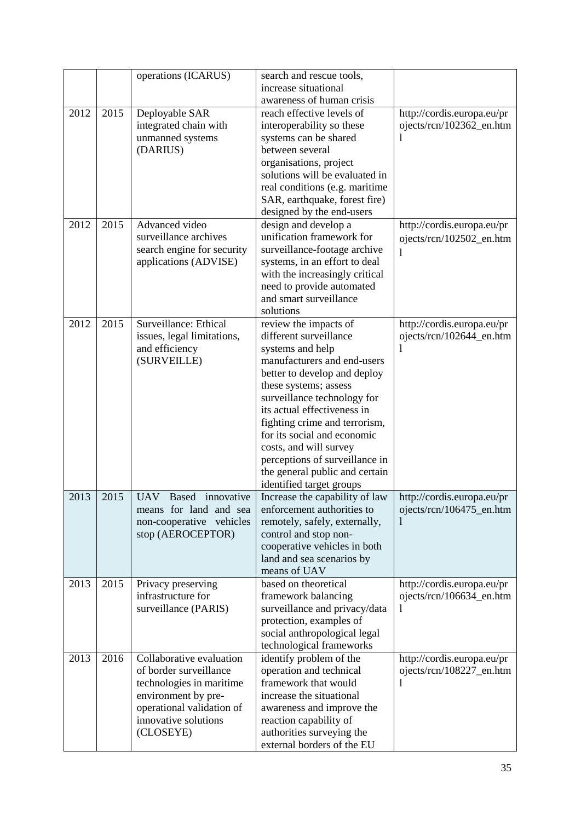|      |      | operations (ICARUS)                                                                                                                                                     | search and rescue tools,<br>increase situational                                                                                                                                                                                                                                                                                             |                                                                        |
|------|------|-------------------------------------------------------------------------------------------------------------------------------------------------------------------------|----------------------------------------------------------------------------------------------------------------------------------------------------------------------------------------------------------------------------------------------------------------------------------------------------------------------------------------------|------------------------------------------------------------------------|
|      |      |                                                                                                                                                                         | awareness of human crisis                                                                                                                                                                                                                                                                                                                    |                                                                        |
| 2012 | 2015 | Deployable SAR<br>integrated chain with                                                                                                                                 | reach effective levels of<br>interoperability so these                                                                                                                                                                                                                                                                                       | http://cordis.europa.eu/pr<br>ojects/rcn/102362_en.htm                 |
|      |      | unmanned systems<br>(DARIUS)                                                                                                                                            | systems can be shared<br>between several<br>organisations, project                                                                                                                                                                                                                                                                           |                                                                        |
|      |      |                                                                                                                                                                         | solutions will be evaluated in<br>real conditions (e.g. maritime<br>SAR, earthquake, forest fire)<br>designed by the end-users                                                                                                                                                                                                               |                                                                        |
| 2012 | 2015 | Advanced video<br>surveillance archives<br>search engine for security<br>applications (ADVISE)                                                                          | design and develop a<br>unification framework for<br>surveillance-footage archive<br>systems, in an effort to deal<br>with the increasingly critical<br>need to provide automated<br>and smart surveillance<br>solutions                                                                                                                     | http://cordis.europa.eu/pr<br>ojects/rcn/102502_en.htm<br>1            |
| 2012 | 2015 | Surveillance: Ethical<br>issues, legal limitations,<br>and efficiency                                                                                                   | review the impacts of<br>different surveillance<br>systems and help                                                                                                                                                                                                                                                                          | http://cordis.europa.eu/pr<br>ojects/rcn/102644_en.htm<br>$\mathbf{I}$ |
|      |      | (SURVEILLE)                                                                                                                                                             | manufacturers and end-users<br>better to develop and deploy<br>these systems; assess<br>surveillance technology for<br>its actual effectiveness in<br>fighting crime and terrorism,<br>for its social and economic<br>costs, and will survey<br>perceptions of surveillance in<br>the general public and certain<br>identified target groups |                                                                        |
| 2013 | 2015 | <b>UAV</b><br><b>Based</b><br>innovative<br>means for land and sea<br>non-cooperative vehicles<br>stop (AEROCEPTOR)                                                     | Increase the capability of law<br>enforcement authorities to<br>remotely, safely, externally,<br>control and stop non-<br>cooperative vehicles in both<br>land and sea scenarios by<br>means of UAV                                                                                                                                          | http://cordis.europa.eu/pr<br>ojects/rcn/106475_en.htm                 |
| 2013 | 2015 | Privacy preserving<br>infrastructure for<br>surveillance (PARIS)                                                                                                        | based on theoretical<br>framework balancing<br>surveillance and privacy/data<br>protection, examples of<br>social anthropological legal<br>technological frameworks                                                                                                                                                                          | http://cordis.europa.eu/pr<br>ojects/rcn/106634_en.htm                 |
| 2013 | 2016 | Collaborative evaluation<br>of border surveillance<br>technologies in maritime<br>environment by pre-<br>operational validation of<br>innovative solutions<br>(CLOSEYE) | identify problem of the<br>operation and technical<br>framework that would<br>increase the situational<br>awareness and improve the<br>reaction capability of<br>authorities surveying the<br>external borders of the EU                                                                                                                     | http://cordis.europa.eu/pr<br>ojects/rcn/108227_en.htm<br>$\mathbf{I}$ |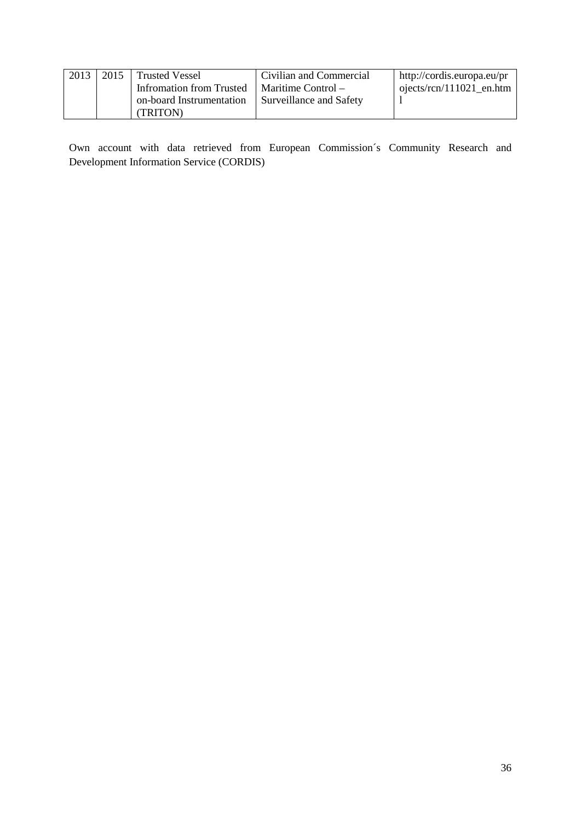| 2013 | 2015 Trusted Vessel      | Civilian and Commercial | http://cordis.europa.eu/pr |
|------|--------------------------|-------------------------|----------------------------|
|      | Infromation from Trusted | Maritime Control –      | ojects/rcn/111021 en.htm   |
|      | on-board Instrumentation | Surveillance and Safety |                            |
|      | (TRITON)                 |                         |                            |

Own account with data retrieved from European Commission´s Community Research and Development Information Service (CORDIS)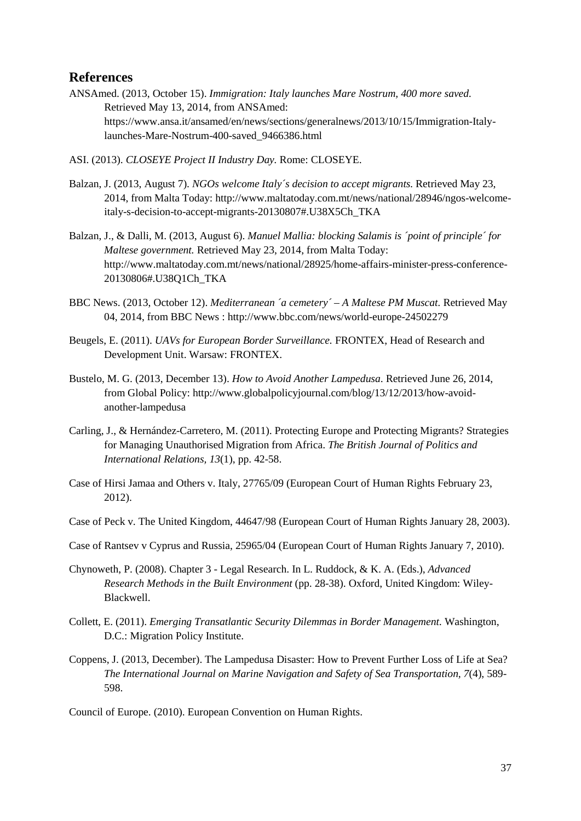### <span id="page-42-0"></span>**References**

- ANSAmed. (2013, October 15). *Immigration: Italy launches Mare Nostrum, 400 more saved.* Retrieved May 13, 2014, from ANSAmed: https://www.ansa.it/ansamed/en/news/sections/generalnews/2013/10/15/Immigration-Italylaunches-Mare-Nostrum-400-saved\_9466386.html
- ASI. (2013). *CLOSEYE Project II Industry Day.* Rome: CLOSEYE.
- Balzan, J. (2013, August 7). *NGOs welcome Italy´s decision to accept migrants.* Retrieved May 23, 2014, from Malta Today: http://www.maltatoday.com.mt/news/national/28946/ngos-welcomeitaly-s-decision-to-accept-migrants-20130807#.U38X5Ch\_TKA
- Balzan, J., & Dalli, M. (2013, August 6). *Manuel Mallia: blocking Salamis is ´point of principle´ for Maltese government.* Retrieved May 23, 2014, from Malta Today: http://www.maltatoday.com.mt/news/national/28925/home-affairs-minister-press-conference-20130806#.U38Q1Ch\_TKA
- BBC News. (2013, October 12). *Mediterranean ´a cemetery´ – A Maltese PM Muscat.* Retrieved May 04, 2014, from BBC News : http://www.bbc.com/news/world-europe-24502279
- Beugels, E. (2011). *UAVs for European Border Surveillance.* FRONTEX, Head of Research and Development Unit. Warsaw: FRONTEX.
- Bustelo, M. G. (2013, December 13). *How to Avoid Another Lampedusa*. Retrieved June 26, 2014, from Global Policy: http://www.globalpolicyjournal.com/blog/13/12/2013/how-avoidanother-lampedusa
- Carling, J., & Hernández-Carretero, M. (2011). Protecting Europe and Protecting Migrants? Strategies for Managing Unauthorised Migration from Africa. *The British Journal of Politics and International Relations, 13*(1), pp. 42-58.
- Case of Hirsi Jamaa and Others v. Italy, 27765/09 (European Court of Human Rights February 23, 2012).
- Case of Peck v. The United Kingdom, 44647/98 (European Court of Human Rights January 28, 2003).
- Case of Rantsev v Cyprus and Russia, 25965/04 (European Court of Human Rights January 7, 2010).
- Chynoweth, P. (2008). Chapter 3 Legal Research. In L. Ruddock, & K. A. (Eds.), *Advanced Research Methods in the Built Environment* (pp. 28-38). Oxford, United Kingdom: Wiley-Blackwell.
- Collett, E. (2011). *Emerging Transatlantic Security Dilemmas in Border Management.* Washington, D.C.: Migration Policy Institute.
- Coppens, J. (2013, December). The Lampedusa Disaster: How to Prevent Further Loss of Life at Sea? *The International Journal on Marine Navigation and Safety of Sea Transportation, 7*(4), 589- 598.
- Council of Europe. (2010). European Convention on Human Rights.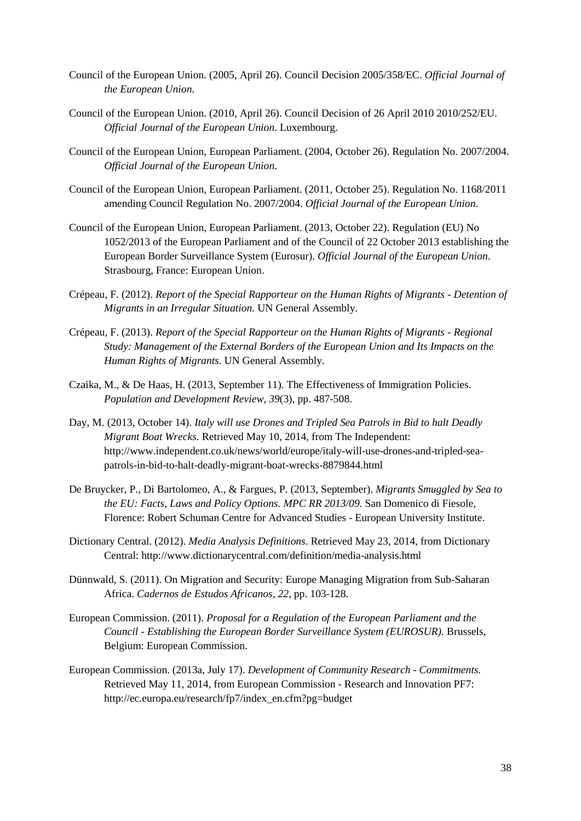- Council of the European Union. (2005, April 26). Council Decision 2005/358/EC. *Official Journal of the European Union*.
- Council of the European Union. (2010, April 26). Council Decision of 26 April 2010 2010/252/EU. *Official Journal of the European Union*. Luxembourg.
- Council of the European Union, European Parliament. (2004, October 26). Regulation No. 2007/2004. *Official Journal of the European Union*.
- Council of the European Union, European Parliament. (2011, October 25). Regulation No. 1168/2011 amending Council Regulation No. 2007/2004. *Official Journal of the European Union*.
- Council of the European Union, European Parliament. (2013, October 22). Regulation (EU) No 1052/2013 of the European Parliament and of the Council of 22 October 2013 establishing the European Border Surveillance System (Eurosur). *Official Journal of the European Union*. Strasbourg, France: European Union.
- Crépeau, F. (2012). *Report of the Special Rapporteur on the Human Rights of Migrants - Detention of Migrants in an Irregular Situation.* UN General Assembly.
- Crépeau, F. (2013). *Report of the Special Rapporteur on the Human Rights of Migrants - Regional Study: Management of the External Borders of the European Union and Its Impacts on the Human Rights of Migrants.* UN General Assembly.
- Czaika, M., & De Haas, H. (2013, September 11). The Effectiveness of Immigration Policies. *Population and Development Review, 39*(3), pp. 487-508.
- Day, M. (2013, October 14). *Italy will use Drones and Tripled Sea Patrols in Bid to halt Deadly Migrant Boat Wrecks.* Retrieved May 10, 2014, from The Independent: http://www.independent.co.uk/news/world/europe/italy-will-use-drones-and-tripled-seapatrols-in-bid-to-halt-deadly-migrant-boat-wrecks-8879844.html
- De Bruycker, P., Di Bartolomeo, A., & Fargues, P. (2013, September). *Migrants Smuggled by Sea to the EU: Facts, Laws and Policy Options. MPC RR 2013/09.* San Domenico di Fiesole, Florence: Robert Schuman Centre for Advanced Studies - European University Institute.
- Dictionary Central. (2012). *Media Analysis Definitions*. Retrieved May 23, 2014, from Dictionary Central: http://www.dictionarycentral.com/definition/media-analysis.html
- Dünnwald, S. (2011). On Migration and Security: Europe Managing Migration from Sub-Saharan Africa. *Cadernos de Estudos Africanos, 22*, pp. 103-128.
- European Commission. (2011). *Proposal for a Regulation of the European Parliament and the Council - Establishing the European Border Surveillance System (EUROSUR).* Brussels, Belgium: European Commission.
- European Commission. (2013a, July 17). *Development of Community Research - Commitments.* Retrieved May 11, 2014, from European Commission - Research and Innovation PF7: http://ec.europa.eu/research/fp7/index\_en.cfm?pg=budget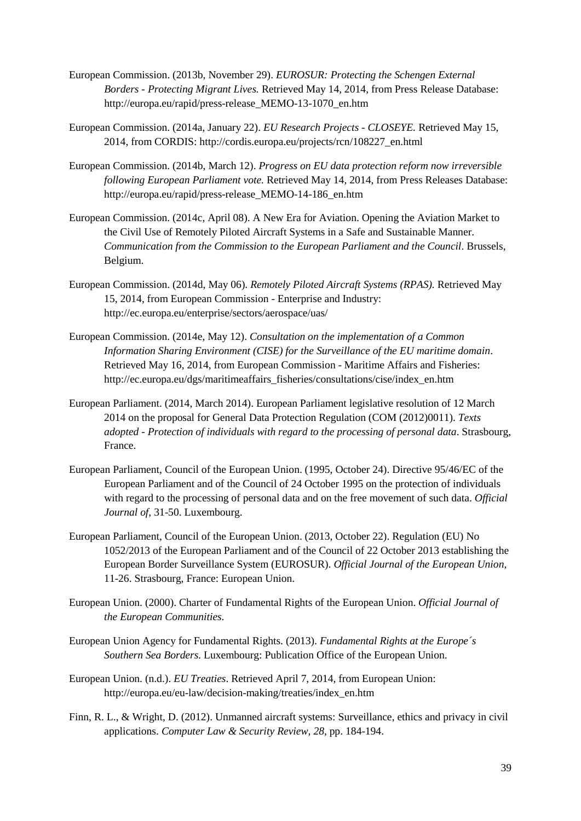- European Commission. (2013b, November 29). *EUROSUR: Protecting the Schengen External Borders - Protecting Migrant Lives.* Retrieved May 14, 2014, from Press Release Database: http://europa.eu/rapid/press-release\_MEMO-13-1070\_en.htm
- European Commission. (2014a, January 22). *EU Research Projects - CLOSEYE.* Retrieved May 15, 2014, from CORDIS: http://cordis.europa.eu/projects/rcn/108227\_en.html
- European Commission. (2014b, March 12). *Progress on EU data protection reform now irreversible following European Parliament vote.* Retrieved May 14, 2014, from Press Releases Database: http://europa.eu/rapid/press-release\_MEMO-14-186\_en.htm
- European Commission. (2014c, April 08). A New Era for Aviation. Opening the Aviation Market to the Civil Use of Remotely Piloted Aircraft Systems in a Safe and Sustainable Manner. *Communication from the Commission to the European Parliament and the Council*. Brussels, Belgium.
- European Commission. (2014d, May 06). *Remotely Piloted Aircraft Systems (RPAS).* Retrieved May 15, 2014, from European Commission - Enterprise and Industry: http://ec.europa.eu/enterprise/sectors/aerospace/uas/
- European Commission. (2014e, May 12). *Consultation on the implementation of a Common Information Sharing Environment (CISE) for the Surveillance of the EU maritime domain*. Retrieved May 16, 2014, from European Commission - Maritime Affairs and Fisheries: http://ec.europa.eu/dgs/maritimeaffairs\_fisheries/consultations/cise/index\_en.htm
- European Parliament. (2014, March 2014). European Parliament legislative resolution of 12 March 2014 on the proposal for General Data Protection Regulation (COM (2012)0011). *Texts adopted - Protection of individuals with regard to the processing of personal data*. Strasbourg, France.
- European Parliament, Council of the European Union. (1995, October 24). Directive 95/46/EC of the European Parliament and of the Council of 24 October 1995 on the protection of individuals with regard to the processing of personal data and on the free movement of such data. *Official Journal of*, 31-50. Luxembourg.
- European Parliament, Council of the European Union. (2013, October 22). Regulation (EU) No 1052/2013 of the European Parliament and of the Council of 22 October 2013 establishing the European Border Surveillance System (EUROSUR). *Official Journal of the European Union*, 11-26. Strasbourg, France: European Union.
- European Union. (2000). Charter of Fundamental Rights of the European Union. *Official Journal of the European Communities*.
- European Union Agency for Fundamental Rights. (2013). *Fundamental Rights at the Europe´s Southern Sea Borders.* Luxembourg: Publication Office of the European Union.
- European Union. (n.d.). *EU Treaties*. Retrieved April 7, 2014, from European Union: http://europa.eu/eu-law/decision-making/treaties/index\_en.htm
- Finn, R. L., & Wright, D. (2012). Unmanned aircraft systems: Surveillance, ethics and privacy in civil applications. *Computer Law & Security Review, 28*, pp. 184-194.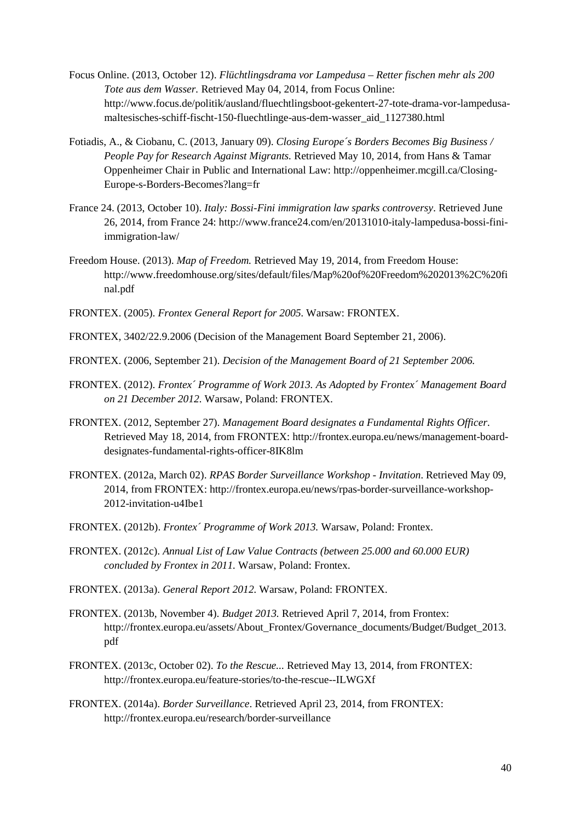- Focus Online. (2013, October 12). *Flüchtlingsdrama vor Lampedusa – Retter fischen mehr als 200 Tote aus dem Wasser.* Retrieved May 04, 2014, from Focus Online: http://www.focus.de/politik/ausland/fluechtlingsboot-gekentert-27-tote-drama-vor-lampedusamaltesisches-schiff-fischt-150-fluechtlinge-aus-dem-wasser\_aid\_1127380.html
- Fotiadis, A., & Ciobanu, C. (2013, January 09). *Closing Europe´s Borders Becomes Big Business / People Pay for Research Against Migrants.* Retrieved May 10, 2014, from Hans & Tamar Oppenheimer Chair in Public and International Law: http://oppenheimer.mcgill.ca/Closing-Europe-s-Borders-Becomes?lang=fr
- France 24. (2013, October 10). *Italy: Bossi-Fini immigration law sparks controversy*. Retrieved June 26, 2014, from France 24: http://www.france24.com/en/20131010-italy-lampedusa-bossi-finiimmigration-law/
- Freedom House. (2013). *Map of Freedom.* Retrieved May 19, 2014, from Freedom House: http://www.freedomhouse.org/sites/default/files/Map%20of%20Freedom%202013%2C%20fi nal.pdf
- FRONTEX. (2005). *Frontex General Report for 2005.* Warsaw: FRONTEX.
- FRONTEX, 3402/22.9.2006 (Decision of the Management Board September 21, 2006).
- FRONTEX. (2006, September 21). *Decision of the Management Board of 21 September 2006.*
- FRONTEX. (2012). *Frontex´ Programme of Work 2013. As Adopted by Frontex´ Management Board on 21 December 2012.* Warsaw, Poland: FRONTEX.
- FRONTEX. (2012, September 27). *Management Board designates a Fundamental Rights Officer*. Retrieved May 18, 2014, from FRONTEX: http://frontex.europa.eu/news/management-boarddesignates-fundamental-rights-officer-8IK8lm
- FRONTEX. (2012a, March 02). *RPAS Border Surveillance Workshop - Invitation*. Retrieved May 09, 2014, from FRONTEX: http://frontex.europa.eu/news/rpas-border-surveillance-workshop-2012-invitation-u4Ibe1
- FRONTEX. (2012b). *Frontex´ Programme of Work 2013.* Warsaw, Poland: Frontex.
- FRONTEX. (2012c). *Annual List of Law Value Contracts (between 25.000 and 60.000 EUR) concluded by Frontex in 2011.* Warsaw, Poland: Frontex.
- FRONTEX. (2013a). *General Report 2012.* Warsaw, Poland: FRONTEX.
- FRONTEX. (2013b, November 4). *Budget 2013.* Retrieved April 7, 2014, from Frontex: http://frontex.europa.eu/assets/About\_Frontex/Governance\_documents/Budget/Budget\_2013. pdf
- FRONTEX. (2013c, October 02). *To the Rescue...* Retrieved May 13, 2014, from FRONTEX: http://frontex.europa.eu/feature-stories/to-the-rescue--ILWGXf
- FRONTEX. (2014a). *Border Surveillance*. Retrieved April 23, 2014, from FRONTEX: http://frontex.europa.eu/research/border-surveillance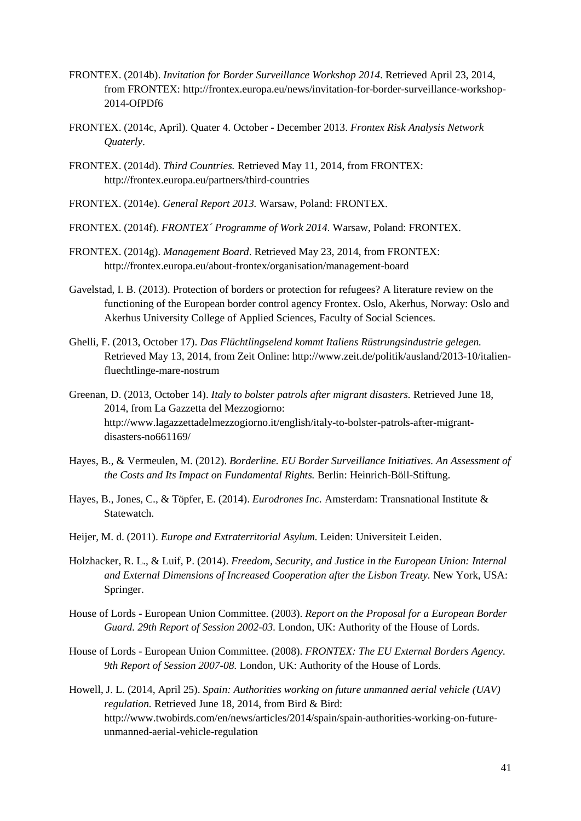- FRONTEX. (2014b). *Invitation for Border Surveillance Workshop 2014*. Retrieved April 23, 2014, from FRONTEX: http://frontex.europa.eu/news/invitation-for-border-surveillance-workshop-2014-OfPDf6
- FRONTEX. (2014c, April). Quater 4. October December 2013. *Frontex Risk Analysis Network Quaterly*.
- FRONTEX. (2014d). *Third Countries.* Retrieved May 11, 2014, from FRONTEX: http://frontex.europa.eu/partners/third-countries
- FRONTEX. (2014e). *General Report 2013.* Warsaw, Poland: FRONTEX.
- FRONTEX. (2014f). *FRONTEX´ Programme of Work 2014.* Warsaw, Poland: FRONTEX.
- FRONTEX. (2014g). *Management Board*. Retrieved May 23, 2014, from FRONTEX: http://frontex.europa.eu/about-frontex/organisation/management-board
- Gavelstad, I. B. (2013). Protection of borders or protection for refugees? A literature review on the functioning of the European border control agency Frontex. Oslo, Akerhus, Norway: Oslo and Akerhus University College of Applied Sciences, Faculty of Social Sciences.
- Ghelli, F. (2013, October 17). *Das Flüchtlingselend kommt Italiens Rüstrungsindustrie gelegen.* Retrieved May 13, 2014, from Zeit Online: http://www.zeit.de/politik/ausland/2013-10/italienfluechtlinge-mare-nostrum
- Greenan, D. (2013, October 14). *Italy to bolster patrols after migrant disasters.* Retrieved June 18, 2014, from La Gazzetta del Mezzogiorno: http://www.lagazzettadelmezzogiorno.it/english/italy-to-bolster-patrols-after-migrantdisasters-no661169/
- Hayes, B., & Vermeulen, M. (2012). *Borderline. EU Border Surveillance Initiatives. An Assessment of the Costs and Its Impact on Fundamental Rights.* Berlin: Heinrich-Böll-Stiftung.
- Hayes, B., Jones, C., & Töpfer, E. (2014). *Eurodrones Inc.* Amsterdam: Transnational Institute & Statewatch.
- Heijer, M. d. (2011). *Europe and Extraterritorial Asylum.* Leiden: Universiteit Leiden.
- Holzhacker, R. L., & Luif, P. (2014). *Freedom, Security, and Justice in the European Union: Internal and External Dimensions of Increased Cooperation after the Lisbon Treaty.* New York, USA: Springer.
- House of Lords European Union Committee. (2003). *Report on the Proposal for a European Border Guard. 29th Report of Session 2002-03.* London, UK: Authority of the House of Lords.
- House of Lords European Union Committee. (2008). *FRONTEX: The EU External Borders Agency. 9th Report of Session 2007-08.* London, UK: Authority of the House of Lords.
- Howell, J. L. (2014, April 25). *Spain: Authorities working on future unmanned aerial vehicle (UAV) regulation.* Retrieved June 18, 2014, from Bird & Bird: http://www.twobirds.com/en/news/articles/2014/spain/spain-authorities-working-on-futureunmanned-aerial-vehicle-regulation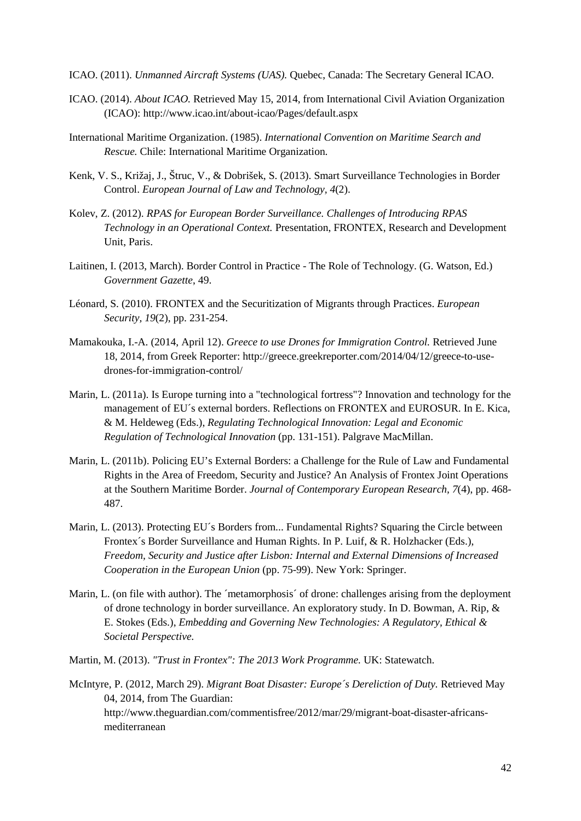- ICAO. (2011). *Unmanned Aircraft Systems (UAS).* Quebec, Canada: The Secretary General ICAO.
- ICAO. (2014). *About ICAO.* Retrieved May 15, 2014, from International Civil Aviation Organization (ICAO): http://www.icao.int/about-icao/Pages/default.aspx
- International Maritime Organization. (1985). *International Convention on Maritime Search and Rescue.* Chile: International Maritime Organization.
- Kenk, V. S., Križaj, J., Štruc, V., & Dobrišek, S. (2013). Smart Surveillance Technologies in Border Control. *European Journal of Law and Technology, 4*(2).
- Kolev, Z. (2012). *RPAS for European Border Surveillance. Challenges of Introducing RPAS Technology in an Operational Context.* Presentation, FRONTEX, Research and Development Unit, Paris.
- Laitinen, I. (2013, March). Border Control in Practice The Role of Technology. (G. Watson, Ed.) *Government Gazette*, 49.
- Léonard, S. (2010). FRONTEX and the Securitization of Migrants through Practices. *European Security, 19*(2), pp. 231-254.
- Mamakouka, I.-A. (2014, April 12). *Greece to use Drones for Immigration Control.* Retrieved June 18, 2014, from Greek Reporter: http://greece.greekreporter.com/2014/04/12/greece-to-usedrones-for-immigration-control/
- Marin, L. (2011a). Is Europe turning into a "technological fortress"? Innovation and technology for the management of EU´s external borders. Reflections on FRONTEX and EUROSUR. In E. Kica, & M. Heldeweg (Eds.), *Regulating Technological Innovation: Legal and Economic Regulation of Technological Innovation* (pp. 131-151). Palgrave MacMillan.
- Marin, L. (2011b). Policing EU's External Borders: a Challenge for the Rule of Law and Fundamental Rights in the Area of Freedom, Security and Justice? An Analysis of Frontex Joint Operations at the Southern Maritime Border. *Journal of Contemporary European Research, 7*(4), pp. 468- 487.
- Marin, L. (2013). Protecting EU´s Borders from... Fundamental Rights? Squaring the Circle between Frontex´s Border Surveillance and Human Rights. In P. Luif, & R. Holzhacker (Eds.), *Freedom, Security and Justice after Lisbon: Internal and External Dimensions of Increased Cooperation in the European Union* (pp. 75-99). New York: Springer.
- Marin, L. (on file with author). The 'metamorphosis' of drone: challenges arising from the deployment of drone technology in border surveillance. An exploratory study. In D. Bowman, A. Rip, & E. Stokes (Eds.), *Embedding and Governing New Technologies: A Regulatory, Ethical & Societal Perspective.*
- Martin, M. (2013). *"Trust in Frontex": The 2013 Work Programme.* UK: Statewatch.

McIntyre, P. (2012, March 29). *Migrant Boat Disaster: Europe´s Dereliction of Duty.* Retrieved May 04, 2014, from The Guardian: http://www.theguardian.com/commentisfree/2012/mar/29/migrant-boat-disaster-africansmediterranean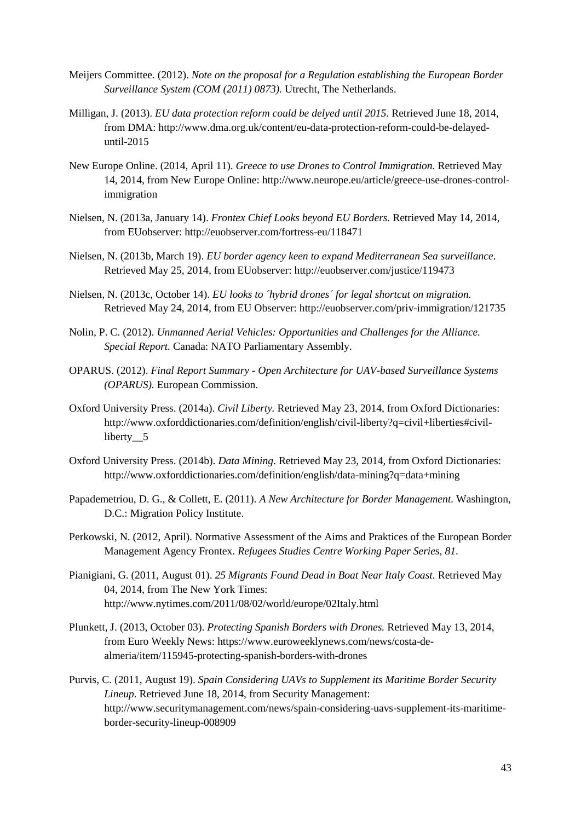- Meijers Committee. (2012). *Note on the proposal for a Regulation establishing the European Border Surveillance System (COM (2011) 0873).* Utrecht, The Netherlands.
- Milligan, J. (2013). *EU data protection reform could be delyed until 2015.* Retrieved June 18, 2014, from DMA: http://www.dma.org.uk/content/eu-data-protection-reform-could-be-delayeduntil-2015
- New Europe Online. (2014, April 11). *Greece to use Drones to Control Immigration.* Retrieved May 14, 2014, from New Europe Online: http://www.neurope.eu/article/greece-use-drones-controlimmigration
- Nielsen, N. (2013a, January 14). *Frontex Chief Looks beyond EU Borders.* Retrieved May 14, 2014, from EUobserver: http://euobserver.com/fortress-eu/118471
- Nielsen, N. (2013b, March 19). *EU border agency keen to expand Mediterranean Sea surveillance*. Retrieved May 25, 2014, from EUobserver: http://euobserver.com/justice/119473
- Nielsen, N. (2013c, October 14). *EU looks to ´hybrid drones´ for legal shortcut on migration*. Retrieved May 24, 2014, from EU Observer: http://euobserver.com/priv-immigration/121735
- Nolin, P. C. (2012). *Unmanned Aerial Vehicles: Opportunities and Challenges for the Alliance. Special Report.* Canada: NATO Parliamentary Assembly.
- OPARUS. (2012). *Final Report Summary - Open Architecture for UAV-based Surveillance Systems (OPARUS).* European Commission.
- Oxford University Press. (2014a). *Civil Liberty.* Retrieved May 23, 2014, from Oxford Dictionaries: http://www.oxforddictionaries.com/definition/english/civil-liberty?q=civil+liberties#civilliberty 5
- Oxford University Press. (2014b). *Data Mining*. Retrieved May 23, 2014, from Oxford Dictionaries: http://www.oxforddictionaries.com/definition/english/data-mining?q=data+mining
- Papademetriou, D. G., & Collett, E. (2011). *A New Architecture for Border Management.* Washington, D.C.: Migration Policy Institute.
- Perkowski, N. (2012, April). Normative Assessment of the Aims and Praktices of the European Border Management Agency Frontex. *Refugees Studies Centre Working Paper Series, 81*.
- Pianigiani, G. (2011, August 01). *25 Migrants Found Dead in Boat Near Italy Coast.* Retrieved May 04, 2014, from The New York Times: http://www.nytimes.com/2011/08/02/world/europe/02Italy.html
- Plunkett, J. (2013, October 03). *Protecting Spanish Borders with Drones.* Retrieved May 13, 2014, from Euro Weekly News: https://www.euroweeklynews.com/news/costa-dealmeria/item/115945-protecting-spanish-borders-with-drones
- Purvis, C. (2011, August 19). *Spain Considering UAVs to Supplement its Maritime Border Security Lineup.* Retrieved June 18, 2014, from Security Management: http://www.securitymanagement.com/news/spain-considering-uavs-supplement-its-maritimeborder-security-lineup-008909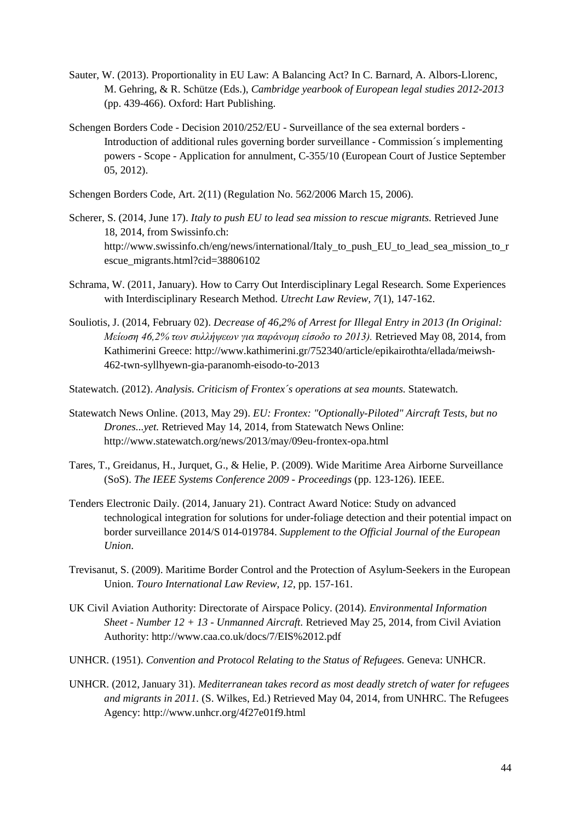- Sauter, W. (2013). Proportionality in EU Law: A Balancing Act? In C. Barnard, A. Albors-Llorenc, M. Gehring, & R. Schütze (Eds.), *Cambridge yearbook of European legal studies 2012-2013* (pp. 439-466). Oxford: Hart Publishing.
- Schengen Borders Code Decision 2010/252/EU Surveillance of the sea external borders Introduction of additional rules governing border surveillance - Commission´s implementing powers - Scope - Application for annulment, C-355/10 (European Court of Justice September 05, 2012).
- Schengen Borders Code, Art. 2(11) (Regulation No. 562/2006 March 15, 2006).
- Scherer, S. (2014, June 17). *Italy to push EU to lead sea mission to rescue migrants.* Retrieved June 18, 2014, from Swissinfo.ch: http://www.swissinfo.ch/eng/news/international/Italy to push EU to lead sea mission to r escue\_migrants.html?cid=38806102
- Schrama, W. (2011, January). How to Carry Out Interdisciplinary Legal Research. Some Experiences with Interdisciplinary Research Method. *Utrecht Law Review, 7*(1), 147-162.
- Souliotis, J. (2014, February 02). *Decrease of 46,2% of Arrest for Illegal Entry in 2013 (In Original: Μείωση 46,2% των συλλήψεων για παράνομη είσοδο το 2013).* Retrieved May 08, 2014, from Kathimerini Greece: http://www.kathimerini.gr/752340/article/epikairothta/ellada/meiwsh-462-twn-syllhyewn-gia-paranomh-eisodo-to-2013
- Statewatch. (2012). *Analysis. Criticism of Frontex´s operations at sea mounts.* Statewatch.
- Statewatch News Online. (2013, May 29). *EU: Frontex: "Optionally-Piloted" Aircraft Tests, but no Drones...yet.* Retrieved May 14, 2014, from Statewatch News Online: http://www.statewatch.org/news/2013/may/09eu-frontex-opa.html
- Tares, T., Greidanus, H., Jurquet, G., & Helie, P. (2009). Wide Maritime Area Airborne Surveillance (SoS). *The IEEE Systems Conference 2009 - Proceedings* (pp. 123-126). IEEE.
- Tenders Electronic Daily. (2014, January 21). Contract Award Notice: Study on advanced technological integration for solutions for under-foliage detection and their potential impact on border surveillance 2014/S 014-019784. *Supplement to the Official Journal of the European Union*.
- Trevisanut, S. (2009). Maritime Border Control and the Protection of Asylum-Seekers in the European Union. *Touro International Law Review, 12*, pp. 157-161.
- UK Civil Aviation Authority: Directorate of Airspace Policy. (2014). *Environmental Information Sheet - Number 12 + 13 - Unmanned Aircraft.* Retrieved May 25, 2014, from Civil Aviation Authority: http://www.caa.co.uk/docs/7/EIS%2012.pdf
- UNHCR. (1951). *Convention and Protocol Relating to the Status of Refugees.* Geneva: UNHCR.
- UNHCR. (2012, January 31). *Mediterranean takes record as most deadly stretch of water for refugees and migrants in 2011.* (S. Wilkes, Ed.) Retrieved May 04, 2014, from UNHRC. The Refugees Agency: http://www.unhcr.org/4f27e01f9.html